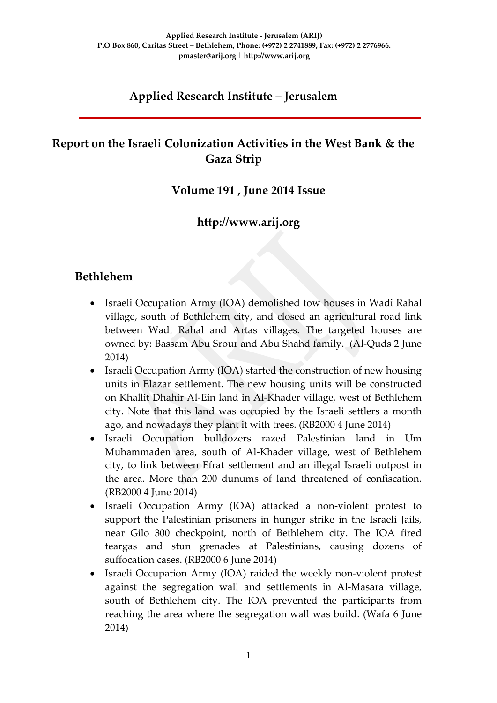## **Applied Research Institute – Jerusalem**

### **Report on the Israeli Colonization Activities in the West Bank & the Gaza Strip**

#### **Volume 191 , June 2014 Issue**

### **http://www.arij.org**

#### **Bethlehem**

- Israeli Occupation Army (IOA) demolished tow houses in Wadi Rahal village, south of Bethlehem city, and closed an agricultural road link between Wadi Rahal and Artas villages. The targeted houses are owned by: Bassam Abu Srour and Abu Shahd family. (Al-Quds 2 June 2014)
- Israeli Occupation Army (IOA) started the construction of new housing units in Elazar settlement. The new housing units will be constructed on Khallit Dhahir Al-Ein land in Al-Khader village, west of Bethlehem city. Note that this land was occupied by the Israeli settlers a month ago, and nowadays they plant it with trees. (RB2000 4 June 2014)
- Israeli Occupation bulldozers razed Palestinian land in Um Muhammaden area, south of Al-Khader village, west of Bethlehem city, to link between Efrat settlement and an illegal Israeli outpost in the area. More than 200 dunums of land threatened of confiscation. (RB2000 4 June 2014)
- Israeli Occupation Army (IOA) attacked a non-violent protest to support the Palestinian prisoners in hunger strike in the Israeli Jails, near Gilo 300 checkpoint, north of Bethlehem city. The IOA fired teargas and stun grenades at Palestinians, causing dozens of suffocation cases. (RB2000 6 June 2014)
- Israeli Occupation Army (IOA) raided the weekly non-violent protest against the segregation wall and settlements in Al-Masara village, south of Bethlehem city. The IOA prevented the participants from reaching the area where the segregation wall was build. (Wafa 6 June 2014)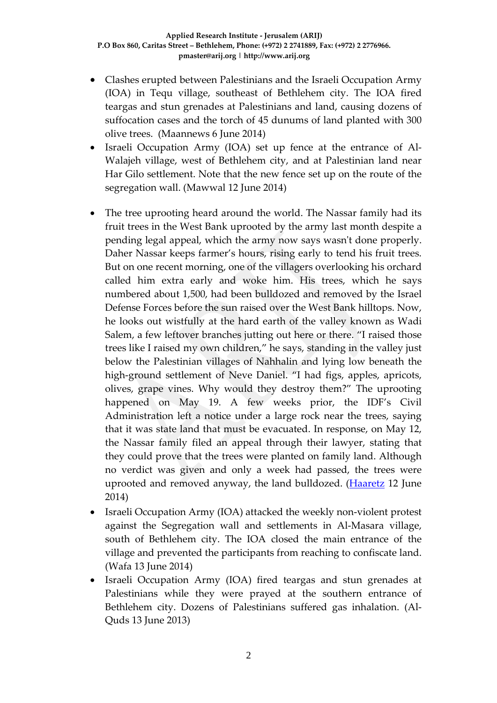- Clashes erupted between Palestinians and the Israeli Occupation Army (IOA) in Tequ village, southeast of Bethlehem city. The IOA fired teargas and stun grenades at Palestinians and land, causing dozens of suffocation cases and the torch of 45 dunums of land planted with 300 olive trees. (Maannews 6 June 2014)
- Israeli Occupation Army (IOA) set up fence at the entrance of Al-Walajeh village, west of Bethlehem city, and at Palestinian land near Har Gilo settlement. Note that the new fence set up on the route of the segregation wall. (Mawwal 12 June 2014)
- The tree uprooting heard around the world. The Nassar family had its fruit trees in the West Bank uprooted by the army last month despite a pending legal appeal, which the army now says wasn't done properly. Daher Nassar keeps farmer's hours, rising early to tend his fruit trees. But on one recent morning, one of the villagers overlooking his orchard called him extra early and woke him. His trees, which he says numbered about 1,500, had been bulldozed and removed by the Israel Defense Forces before the sun raised over the West Bank hilltops. Now, he looks out wistfully at the hard earth of the valley known as Wadi Salem, a few leftover branches jutting out here or there. "I raised those trees like I raised my own children," he says, standing in the valley just below the Palestinian villages of Nahhalin and lying low beneath the high-ground settlement of Neve Daniel. "I had figs, apples, apricots, olives, grape vines. Why would they destroy them?" The uprooting happened on May 19. A few weeks prior, the IDF's Civil Administration left a notice under a large rock near the trees, saying that it was state land that must be evacuated. In response, on May 12, the Nassar family filed an appeal through their lawyer, stating that they could prove that the trees were planted on family land. Although no verdict was given and only a week had passed, the trees were uprooted and removed anyway, the land bulldozed. [\(Haaretz](http://www.haaretz.com/news/features/.premium-1.598272) 12 June 2014)
- Israeli Occupation Army (IOA) attacked the weekly non-violent protest against the Segregation wall and settlements in Al-Masara village, south of Bethlehem city. The IOA closed the main entrance of the village and prevented the participants from reaching to confiscate land. (Wafa 13 June 2014)
- Israeli Occupation Army (IOA) fired teargas and stun grenades at Palestinians while they were prayed at the southern entrance of Bethlehem city. Dozens of Palestinians suffered gas inhalation. (Al-Quds 13 June 2013)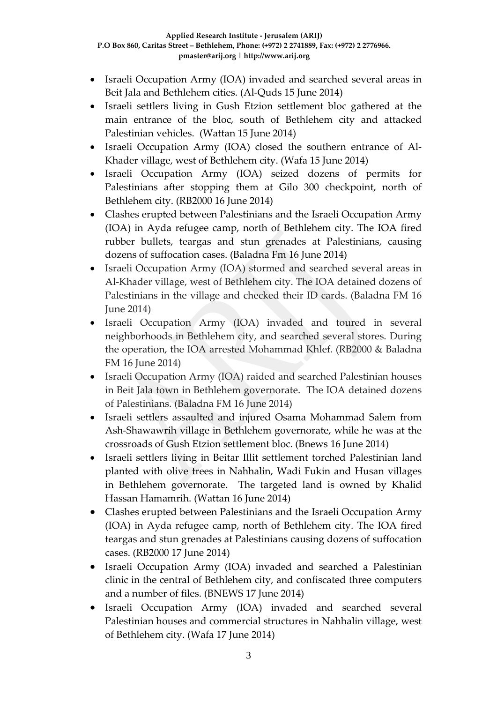- Israeli Occupation Army (IOA) invaded and searched several areas in Beit Jala and Bethlehem cities. (Al-Quds 15 June 2014)
- Israeli settlers living in Gush Etzion settlement bloc gathered at the main entrance of the bloc, south of Bethlehem city and attacked Palestinian vehicles. (Wattan 15 June 2014)
- Israeli Occupation Army (IOA) closed the southern entrance of Al-Khader village, west of Bethlehem city. (Wafa 15 June 2014)
- Israeli Occupation Army (IOA) seized dozens of permits for Palestinians after stopping them at Gilo 300 checkpoint, north of Bethlehem city. (RB2000 16 June 2014)
- Clashes erupted between Palestinians and the Israeli Occupation Army (IOA) in Ayda refugee camp, north of Bethlehem city. The IOA fired rubber bullets, teargas and stun grenades at Palestinians, causing dozens of suffocation cases. (Baladna Fm 16 June 2014)
- Israeli Occupation Army (IOA) stormed and searched several areas in Al-Khader village, west of Bethlehem city. The IOA detained dozens of Palestinians in the village and checked their ID cards. (Baladna FM 16 June 2014)
- Israeli Occupation Army (IOA) invaded and toured in several neighborhoods in Bethlehem city, and searched several stores. During the operation, the IOA arrested Mohammad Khlef. (RB2000 & Baladna FM 16 June 2014)
- Israeli Occupation Army (IOA) raided and searched Palestinian houses in Beit Jala town in Bethlehem governorate. The IOA detained dozens of Palestinians. (Baladna FM 16 June 2014)
- Israeli settlers assaulted and injured Osama Mohammad Salem from Ash-Shawawrih village in Bethlehem governorate, while he was at the crossroads of Gush Etzion settlement bloc. (Bnews 16 June 2014)
- Israeli settlers living in Beitar Illit settlement torched Palestinian land planted with olive trees in Nahhalin, Wadi Fukin and Husan villages in Bethlehem governorate. The targeted land is owned by Khalid Hassan Hamamrih. (Wattan 16 June 2014)
- Clashes erupted between Palestinians and the Israeli Occupation Army (IOA) in Ayda refugee camp, north of Bethlehem city. The IOA fired teargas and stun grenades at Palestinians causing dozens of suffocation cases. (RB2000 17 June 2014)
- Israeli Occupation Army (IOA) invaded and searched a Palestinian clinic in the central of Bethlehem city, and confiscated three computers and a number of files. (BNEWS 17 June 2014)
- Israeli Occupation Army (IOA) invaded and searched several Palestinian houses and commercial structures in Nahhalin village, west of Bethlehem city. (Wafa 17 June 2014)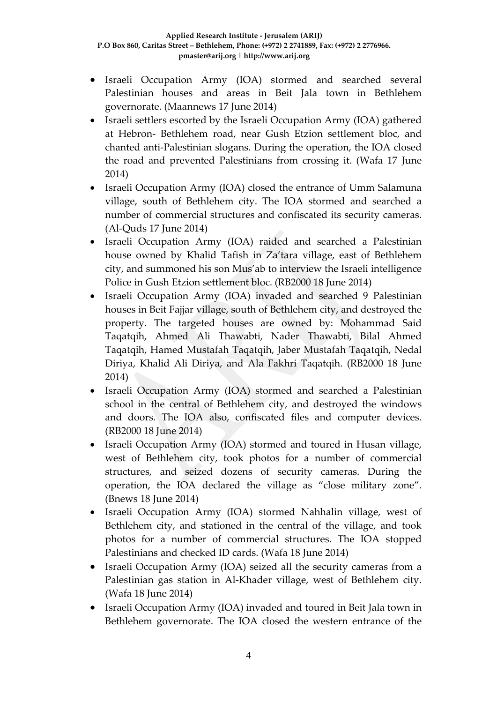- Israeli Occupation Army (IOA) stormed and searched several Palestinian houses and areas in Beit Jala town in Bethlehem governorate. (Maannews 17 June 2014)
- Israeli settlers escorted by the Israeli Occupation Army (IOA) gathered at Hebron- Bethlehem road, near Gush Etzion settlement bloc, and chanted anti-Palestinian slogans. During the operation, the IOA closed the road and prevented Palestinians from crossing it. (Wafa 17 June 2014)
- Israeli Occupation Army (IOA) closed the entrance of Umm Salamuna village, south of Bethlehem city. The IOA stormed and searched a number of commercial structures and confiscated its security cameras. (Al-Quds 17 June 2014)
- Israeli Occupation Army (IOA) raided and searched a Palestinian house owned by Khalid Tafish in Za'tara village, east of Bethlehem city, and summoned his son Mus'ab to interview the Israeli intelligence Police in Gush Etzion settlement bloc. (RB2000 18 June 2014)
- Israeli Occupation Army (IOA) invaded and searched 9 Palestinian houses in Beit Fajjar village, south of Bethlehem city, and destroyed the property. The targeted houses are owned by: Mohammad Said Taqatqih, Ahmed Ali Thawabti, Nader Thawabti, Bilal Ahmed Taqatqih, Hamed Mustafah Taqatqih, Jaber Mustafah Taqatqih, Nedal Diriya, Khalid Ali Diriya, and Ala Fakhri Taqatqih. (RB2000 18 June 2014)
- Israeli Occupation Army (IOA) stormed and searched a Palestinian school in the central of Bethlehem city, and destroyed the windows and doors. The IOA also, confiscated files and computer devices. (RB2000 18 June 2014)
- Israeli Occupation Army (IOA) stormed and toured in Husan village, west of Bethlehem city, took photos for a number of commercial structures, and seized dozens of security cameras. During the operation, the IOA declared the village as "close military zone". (Bnews 18 June 2014)
- Israeli Occupation Army (IOA) stormed Nahhalin village, west of Bethlehem city, and stationed in the central of the village, and took photos for a number of commercial structures. The IOA stopped Palestinians and checked ID cards. (Wafa 18 June 2014)
- Israeli Occupation Army (IOA) seized all the security cameras from a Palestinian gas station in Al-Khader village, west of Bethlehem city. (Wafa 18 June 2014)
- Israeli Occupation Army (IOA) invaded and toured in Beit Jala town in Bethlehem governorate. The IOA closed the western entrance of the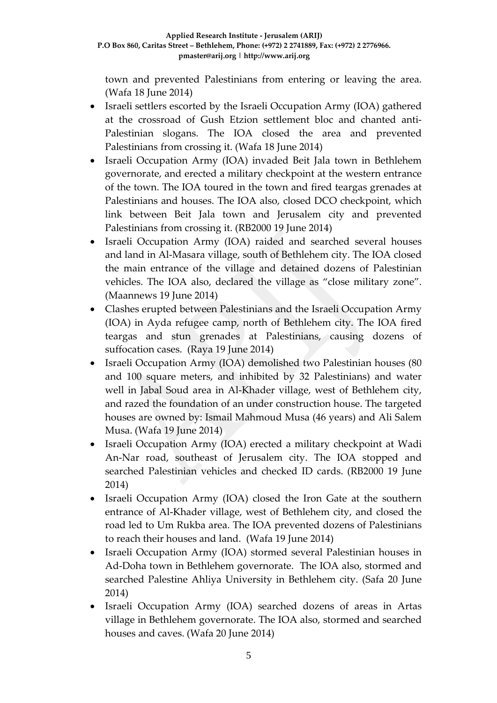town and prevented Palestinians from entering or leaving the area. (Wafa 18 June 2014)

- Israeli settlers escorted by the Israeli Occupation Army (IOA) gathered at the crossroad of Gush Etzion settlement bloc and chanted anti-Palestinian slogans. The IOA closed the area and prevented Palestinians from crossing it. (Wafa 18 June 2014)
- Israeli Occupation Army (IOA) invaded Beit Jala town in Bethlehem governorate, and erected a military checkpoint at the western entrance of the town. The IOA toured in the town and fired teargas grenades at Palestinians and houses. The IOA also, closed DCO checkpoint, which link between Beit Jala town and Jerusalem city and prevented Palestinians from crossing it. (RB2000 19 June 2014)
- Israeli Occupation Army (IOA) raided and searched several houses and land in Al-Masara village, south of Bethlehem city. The IOA closed the main entrance of the village and detained dozens of Palestinian vehicles. The IOA also, declared the village as "close military zone". (Maannews 19 June 2014)
- Clashes erupted between Palestinians and the Israeli Occupation Army (IOA) in Ayda refugee camp, north of Bethlehem city. The IOA fired teargas and stun grenades at Palestinians, causing dozens of suffocation cases. (Raya 19 June 2014)
- Israeli Occupation Army (IOA) demolished two Palestinian houses (80 and 100 square meters, and inhibited by 32 Palestinians) and water well in Jabal Soud area in Al-Khader village, west of Bethlehem city, and razed the foundation of an under construction house. The targeted houses are owned by: Ismail Mahmoud Musa (46 years) and Ali Salem Musa. (Wafa 19 June 2014)
- Israeli Occupation Army (IOA) erected a military checkpoint at Wadi An-Nar road, southeast of Jerusalem city. The IOA stopped and searched Palestinian vehicles and checked ID cards. (RB2000 19 June 2014)
- Israeli Occupation Army (IOA) closed the Iron Gate at the southern entrance of Al-Khader village, west of Bethlehem city, and closed the road led to Um Rukba area. The IOA prevented dozens of Palestinians to reach their houses and land. (Wafa 19 June 2014)
- Israeli Occupation Army (IOA) stormed several Palestinian houses in Ad-Doha town in Bethlehem governorate. The IOA also, stormed and searched Palestine Ahliya University in Bethlehem city. (Safa 20 June 2014)
- Israeli Occupation Army (IOA) searched dozens of areas in Artas village in Bethlehem governorate. The IOA also, stormed and searched houses and caves. (Wafa 20 June 2014)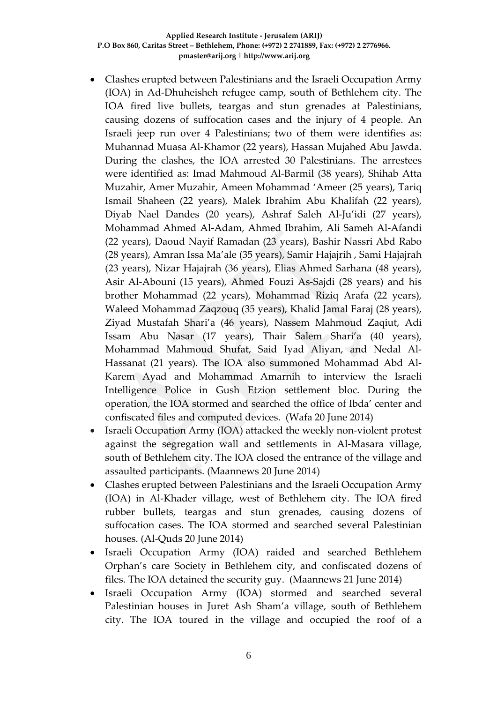- Clashes erupted between Palestinians and the Israeli Occupation Army (IOA) in Ad-Dhuheisheh refugee camp, south of Bethlehem city. The IOA fired live bullets, teargas and stun grenades at Palestinians, causing dozens of suffocation cases and the injury of 4 people. An Israeli jeep run over 4 Palestinians; two of them were identifies as: Muhannad Muasa Al-Khamor (22 years), Hassan Mujahed Abu Jawda. During the clashes, the IOA arrested 30 Palestinians. The arrestees were identified as: Imad Mahmoud Al-Barmil (38 years), Shihab Atta Muzahir, Amer Muzahir, Ameen Mohammad 'Ameer (25 years), Tariq Ismail Shaheen (22 years), Malek Ibrahim Abu Khalifah (22 years), Diyab Nael Dandes (20 years), Ashraf Saleh Al-Ju'idi (27 years), Mohammad Ahmed Al-Adam, Ahmed Ibrahim, Ali Sameh Al-Afandi (22 years), Daoud Nayif Ramadan (23 years), Bashir Nassri Abd Rabo (28 years), Amran Issa Ma'ale (35 years), Samir Hajajrih , Sami Hajajrah (23 years), Nizar Hajajrah (36 years), Elias Ahmed Sarhana (48 years), Asir Al-Abouni (15 years), Ahmed Fouzi As-Sajdi (28 years) and his brother Mohammad (22 years), Mohammad Riziq Arafa (22 years), Waleed Mohammad Zaqzouq (35 years), Khalid Jamal Faraj (28 years), Ziyad Mustafah Shari'a (46 years), Nassem Mahmoud Zaqiut, Adi Issam Abu Nasar (17 years), Thair Salem Shari'a (40 years), Mohammad Mahmoud Shufat, Said Iyad Aliyan, and Nedal Al-Hassanat (21 years). The IOA also summoned Mohammad Abd Al-Karem Ayad and Mohammad Amarnih to interview the Israeli Intelligence Police in Gush Etzion settlement bloc. During the operation, the IOA stormed and searched the office of Ibda' center and confiscated files and computed devices. (Wafa 20 June 2014)
- Israeli Occupation Army (IOA) attacked the weekly non-violent protest against the segregation wall and settlements in Al-Masara village, south of Bethlehem city. The IOA closed the entrance of the village and assaulted participants. (Maannews 20 June 2014)
- Clashes erupted between Palestinians and the Israeli Occupation Army (IOA) in Al-Khader village, west of Bethlehem city. The IOA fired rubber bullets, teargas and stun grenades, causing dozens of suffocation cases. The IOA stormed and searched several Palestinian houses. (Al-Quds 20 June 2014)
- Israeli Occupation Army (IOA) raided and searched Bethlehem Orphan's care Society in Bethlehem city, and confiscated dozens of files. The IOA detained the security guy. (Maannews 21 June 2014)
- Israeli Occupation Army (IOA) stormed and searched several Palestinian houses in Juret Ash Sham'a village, south of Bethlehem city. The IOA toured in the village and occupied the roof of a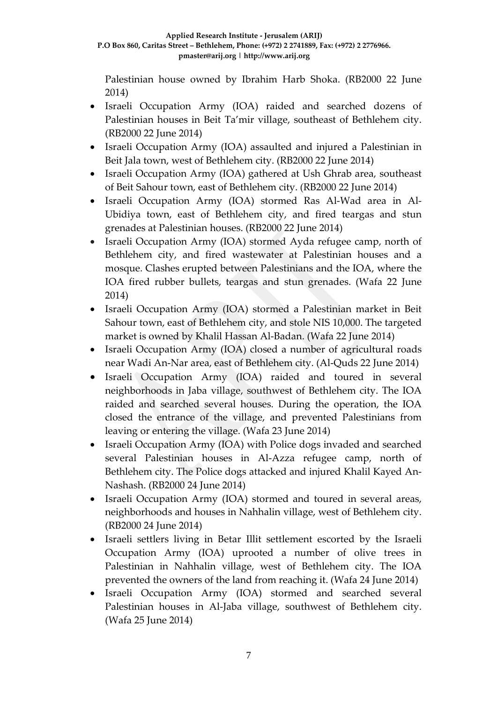Palestinian house owned by Ibrahim Harb Shoka. (RB2000 22 June 2014)

- Israeli Occupation Army (IOA) raided and searched dozens of Palestinian houses in Beit Ta'mir village, southeast of Bethlehem city. (RB2000 22 June 2014)
- Israeli Occupation Army (IOA) assaulted and injured a Palestinian in Beit Jala town, west of Bethlehem city. (RB2000 22 June 2014)
- Israeli Occupation Army (IOA) gathered at Ush Ghrab area, southeast of Beit Sahour town, east of Bethlehem city. (RB2000 22 June 2014)
- Israeli Occupation Army (IOA) stormed Ras Al-Wad area in Al-Ubidiya town, east of Bethlehem city, and fired teargas and stun grenades at Palestinian houses. (RB2000 22 June 2014)
- Israeli Occupation Army (IOA) stormed Ayda refugee camp, north of Bethlehem city, and fired wastewater at Palestinian houses and a mosque. Clashes erupted between Palestinians and the IOA, where the IOA fired rubber bullets, teargas and stun grenades. (Wafa 22 June 2014)
- Israeli Occupation Army (IOA) stormed a Palestinian market in Beit Sahour town, east of Bethlehem city, and stole NIS 10,000. The targeted market is owned by Khalil Hassan Al-Badan. (Wafa 22 June 2014)
- Israeli Occupation Army (IOA) closed a number of agricultural roads near Wadi An-Nar area, east of Bethlehem city. (Al-Quds 22 June 2014)
- Israeli Occupation Army (IOA) raided and toured in several neighborhoods in Jaba village, southwest of Bethlehem city. The IOA raided and searched several houses. During the operation, the IOA closed the entrance of the village, and prevented Palestinians from leaving or entering the village. (Wafa 23 June 2014)
- Israeli Occupation Army (IOA) with Police dogs invaded and searched several Palestinian houses in Al-Azza refugee camp, north of Bethlehem city. The Police dogs attacked and injured Khalil Kayed An-Nashash. (RB2000 24 June 2014)
- Israeli Occupation Army (IOA) stormed and toured in several areas, neighborhoods and houses in Nahhalin village, west of Bethlehem city. (RB2000 24 June 2014)
- Israeli settlers living in Betar Illit settlement escorted by the Israeli Occupation Army (IOA) uprooted a number of olive trees in Palestinian in Nahhalin village, west of Bethlehem city. The IOA prevented the owners of the land from reaching it. (Wafa 24 June 2014)
- Israeli Occupation Army (IOA) stormed and searched several Palestinian houses in Al-Jaba village, southwest of Bethlehem city. (Wafa 25 June 2014)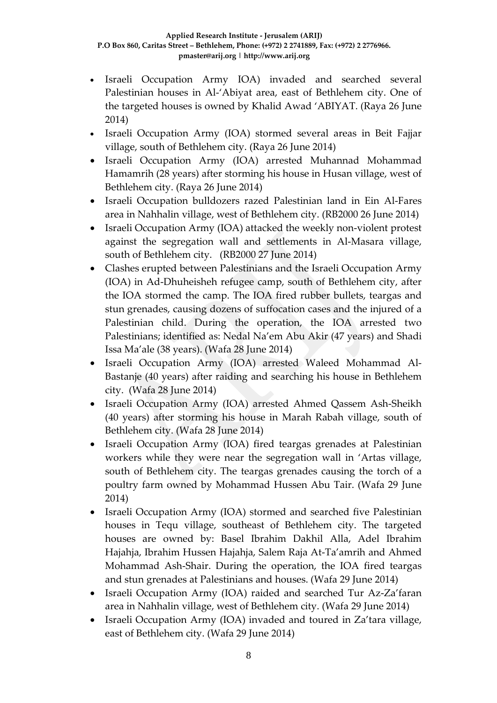- Israeli Occupation Army IOA) invaded and searched several Palestinian houses in Al-'Abiyat area, east of Bethlehem city. One of the targeted houses is owned by Khalid Awad 'ABIYAT. (Raya 26 June 2014)
- Israeli Occupation Army (IOA) stormed several areas in Beit Fajjar village, south of Bethlehem city. (Raya 26 June 2014)
- Israeli Occupation Army (IOA) arrested Muhannad Mohammad Hamamrih (28 years) after storming his house in Husan village, west of Bethlehem city. (Raya 26 June 2014)
- Israeli Occupation bulldozers razed Palestinian land in Ein Al-Fares area in Nahhalin village, west of Bethlehem city. (RB2000 26 June 2014)
- Israeli Occupation Army (IOA) attacked the weekly non-violent protest against the segregation wall and settlements in Al-Masara village, south of Bethlehem city. (RB2000 27 June 2014)
- Clashes erupted between Palestinians and the Israeli Occupation Army (IOA) in Ad-Dhuheisheh refugee camp, south of Bethlehem city, after the IOA stormed the camp. The IOA fired rubber bullets, teargas and stun grenades, causing dozens of suffocation cases and the injured of a Palestinian child. During the operation, the IOA arrested two Palestinians; identified as: Nedal Na'em Abu Akir (47 years) and Shadi Issa Ma'ale (38 years). (Wafa 28 June 2014)
- Israeli Occupation Army (IOA) arrested Waleed Mohammad Al-Bastanje (40 years) after raiding and searching his house in Bethlehem city. (Wafa 28 June 2014)
- Israeli Occupation Army (IOA) arrested Ahmed Qassem Ash-Sheikh (40 years) after storming his house in Marah Rabah village, south of Bethlehem city. (Wafa 28 June 2014)
- Israeli Occupation Army (IOA) fired teargas grenades at Palestinian workers while they were near the segregation wall in 'Artas village, south of Bethlehem city. The teargas grenades causing the torch of a poultry farm owned by Mohammad Hussen Abu Tair. (Wafa 29 June 2014)
- Israeli Occupation Army (IOA) stormed and searched five Palestinian houses in Tequ village, southeast of Bethlehem city. The targeted houses are owned by: Basel Ibrahim Dakhil Alla, Adel Ibrahim Hajahja, Ibrahim Hussen Hajahja, Salem Raja At-Ta'amrih and Ahmed Mohammad Ash-Shair. During the operation, the IOA fired teargas and stun grenades at Palestinians and houses. (Wafa 29 June 2014)
- Israeli Occupation Army (IOA) raided and searched Tur Az-Za'faran area in Nahhalin village, west of Bethlehem city. (Wafa 29 June 2014)
- Israeli Occupation Army (IOA) invaded and toured in Za'tara village, east of Bethlehem city. (Wafa 29 June 2014)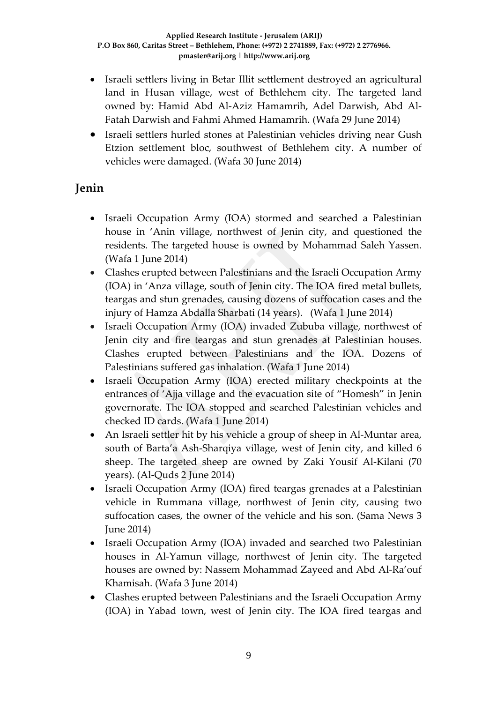- Israeli settlers living in Betar Illit settlement destroyed an agricultural land in Husan village, west of Bethlehem city. The targeted land owned by: Hamid Abd Al-Aziz Hamamrih, Adel Darwish, Abd Al-Fatah Darwish and Fahmi Ahmed Hamamrih. (Wafa 29 June 2014)
- Israeli settlers hurled stones at Palestinian vehicles driving near Gush Etzion settlement bloc, southwest of Bethlehem city. A number of vehicles were damaged. (Wafa 30 June 2014)

## **Jenin**

- Israeli Occupation Army (IOA) stormed and searched a Palestinian house in 'Anin village, northwest of Jenin city, and questioned the residents. The targeted house is owned by Mohammad Saleh Yassen. (Wafa 1 June 2014)
- Clashes erupted between Palestinians and the Israeli Occupation Army (IOA) in 'Anza village, south of Jenin city. The IOA fired metal bullets, teargas and stun grenades, causing dozens of suffocation cases and the injury of Hamza Abdalla Sharbati (14 years). (Wafa 1 June 2014)
- Israeli Occupation Army (IOA) invaded Zububa village, northwest of Jenin city and fire teargas and stun grenades at Palestinian houses. Clashes erupted between Palestinians and the IOA. Dozens of Palestinians suffered gas inhalation. (Wafa 1 June 2014)
- Israeli Occupation Army (IOA) erected military checkpoints at the entrances of 'Ajja village and the evacuation site of "Homesh" in Jenin governorate. The IOA stopped and searched Palestinian vehicles and checked ID cards. (Wafa 1 June 2014)
- An Israeli settler hit by his vehicle a group of sheep in Al-Muntar area, south of Barta'a Ash-Sharqiya village, west of Jenin city, and killed 6 sheep. The targeted sheep are owned by Zaki Yousif Al-Kilani (70 years). (Al-Quds 2 June 2014)
- Israeli Occupation Army (IOA) fired teargas grenades at a Palestinian vehicle in Rummana village, northwest of Jenin city, causing two suffocation cases, the owner of the vehicle and his son. (Sama News 3 June 2014)
- Israeli Occupation Army (IOA) invaded and searched two Palestinian houses in Al-Yamun village, northwest of Jenin city. The targeted houses are owned by: Nassem Mohammad Zayeed and Abd Al-Ra'ouf Khamisah. (Wafa 3 June 2014)
- Clashes erupted between Palestinians and the Israeli Occupation Army (IOA) in Yabad town, west of Jenin city. The IOA fired teargas and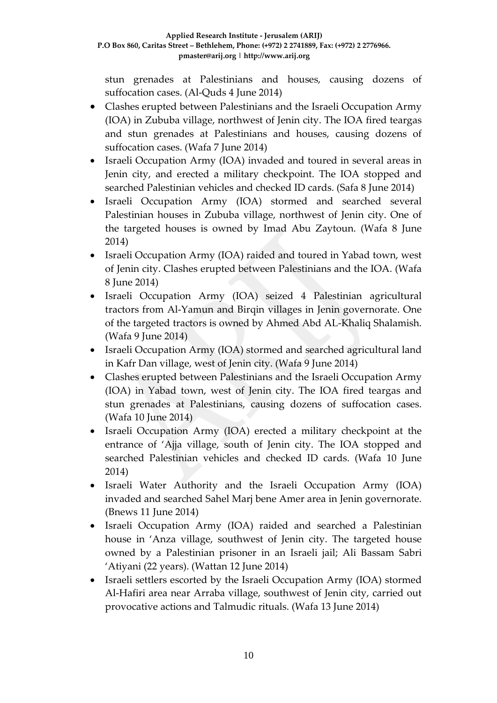stun grenades at Palestinians and houses, causing dozens of suffocation cases. (Al-Quds 4 June 2014)

- Clashes erupted between Palestinians and the Israeli Occupation Army (IOA) in Zububa village, northwest of Jenin city. The IOA fired teargas and stun grenades at Palestinians and houses, causing dozens of suffocation cases. (Wafa 7 June 2014)
- Israeli Occupation Army (IOA) invaded and toured in several areas in Jenin city, and erected a military checkpoint. The IOA stopped and searched Palestinian vehicles and checked ID cards. (Safa 8 June 2014)
- Israeli Occupation Army (IOA) stormed and searched several Palestinian houses in Zububa village, northwest of Jenin city. One of the targeted houses is owned by Imad Abu Zaytoun. (Wafa 8 June 2014)
- Israeli Occupation Army (IOA) raided and toured in Yabad town, west of Jenin city. Clashes erupted between Palestinians and the IOA. (Wafa 8 June 2014)
- Israeli Occupation Army (IOA) seized 4 Palestinian agricultural tractors from Al-Yamun and Birqin villages in Jenin governorate. One of the targeted tractors is owned by Ahmed Abd AL-Khaliq Shalamish. (Wafa 9 June 2014)
- Israeli Occupation Army (IOA) stormed and searched agricultural land in Kafr Dan village, west of Jenin city. (Wafa 9 June 2014)
- Clashes erupted between Palestinians and the Israeli Occupation Army (IOA) in Yabad town, west of Jenin city. The IOA fired teargas and stun grenades at Palestinians, causing dozens of suffocation cases. (Wafa 10 June 2014)
- Israeli Occupation Army (IOA) erected a military checkpoint at the entrance of 'Ajja village, south of Jenin city. The IOA stopped and searched Palestinian vehicles and checked ID cards. (Wafa 10 June 2014)
- Israeli Water Authority and the Israeli Occupation Army (IOA) invaded and searched Sahel Marj bene Amer area in Jenin governorate. (Bnews 11 June 2014)
- Israeli Occupation Army (IOA) raided and searched a Palestinian house in 'Anza village, southwest of Jenin city. The targeted house owned by a Palestinian prisoner in an Israeli jail; Ali Bassam Sabri 'Atiyani (22 years). (Wattan 12 June 2014)
- Israeli settlers escorted by the Israeli Occupation Army (IOA) stormed Al-Hafiri area near Arraba village, southwest of Jenin city, carried out provocative actions and Talmudic rituals. (Wafa 13 June 2014)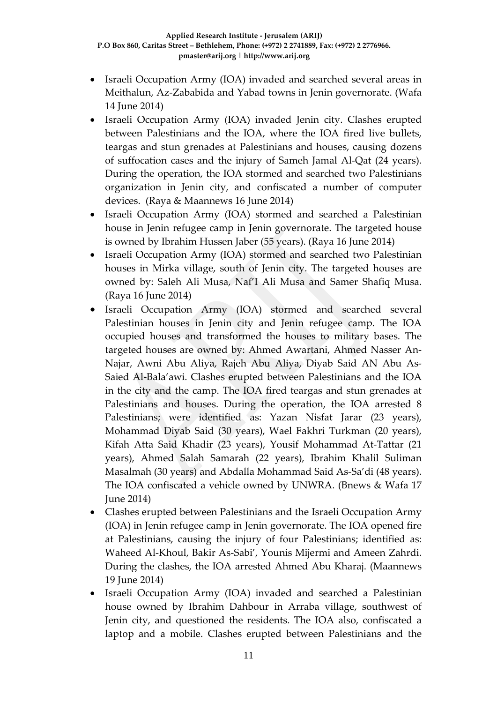- Israeli Occupation Army (IOA) invaded and searched several areas in Meithalun, Az-Zababida and Yabad towns in Jenin governorate. (Wafa 14 June 2014)
- Israeli Occupation Army (IOA) invaded Jenin city. Clashes erupted between Palestinians and the IOA, where the IOA fired live bullets, teargas and stun grenades at Palestinians and houses, causing dozens of suffocation cases and the injury of Sameh Jamal Al-Qat (24 years). During the operation, the IOA stormed and searched two Palestinians organization in Jenin city, and confiscated a number of computer devices. (Raya & Maannews 16 June 2014)
- Israeli Occupation Army (IOA) stormed and searched a Palestinian house in Jenin refugee camp in Jenin governorate. The targeted house is owned by Ibrahim Hussen Jaber (55 years). (Raya 16 June 2014)
- Israeli Occupation Army (IOA) stormed and searched two Palestinian houses in Mirka village, south of Jenin city. The targeted houses are owned by: Saleh Ali Musa, Naf'I Ali Musa and Samer Shafiq Musa. (Raya 16 June 2014)
- Israeli Occupation Army (IOA) stormed and searched several Palestinian houses in Jenin city and Jenin refugee camp. The IOA occupied houses and transformed the houses to military bases. The targeted houses are owned by: Ahmed Awartani, Ahmed Nasser An-Najar, Awni Abu Aliya, Rajeh Abu Aliya, Diyab Said AN Abu As-Saied Al-Bala'awi. Clashes erupted between Palestinians and the IOA in the city and the camp. The IOA fired teargas and stun grenades at Palestinians and houses. During the operation, the IOA arrested 8 Palestinians; were identified as: Yazan Nisfat Jarar (23 years), Mohammad Diyab Said (30 years), Wael Fakhri Turkman (20 years), Kifah Atta Said Khadir (23 years), Yousif Mohammad At-Tattar (21 years), Ahmed Salah Samarah (22 years), Ibrahim Khalil Suliman Masalmah (30 years) and Abdalla Mohammad Said As-Sa'di (48 years). The IOA confiscated a vehicle owned by UNWRA. (Bnews & Wafa 17 June 2014)
- Clashes erupted between Palestinians and the Israeli Occupation Army (IOA) in Jenin refugee camp in Jenin governorate. The IOA opened fire at Palestinians, causing the injury of four Palestinians; identified as: Waheed Al-Khoul, Bakir As-Sabi', Younis Mijermi and Ameen Zahrdi. During the clashes, the IOA arrested Ahmed Abu Kharaj. (Maannews 19 June 2014)
- Israeli Occupation Army (IOA) invaded and searched a Palestinian house owned by Ibrahim Dahbour in Arraba village, southwest of Jenin city, and questioned the residents. The IOA also, confiscated a laptop and a mobile. Clashes erupted between Palestinians and the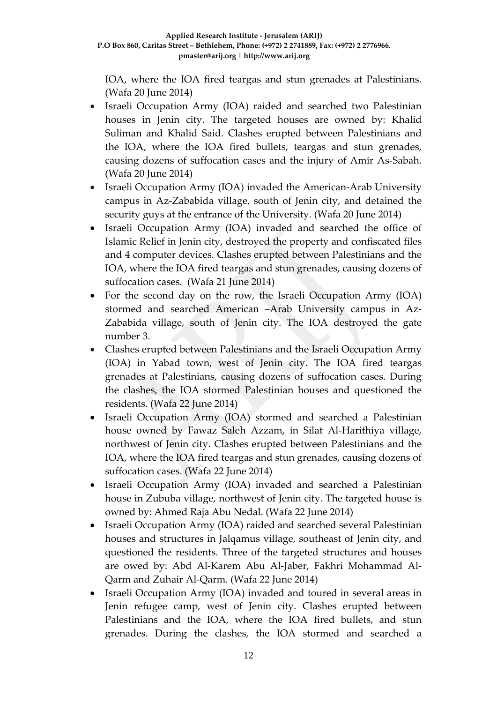IOA, where the IOA fired teargas and stun grenades at Palestinians. (Wafa 20 June 2014)

- Israeli Occupation Army (IOA) raided and searched two Palestinian houses in Jenin city. The targeted houses are owned by: Khalid Suliman and Khalid Said. Clashes erupted between Palestinians and the IOA, where the IOA fired bullets, teargas and stun grenades, causing dozens of suffocation cases and the injury of Amir As-Sabah. (Wafa 20 June 2014)
- Israeli Occupation Army (IOA) invaded the American-Arab University campus in Az-Zababida village, south of Jenin city, and detained the security guys at the entrance of the University. (Wafa 20 June 2014)
- Israeli Occupation Army (IOA) invaded and searched the office of Islamic Relief in Jenin city, destroyed the property and confiscated files and 4 computer devices. Clashes erupted between Palestinians and the IOA, where the IOA fired teargas and stun grenades, causing dozens of suffocation cases. (Wafa 21 June 2014)
- For the second day on the row, the Israeli Occupation Army (IOA) stormed and searched American –Arab University campus in Az-Zababida village, south of Jenin city. The IOA destroyed the gate number 3.
- Clashes erupted between Palestinians and the Israeli Occupation Army (IOA) in Yabad town, west of Jenin city. The IOA fired teargas grenades at Palestinians, causing dozens of suffocation cases. During the clashes, the IOA stormed Palestinian houses and questioned the residents. (Wafa 22 June 2014)
- Israeli Occupation Army (IOA) stormed and searched a Palestinian house owned by Fawaz Saleh Azzam, in Silat Al-Harithiya village, northwest of Jenin city. Clashes erupted between Palestinians and the IOA, where the IOA fired teargas and stun grenades, causing dozens of suffocation cases. (Wafa 22 June 2014)
- Israeli Occupation Army (IOA) invaded and searched a Palestinian house in Zububa village, northwest of Jenin city. The targeted house is owned by: Ahmed Raja Abu Nedal. (Wafa 22 June 2014)
- Israeli Occupation Army (IOA) raided and searched several Palestinian houses and structures in Jalqamus village, southeast of Jenin city, and questioned the residents. Three of the targeted structures and houses are owed by: Abd Al-Karem Abu Al-Jaber, Fakhri Mohammad Al-Qarm and Zuhair Al-Qarm. (Wafa 22 June 2014)
- Israeli Occupation Army (IOA) invaded and toured in several areas in Jenin refugee camp, west of Jenin city. Clashes erupted between Palestinians and the IOA, where the IOA fired bullets, and stun grenades. During the clashes, the IOA stormed and searched a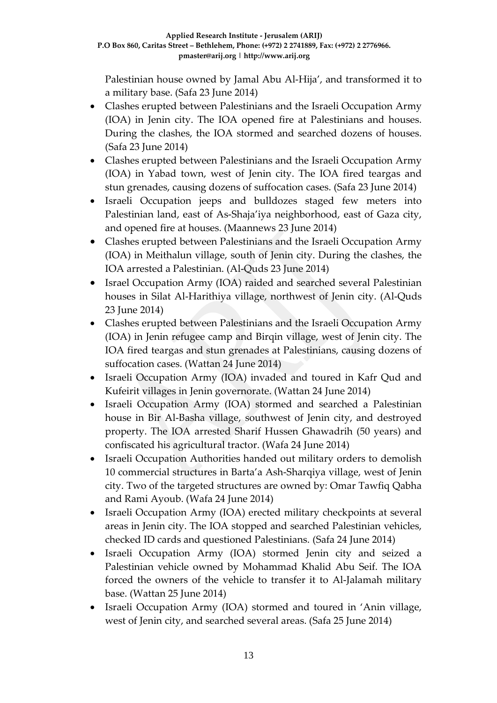Palestinian house owned by Jamal Abu Al-Hija', and transformed it to a military base. (Safa 23 June 2014)

- Clashes erupted between Palestinians and the Israeli Occupation Army (IOA) in Jenin city. The IOA opened fire at Palestinians and houses. During the clashes, the IOA stormed and searched dozens of houses. (Safa 23 June 2014)
- Clashes erupted between Palestinians and the Israeli Occupation Army (IOA) in Yabad town, west of Jenin city. The IOA fired teargas and stun grenades, causing dozens of suffocation cases. (Safa 23 June 2014)
- Israeli Occupation jeeps and bulldozes staged few meters into Palestinian land, east of As-Shaja'iya neighborhood, east of Gaza city, and opened fire at houses. (Maannews 23 June 2014)
- Clashes erupted between Palestinians and the Israeli Occupation Army (IOA) in Meithalun village, south of Jenin city. During the clashes, the IOA arrested a Palestinian. (Al-Quds 23 June 2014)
- Israel Occupation Army (IOA) raided and searched several Palestinian houses in Silat Al-Harithiya village, northwest of Jenin city. (Al-Quds 23 June 2014)
- Clashes erupted between Palestinians and the Israeli Occupation Army (IOA) in Jenin refugee camp and Birqin village, west of Jenin city. The IOA fired teargas and stun grenades at Palestinians, causing dozens of suffocation cases. (Wattan 24 June 2014)
- Israeli Occupation Army (IOA) invaded and toured in Kafr Qud and Kufeirit villages in Jenin governorate. (Wattan 24 June 2014)
- Israeli Occupation Army (IOA) stormed and searched a Palestinian house in Bir Al-Basha village, southwest of Jenin city, and destroyed property. The IOA arrested Sharif Hussen Ghawadrih (50 years) and confiscated his agricultural tractor. (Wafa 24 June 2014)
- Israeli Occupation Authorities handed out military orders to demolish 10 commercial structures in Barta'a Ash-Sharqiya village, west of Jenin city. Two of the targeted structures are owned by: Omar Tawfiq Qabha and Rami Ayoub. (Wafa 24 June 2014)
- Israeli Occupation Army (IOA) erected military checkpoints at several areas in Jenin city. The IOA stopped and searched Palestinian vehicles, checked ID cards and questioned Palestinians. (Safa 24 June 2014)
- Israeli Occupation Army (IOA) stormed Jenin city and seized a Palestinian vehicle owned by Mohammad Khalid Abu Seif. The IOA forced the owners of the vehicle to transfer it to Al-Jalamah military base. (Wattan 25 June 2014)
- Israeli Occupation Army (IOA) stormed and toured in 'Anin village, west of Jenin city, and searched several areas. (Safa 25 June 2014)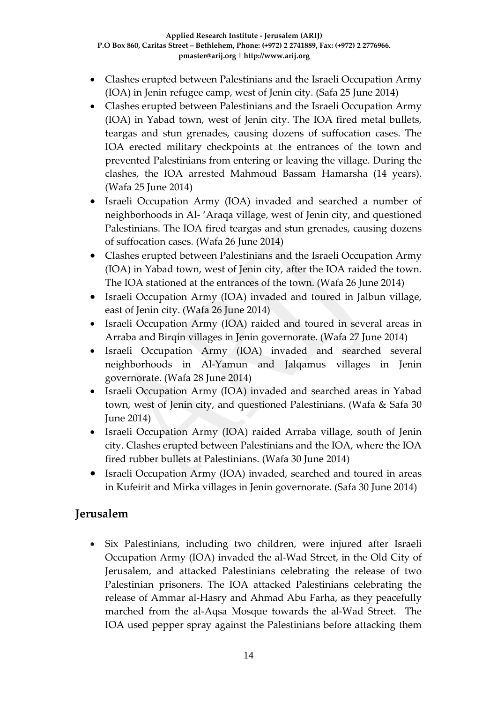- Clashes erupted between Palestinians and the Israeli Occupation Army (IOA) in Jenin refugee camp, west of Jenin city. (Safa 25 June 2014)
- Clashes erupted between Palestinians and the Israeli Occupation Army (IOA) in Yabad town, west of Jenin city. The IOA fired metal bullets, teargas and stun grenades, causing dozens of suffocation cases. The IOA erected military checkpoints at the entrances of the town and prevented Palestinians from entering or leaving the village. During the clashes, the IOA arrested Mahmoud Bassam Hamarsha (14 years). (Wafa 25 June 2014)
- Israeli Occupation Army (IOA) invaded and searched a number of neighborhoods in Al- 'Araqa village, west of Jenin city, and questioned Palestinians. The IOA fired teargas and stun grenades, causing dozens of suffocation cases. (Wafa 26 June 2014)
- Clashes erupted between Palestinians and the Israeli Occupation Army (IOA) in Yabad town, west of Jenin city, after the IOA raided the town. The IOA stationed at the entrances of the town. (Wafa 26 June 2014)
- Israeli Occupation Army (IOA) invaded and toured in Jalbun village, east of Jenin city. (Wafa 26 June 2014)
- Israeli Occupation Army (IOA) raided and toured in several areas in Arraba and Birqin villages in Jenin governorate. (Wafa 27 June 2014)
- Israeli Occupation Army (IOA) invaded and searched several neighborhoods in Al-Yamun and Jalqamus villages in Jenin governorate. (Wafa 28 June 2014)
- Israeli Occupation Army (IOA) invaded and searched areas in Yabad town, west of Jenin city, and questioned Palestinians. (Wafa & Safa 30 June 2014)
- Israeli Occupation Army (IOA) raided Arraba village, south of Jenin city. Clashes erupted between Palestinians and the IOA, where the IOA fired rubber bullets at Palestinians. (Wafa 30 June 2014)
- Israeli Occupation Army (IOA) invaded, searched and toured in areas in Kufeirit and Mirka villages in Jenin governorate. (Safa 30 June 2014)

### **Jerusalem**

• Six Palestinians, including two children, were injured after Israeli Occupation Army (IOA) invaded the al-Wad Street, in the Old City of Jerusalem, and attacked Palestinians celebrating the release of two Palestinian prisoners. The IOA attacked Palestinians celebrating the release of Ammar al-Hasry and Ahmad Abu Farha, as they peacefully marched from the al-Aqsa Mosque towards the al-Wad Street. The IOA used pepper spray against the Palestinians before attacking them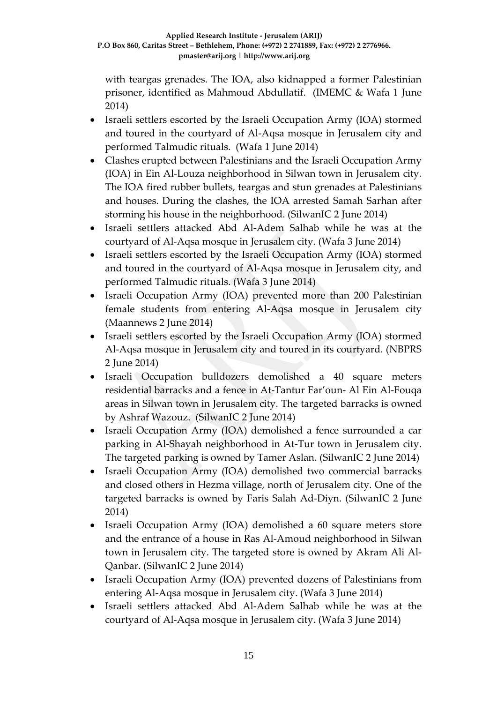with teargas grenades. The IOA, also kidnapped a former Palestinian prisoner, identified as Mahmoud Abdullatif. (IMEMC & Wafa 1 June 2014)

- Israeli settlers escorted by the Israeli Occupation Army (IOA) stormed and toured in the courtyard of Al-Aqsa mosque in Jerusalem city and performed Talmudic rituals. (Wafa 1 June 2014)
- Clashes erupted between Palestinians and the Israeli Occupation Army (IOA) in Ein Al-Louza neighborhood in Silwan town in Jerusalem city. The IOA fired rubber bullets, teargas and stun grenades at Palestinians and houses. During the clashes, the IOA arrested Samah Sarhan after storming his house in the neighborhood. (SilwanIC 2 June 2014)
- Israeli settlers attacked Abd Al-Adem Salhab while he was at the courtyard of Al-Aqsa mosque in Jerusalem city. (Wafa 3 June 2014)
- Israeli settlers escorted by the Israeli Occupation Army (IOA) stormed and toured in the courtyard of Al-Aqsa mosque in Jerusalem city, and performed Talmudic rituals. (Wafa 3 June 2014)
- Israeli Occupation Army (IOA) prevented more than 200 Palestinian female students from entering Al-Aqsa mosque in Jerusalem city (Maannews 2 June 2014)
- Israeli settlers escorted by the Israeli Occupation Army (IOA) stormed Al-Aqsa mosque in Jerusalem city and toured in its courtyard. (NBPRS 2 June 2014)
- Israeli Occupation bulldozers demolished a 40 square meters residential barracks and a fence in At-Tantur Far'oun- Al Ein Al-Fouqa areas in Silwan town in Jerusalem city. The targeted barracks is owned by Ashraf Wazouz. (SilwanIC 2 June 2014)
- Israeli Occupation Army (IOA) demolished a fence surrounded a car parking in Al-Shayah neighborhood in At-Tur town in Jerusalem city. The targeted parking is owned by Tamer Aslan. (SilwanIC 2 June 2014)
- Israeli Occupation Army (IOA) demolished two commercial barracks and closed others in Hezma village, north of Jerusalem city. One of the targeted barracks is owned by Faris Salah Ad-Diyn. (SilwanIC 2 June 2014)
- Israeli Occupation Army (IOA) demolished a 60 square meters store and the entrance of a house in Ras Al-Amoud neighborhood in Silwan town in Jerusalem city. The targeted store is owned by Akram Ali Al-Qanbar. (SilwanIC 2 June 2014)
- Israeli Occupation Army (IOA) prevented dozens of Palestinians from entering Al-Aqsa mosque in Jerusalem city. (Wafa 3 June 2014)
- Israeli settlers attacked Abd Al-Adem Salhab while he was at the courtyard of Al-Aqsa mosque in Jerusalem city. (Wafa 3 June 2014)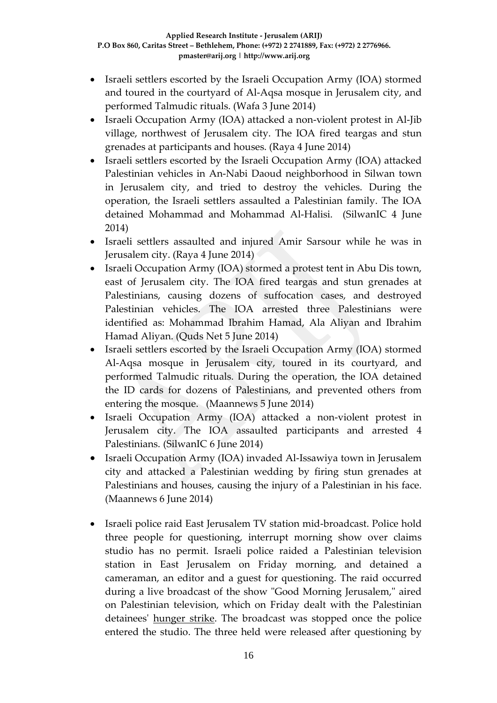- Israeli settlers escorted by the Israeli Occupation Army (IOA) stormed and toured in the courtyard of Al-Aqsa mosque in Jerusalem city, and performed Talmudic rituals. (Wafa 3 June 2014)
- Israeli Occupation Army (IOA) attacked a non-violent protest in Al-Jib village, northwest of Jerusalem city. The IOA fired teargas and stun grenades at participants and houses. (Raya 4 June 2014)
- Israeli settlers escorted by the Israeli Occupation Army (IOA) attacked Palestinian vehicles in An-Nabi Daoud neighborhood in Silwan town in Jerusalem city, and tried to destroy the vehicles. During the operation, the Israeli settlers assaulted a Palestinian family. The IOA detained Mohammad and Mohammad Al-Halisi. (SilwanIC 4 June 2014)
- Israeli settlers assaulted and injured Amir Sarsour while he was in Jerusalem city. (Raya 4 June 2014)
- Israeli Occupation Army (IOA) stormed a protest tent in Abu Dis town, east of Jerusalem city. The IOA fired teargas and stun grenades at Palestinians, causing dozens of suffocation cases, and destroyed Palestinian vehicles. The IOA arrested three Palestinians were identified as: Mohammad Ibrahim Hamad, Ala Aliyan and Ibrahim Hamad Aliyan. (Quds Net 5 June 2014)
- Israeli settlers escorted by the Israeli Occupation Army (IOA) stormed Al-Aqsa mosque in Jerusalem city, toured in its courtyard, and performed Talmudic rituals. During the operation, the IOA detained the ID cards for dozens of Palestinians, and prevented others from entering the mosque. (Maannews 5 June 2014)
- Israeli Occupation Army (IOA) attacked a non-violent protest in Jerusalem city. The IOA assaulted participants and arrested 4 Palestinians. (SilwanIC 6 June 2014)
- Israeli Occupation Army (IOA) invaded Al-Issawiya town in Jerusalem city and attacked a Palestinian wedding by firing stun grenades at Palestinians and houses, causing the injury of a Palestinian in his face. (Maannews 6 June 2014)
- Israeli police raid East Jerusalem TV station mid-broadcast. Police hold three people for questioning, interrupt morning show over claims studio has no permit. Israeli police raided a Palestinian television station in East Jerusalem on Friday morning, and detained a cameraman, an editor and a guest for questioning. The raid occurred during a live broadcast of the show "Good Morning Jerusalem," aired on Palestinian television, which on Friday dealt with the Palestinian detainees' [hunger strike.](http://www.haaretz.com/news/national/.premium-1.596901) The broadcast was stopped once the police entered the studio. The three held were released after questioning by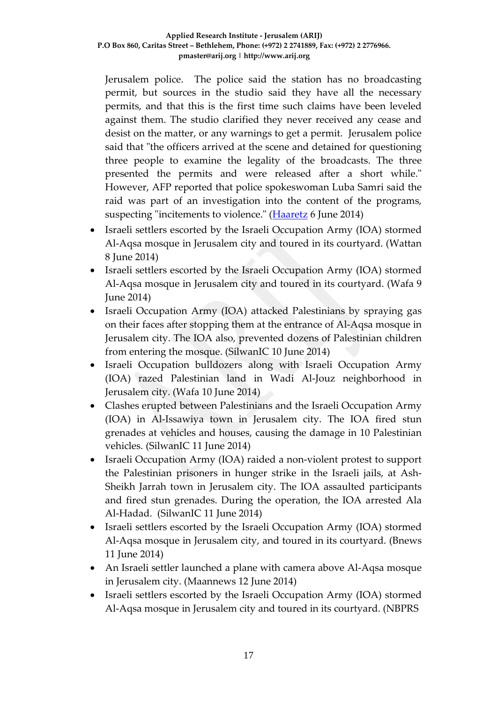Jerusalem police. The police said the station has no broadcasting permit, but sources in the studio said they have all the necessary permits, and that this is the first time such claims have been leveled against them. The studio clarified they never received any cease and desist on the matter, or any warnings to get a permit. Jerusalem police said that "the officers arrived at the scene and detained for questioning three people to examine the legality of the broadcasts. The three presented the permits and were released after a short while." However, AFP reported that police spokeswoman Luba Samri said the raid was part of an investigation into the content of the programs, suspecting "incitements to violence." [\(Haaretz](http://www.haaretz.com/news/national/.premium-1.597358) 6 June 2014)

- Israeli settlers escorted by the Israeli Occupation Army (IOA) stormed Al-Aqsa mosque in Jerusalem city and toured in its courtyard. (Wattan 8 June 2014)
- Israeli settlers escorted by the Israeli Occupation Army (IOA) stormed Al-Aqsa mosque in Jerusalem city and toured in its courtyard. (Wafa 9 June 2014)
- Israeli Occupation Army (IOA) attacked Palestinians by spraying gas on their faces after stopping them at the entrance of Al-Aqsa mosque in Jerusalem city. The IOA also, prevented dozens of Palestinian children from entering the mosque. (SilwanIC 10 June 2014)
- Israeli Occupation bulldozers along with Israeli Occupation Army (IOA) razed Palestinian land in Wadi Al-Jouz neighborhood in Jerusalem city. (Wafa 10 June 2014)
- Clashes erupted between Palestinians and the Israeli Occupation Army (IOA) in Al-Issawiya town in Jerusalem city. The IOA fired stun grenades at vehicles and houses, causing the damage in 10 Palestinian vehicles. (SilwanIC 11 June 2014)
- Israeli Occupation Army (IOA) raided a non-violent protest to support the Palestinian prisoners in hunger strike in the Israeli jails, at Ash-Sheikh Jarrah town in Jerusalem city. The IOA assaulted participants and fired stun grenades. During the operation, the IOA arrested Ala Al-Hadad. (SilwanIC 11 June 2014)
- Israeli settlers escorted by the Israeli Occupation Army (IOA) stormed Al-Aqsa mosque in Jerusalem city, and toured in its courtyard. (Bnews 11 June 2014)
- An Israeli settler launched a plane with camera above Al-Aqsa mosque in Jerusalem city. (Maannews 12 June 2014)
- Israeli settlers escorted by the Israeli Occupation Army (IOA) stormed Al-Aqsa mosque in Jerusalem city and toured in its courtyard. (NBPRS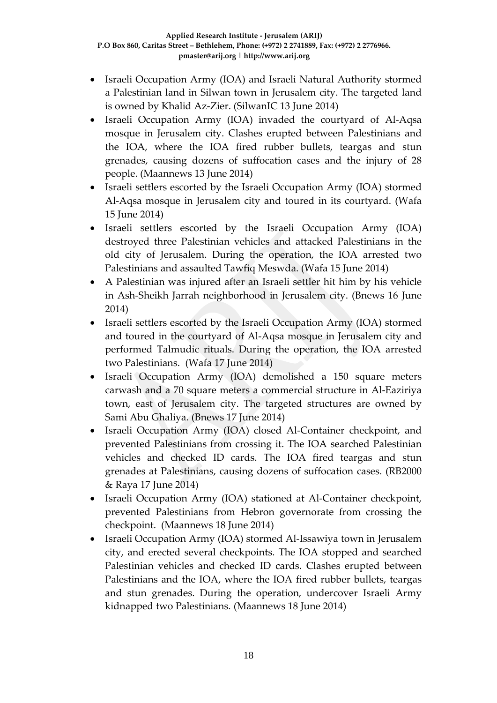- Israeli Occupation Army (IOA) and Israeli Natural Authority stormed a Palestinian land in Silwan town in Jerusalem city. The targeted land is owned by Khalid Az-Zier. (SilwanIC 13 June 2014)
- Israeli Occupation Army (IOA) invaded the courtyard of Al-Aqsa mosque in Jerusalem city. Clashes erupted between Palestinians and the IOA, where the IOA fired rubber bullets, teargas and stun grenades, causing dozens of suffocation cases and the injury of 28 people. (Maannews 13 June 2014)
- Israeli settlers escorted by the Israeli Occupation Army (IOA) stormed Al-Aqsa mosque in Jerusalem city and toured in its courtyard. (Wafa 15 June 2014)
- Israeli settlers escorted by the Israeli Occupation Army (IOA) destroyed three Palestinian vehicles and attacked Palestinians in the old city of Jerusalem. During the operation, the IOA arrested two Palestinians and assaulted Tawfiq Meswda. (Wafa 15 June 2014)
- A Palestinian was injured after an Israeli settler hit him by his vehicle in Ash-Sheikh Jarrah neighborhood in Jerusalem city. (Bnews 16 June 2014)
- Israeli settlers escorted by the Israeli Occupation Army (IOA) stormed and toured in the courtyard of Al-Aqsa mosque in Jerusalem city and performed Talmudic rituals. During the operation, the IOA arrested two Palestinians. (Wafa 17 June 2014)
- Israeli Occupation Army (IOA) demolished a 150 square meters carwash and a 70 square meters a commercial structure in Al-Eaziriya town, east of Jerusalem city. The targeted structures are owned by Sami Abu Ghaliya. (Bnews 17 June 2014)
- Israeli Occupation Army (IOA) closed Al-Container checkpoint, and prevented Palestinians from crossing it. The IOA searched Palestinian vehicles and checked ID cards. The IOA fired teargas and stun grenades at Palestinians, causing dozens of suffocation cases. (RB2000 & Raya 17 June 2014)
- Israeli Occupation Army (IOA) stationed at Al-Container checkpoint, prevented Palestinians from Hebron governorate from crossing the checkpoint. (Maannews 18 June 2014)
- Israeli Occupation Army (IOA) stormed Al-Issawiya town in Jerusalem city, and erected several checkpoints. The IOA stopped and searched Palestinian vehicles and checked ID cards. Clashes erupted between Palestinians and the IOA, where the IOA fired rubber bullets, teargas and stun grenades. During the operation, undercover Israeli Army kidnapped two Palestinians. (Maannews 18 June 2014)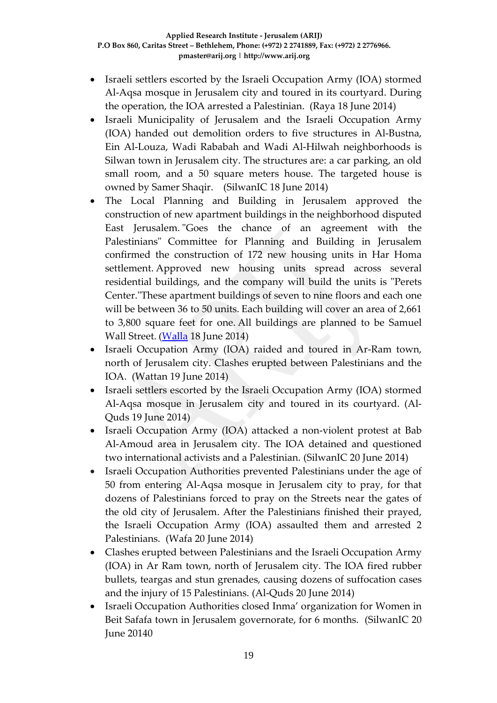- Israeli settlers escorted by the Israeli Occupation Army (IOA) stormed Al-Aqsa mosque in Jerusalem city and toured in its courtyard. During the operation, the IOA arrested a Palestinian. (Raya 18 June 2014)
- Israeli Municipality of Jerusalem and the Israeli Occupation Army (IOA) handed out demolition orders to five structures in Al-Bustna, Ein Al-Louza, Wadi Rababah and Wadi Al-Hilwah neighborhoods is Silwan town in Jerusalem city. The structures are: a car parking, an old small room, and a 50 square meters house. The targeted house is owned by Samer Shaqir. (SilwanIC 18 June 2014)
- The Local Planning and Building in Jerusalem approved the construction of new apartment buildings in the neighborhood disputed East Jerusalem. "Goes the chance of an agreement with the Palestinians" Committee for Planning and Building in Jerusalem confirmed the construction of 172 new housing units in Har Homa settlement. Approved new housing units spread across several residential buildings, and the company will build the units is "Perets Center."These apartment buildings of seven to nine floors and each one will be between 36 to 50 units. Each building will cover an area of 2,661 to 3,800 square feet for one. All buildings are planned to be Samuel Wall Street. [\(Walla](http://news.walla.co.il/?w=/9/2756428) 18 June 2014)
- Israeli Occupation Army (IOA) raided and toured in Ar-Ram town, north of Jerusalem city. Clashes erupted between Palestinians and the IOA. (Wattan 19 June 2014)
- Israeli settlers escorted by the Israeli Occupation Army (IOA) stormed Al-Aqsa mosque in Jerusalem city and toured in its courtyard. (Al-Quds 19 June 2014)
- Israeli Occupation Army (IOA) attacked a non-violent protest at Bab Al-Amoud area in Jerusalem city. The IOA detained and questioned two international activists and a Palestinian. (SilwanIC 20 June 2014)
- Israeli Occupation Authorities prevented Palestinians under the age of 50 from entering Al-Aqsa mosque in Jerusalem city to pray, for that dozens of Palestinians forced to pray on the Streets near the gates of the old city of Jerusalem. After the Palestinians finished their prayed, the Israeli Occupation Army (IOA) assaulted them and arrested 2 Palestinians. (Wafa 20 June 2014)
- Clashes erupted between Palestinians and the Israeli Occupation Army (IOA) in Ar Ram town, north of Jerusalem city. The IOA fired rubber bullets, teargas and stun grenades, causing dozens of suffocation cases and the injury of 15 Palestinians. (Al-Quds 20 June 2014)
- Israeli Occupation Authorities closed Inma' organization for Women in Beit Safafa town in Jerusalem governorate, for 6 months. (SilwanIC 20 June 20140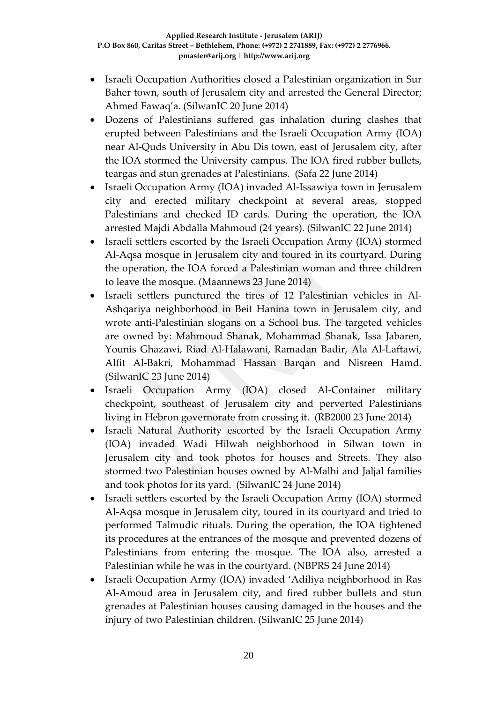- Israeli Occupation Authorities closed a Palestinian organization in Sur Baher town, south of Jerusalem city and arrested the General Director; Ahmed Fawaq'a. (SilwanIC 20 June 2014)
- Dozens of Palestinians suffered gas inhalation during clashes that erupted between Palestinians and the Israeli Occupation Army (IOA) near Al-Quds University in Abu Dis town, east of Jerusalem city, after the IOA stormed the University campus. The IOA fired rubber bullets, teargas and stun grenades at Palestinians. (Safa 22 June 2014)
- Israeli Occupation Army (IOA) invaded Al-Issawiya town in Jerusalem city and erected military checkpoint at several areas, stopped Palestinians and checked ID cards. During the operation, the IOA arrested Majdi Abdalla Mahmoud (24 years). (SilwanIC 22 June 2014)
- Israeli settlers escorted by the Israeli Occupation Army (IOA) stormed Al-Aqsa mosque in Jerusalem city and toured in its courtyard. During the operation, the IOA forced a Palestinian woman and three children to leave the mosque. (Maannews 23 June 2014)
- Israeli settlers punctured the tires of 12 Palestinian vehicles in Al-Ashqariya neighborhood in Beit Hanina town in Jerusalem city, and wrote anti-Palestinian slogans on a School bus. The targeted vehicles are owned by: Mahmoud Shanak, Mohammad Shanak, Issa Jabaren, Younis Ghazawi, Riad Al-Halawani, Ramadan Badir, Ala Al-Laftawi, Alfit Al-Bakri, Mohammad Hassan Barqan and Nisreen Hamd. (SilwanIC 23 June 2014)
- Israeli Occupation Army (IOA) closed Al-Container military checkpoint, southeast of Jerusalem city and perverted Palestinians living in Hebron governorate from crossing it. (RB2000 23 June 2014)
- Israeli Natural Authority escorted by the Israeli Occupation Army (IOA) invaded Wadi Hilwah neighborhood in Silwan town in Jerusalem city and took photos for houses and Streets. They also stormed two Palestinian houses owned by Al-Malhi and Jaljal families and took photos for its yard. (SilwanIC 24 June 2014)
- Israeli settlers escorted by the Israeli Occupation Army (IOA) stormed Al-Aqsa mosque in Jerusalem city, toured in its courtyard and tried to performed Talmudic rituals. During the operation, the IOA tightened its procedures at the entrances of the mosque and prevented dozens of Palestinians from entering the mosque. The IOA also, arrested a Palestinian while he was in the courtyard. (NBPRS 24 June 2014)
- Israeli Occupation Army (IOA) invaded 'Adiliya neighborhood in Ras Al-Amoud area in Jerusalem city, and fired rubber bullets and stun grenades at Palestinian houses causing damaged in the houses and the injury of two Palestinian children. (SilwanIC 25 June 2014)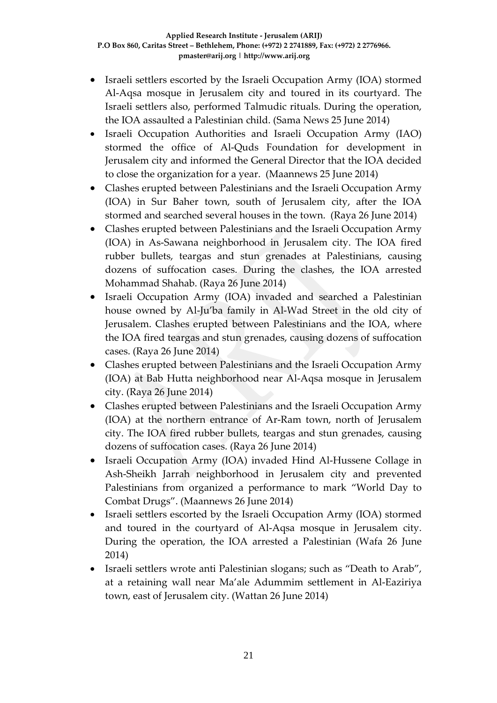- Israeli settlers escorted by the Israeli Occupation Army (IOA) stormed Al-Aqsa mosque in Jerusalem city and toured in its courtyard. The Israeli settlers also, performed Talmudic rituals. During the operation, the IOA assaulted a Palestinian child. (Sama News 25 June 2014)
- Israeli Occupation Authorities and Israeli Occupation Army (IAO) stormed the office of Al-Quds Foundation for development in Jerusalem city and informed the General Director that the IOA decided to close the organization for a year. (Maannews 25 June 2014)
- Clashes erupted between Palestinians and the Israeli Occupation Army (IOA) in Sur Baher town, south of Jerusalem city, after the IOA stormed and searched several houses in the town. (Raya 26 June 2014)
- Clashes erupted between Palestinians and the Israeli Occupation Army (IOA) in As-Sawana neighborhood in Jerusalem city. The IOA fired rubber bullets, teargas and stun grenades at Palestinians, causing dozens of suffocation cases. During the clashes, the IOA arrested Mohammad Shahab. (Raya 26 June 2014)
- Israeli Occupation Army (IOA) invaded and searched a Palestinian house owned by Al-Ju'ba family in Al-Wad Street in the old city of Jerusalem. Clashes erupted between Palestinians and the IOA, where the IOA fired teargas and stun grenades, causing dozens of suffocation cases. (Raya 26 June 2014)
- Clashes erupted between Palestinians and the Israeli Occupation Army (IOA) at Bab Hutta neighborhood near Al-Aqsa mosque in Jerusalem city. (Raya 26 June 2014)
- Clashes erupted between Palestinians and the Israeli Occupation Army (IOA) at the northern entrance of Ar-Ram town, north of Jerusalem city. The IOA fired rubber bullets, teargas and stun grenades, causing dozens of suffocation cases. (Raya 26 June 2014)
- Israeli Occupation Army (IOA) invaded Hind Al-Hussene Collage in Ash-Sheikh Jarrah neighborhood in Jerusalem city and prevented Palestinians from organized a performance to mark "World Day to Combat Drugs". (Maannews 26 June 2014)
- Israeli settlers escorted by the Israeli Occupation Army (IOA) stormed and toured in the courtyard of Al-Aqsa mosque in Jerusalem city. During the operation, the IOA arrested a Palestinian (Wafa 26 June 2014)
- Israeli settlers wrote anti Palestinian slogans; such as "Death to Arab", at a retaining wall near Ma'ale Adummim settlement in Al-Eaziriya town, east of Jerusalem city. (Wattan 26 June 2014)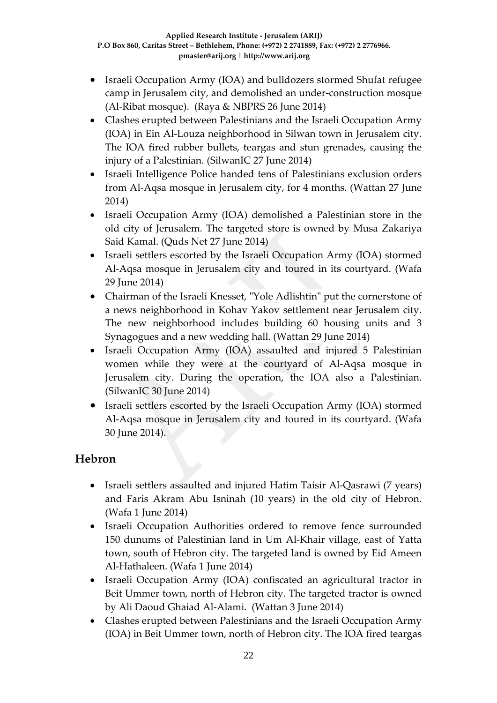- Israeli Occupation Army (IOA) and bulldozers stormed Shufat refugee camp in Jerusalem city, and demolished an under-construction mosque (Al-Ribat mosque). (Raya & NBPRS 26 June 2014)
- Clashes erupted between Palestinians and the Israeli Occupation Army (IOA) in Ein Al-Louza neighborhood in Silwan town in Jerusalem city. The IOA fired rubber bullets, teargas and stun grenades, causing the injury of a Palestinian. (SilwanIC 27 June 2014)
- Israeli Intelligence Police handed tens of Palestinians exclusion orders from Al-Aqsa mosque in Jerusalem city, for 4 months. (Wattan 27 June 2014)
- Israeli Occupation Army (IOA) demolished a Palestinian store in the old city of Jerusalem. The targeted store is owned by Musa Zakariya Said Kamal. (Quds Net 27 June 2014)
- Israeli settlers escorted by the Israeli Occupation Army (IOA) stormed Al-Aqsa mosque in Jerusalem city and toured in its courtyard. (Wafa 29 June 2014)
- Chairman of the Israeli Knesset, "Yole Adlishtin" put the cornerstone of a news neighborhood in Kohav Yakov settlement near Jerusalem city. The new neighborhood includes building 60 housing units and 3 Synagogues and a new wedding hall. (Wattan 29 June 2014)
- Israeli Occupation Army (IOA) assaulted and injured 5 Palestinian women while they were at the courtyard of Al-Aqsa mosque in Jerusalem city. During the operation, the IOA also a Palestinian. (SilwanIC 30 June 2014)
- Israeli settlers escorted by the Israeli Occupation Army (IOA) stormed Al-Aqsa mosque in Jerusalem city and toured in its courtyard. (Wafa 30 June 2014).

### **Hebron**

- Israeli settlers assaulted and injured Hatim Taisir Al-Qasrawi (7 years) and Faris Akram Abu Isninah (10 years) in the old city of Hebron. (Wafa 1 June 2014)
- Israeli Occupation Authorities ordered to remove fence surrounded 150 dunums of Palestinian land in Um Al-Khair village, east of Yatta town, south of Hebron city. The targeted land is owned by Eid Ameen Al-Hathaleen. (Wafa 1 June 2014)
- Israeli Occupation Army (IOA) confiscated an agricultural tractor in Beit Ummer town, north of Hebron city. The targeted tractor is owned by Ali Daoud Ghaiad Al-Alami. (Wattan 3 June 2014)
- Clashes erupted between Palestinians and the Israeli Occupation Army (IOA) in Beit Ummer town, north of Hebron city. The IOA fired teargas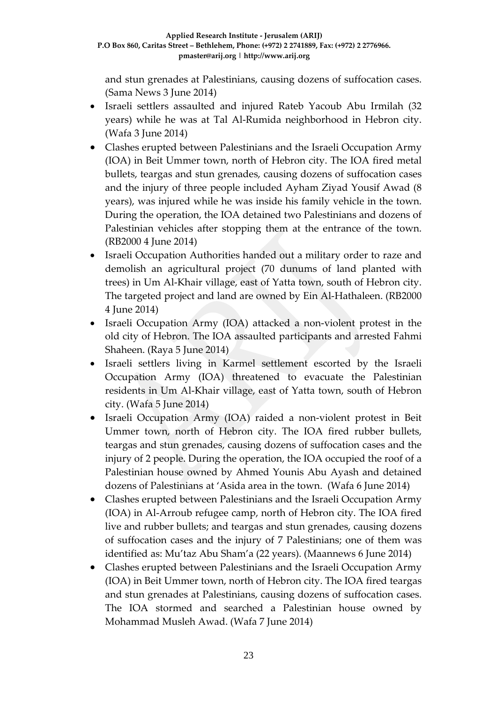and stun grenades at Palestinians, causing dozens of suffocation cases. (Sama News 3 June 2014)

- Israeli settlers assaulted and injured Rateb Yacoub Abu Irmilah (32 years) while he was at Tal Al-Rumida neighborhood in Hebron city. (Wafa 3 June 2014)
- Clashes erupted between Palestinians and the Israeli Occupation Army (IOA) in Beit Ummer town, north of Hebron city. The IOA fired metal bullets, teargas and stun grenades, causing dozens of suffocation cases and the injury of three people included Ayham Ziyad Yousif Awad (8 years), was injured while he was inside his family vehicle in the town. During the operation, the IOA detained two Palestinians and dozens of Palestinian vehicles after stopping them at the entrance of the town. (RB2000 4 June 2014)
- Israeli Occupation Authorities handed out a military order to raze and demolish an agricultural project (70 dunums of land planted with trees) in Um Al-Khair village, east of Yatta town, south of Hebron city. The targeted project and land are owned by Ein Al-Hathaleen. (RB2000 4 June 2014)
- Israeli Occupation Army (IOA) attacked a non-violent protest in the old city of Hebron. The IOA assaulted participants and arrested Fahmi Shaheen. (Raya 5 June 2014)
- Israeli settlers living in Karmel settlement escorted by the Israeli Occupation Army (IOA) threatened to evacuate the Palestinian residents in Um Al-Khair village, east of Yatta town, south of Hebron city. (Wafa 5 June 2014)
- Israeli Occupation Army (IOA) raided a non-violent protest in Beit Ummer town, north of Hebron city. The IOA fired rubber bullets, teargas and stun grenades, causing dozens of suffocation cases and the injury of 2 people. During the operation, the IOA occupied the roof of a Palestinian house owned by Ahmed Younis Abu Ayash and detained dozens of Palestinians at 'Asida area in the town. (Wafa 6 June 2014)
- Clashes erupted between Palestinians and the Israeli Occupation Army (IOA) in Al-Arroub refugee camp, north of Hebron city. The IOA fired live and rubber bullets; and teargas and stun grenades, causing dozens of suffocation cases and the injury of 7 Palestinians; one of them was identified as: Mu'taz Abu Sham'a (22 years). (Maannews 6 June 2014)
- Clashes erupted between Palestinians and the Israeli Occupation Army (IOA) in Beit Ummer town, north of Hebron city. The IOA fired teargas and stun grenades at Palestinians, causing dozens of suffocation cases. The IOA stormed and searched a Palestinian house owned by Mohammad Musleh Awad. (Wafa 7 June 2014)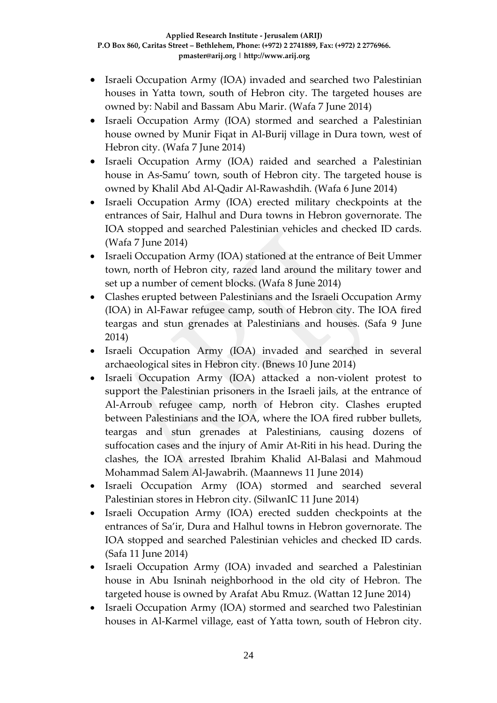- Israeli Occupation Army (IOA) invaded and searched two Palestinian houses in Yatta town, south of Hebron city. The targeted houses are owned by: Nabil and Bassam Abu Marir. (Wafa 7 June 2014)
- Israeli Occupation Army (IOA) stormed and searched a Palestinian house owned by Munir Fiqat in Al-Burij village in Dura town, west of Hebron city. (Wafa 7 June 2014)
- Israeli Occupation Army (IOA) raided and searched a Palestinian house in As-Samu' town, south of Hebron city. The targeted house is owned by Khalil Abd Al-Qadir Al-Rawashdih. (Wafa 6 June 2014)
- Israeli Occupation Army (IOA) erected military checkpoints at the entrances of Sair, Halhul and Dura towns in Hebron governorate. The IOA stopped and searched Palestinian vehicles and checked ID cards. (Wafa 7 June 2014)
- Israeli Occupation Army (IOA) stationed at the entrance of Beit Ummer town, north of Hebron city, razed land around the military tower and set up a number of cement blocks. (Wafa 8 June 2014)
- Clashes erupted between Palestinians and the Israeli Occupation Army (IOA) in Al-Fawar refugee camp, south of Hebron city. The IOA fired teargas and stun grenades at Palestinians and houses. (Safa 9 June 2014)
- Israeli Occupation Army (IOA) invaded and searched in several archaeological sites in Hebron city. (Bnews 10 June 2014)
- Israeli Occupation Army (IOA) attacked a non-violent protest to support the Palestinian prisoners in the Israeli jails, at the entrance of Al-Arroub refugee camp, north of Hebron city. Clashes erupted between Palestinians and the IOA, where the IOA fired rubber bullets, teargas and stun grenades at Palestinians, causing dozens of suffocation cases and the injury of Amir At-Riti in his head. During the clashes, the IOA arrested Ibrahim Khalid Al-Balasi and Mahmoud Mohammad Salem Al-Jawabrih. (Maannews 11 June 2014)
- Israeli Occupation Army (IOA) stormed and searched several Palestinian stores in Hebron city. (SilwanIC 11 June 2014)
- Israeli Occupation Army (IOA) erected sudden checkpoints at the entrances of Sa'ir, Dura and Halhul towns in Hebron governorate. The IOA stopped and searched Palestinian vehicles and checked ID cards. (Safa 11 June 2014)
- Israeli Occupation Army (IOA) invaded and searched a Palestinian house in Abu Isninah neighborhood in the old city of Hebron. The targeted house is owned by Arafat Abu Rmuz. (Wattan 12 June 2014)
- Israeli Occupation Army (IOA) stormed and searched two Palestinian houses in Al-Karmel village, east of Yatta town, south of Hebron city.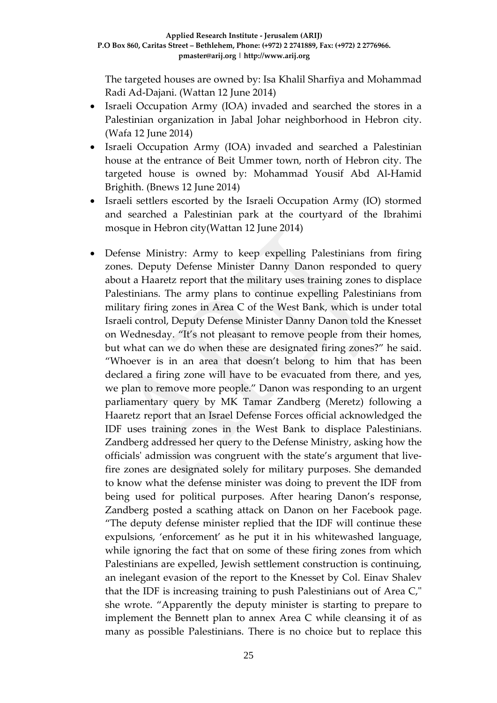The targeted houses are owned by: Isa Khalil Sharfiya and Mohammad Radi Ad-Dajani. (Wattan 12 June 2014)

- Israeli Occupation Army (IOA) invaded and searched the stores in a Palestinian organization in Jabal Johar neighborhood in Hebron city. (Wafa 12 June 2014)
- Israeli Occupation Army (IOA) invaded and searched a Palestinian house at the entrance of Beit Ummer town, north of Hebron city. The targeted house is owned by: Mohammad Yousif Abd Al-Hamid Brighith. (Bnews 12 June 2014)
- Israeli settlers escorted by the Israeli Occupation Army (IO) stormed and searched a Palestinian park at the courtyard of the Ibrahimi mosque in Hebron city(Wattan 12 June 2014)
- Defense Ministry: Army to keep expelling Palestinians from firing zones. Deputy Defense Minister Danny Danon responded to query about a Haaretz report that the military uses training zones to displace Palestinians. The army plans to continue expelling Palestinians from military firing zones in Area C of the West Bank, which is under total Israeli control, Deputy Defense Minister Danny Danon told the Knesset on Wednesday. "It's not pleasant to remove people from their homes, but what can we do when these are designated firing zones?" he said. "Whoever is in an area that doesn't belong to him that has been declared a firing zone will have to be evacuated from there, and yes, we plan to remove more people." Danon was responding to an urgent parliamentary query by MK Tamar Zandberg (Meretz) following a Haaretz report that an Israel Defense Forces official acknowledged the IDF uses training zones in the West Bank to displace Palestinians. Zandberg addressed her query to the Defense Ministry, asking how the officials' admission was congruent with the state's argument that livefire zones are designated solely for military purposes. She demanded to know what the defense minister was doing to prevent the IDF from being used for political purposes. After hearing Danon's response, Zandberg posted a scathing attack on Danon on her Facebook page. "The deputy defense minister replied that the IDF will continue these expulsions, 'enforcement' as he put it in his whitewashed language, while ignoring the fact that on some of these firing zones from which Palestinians are expelled, Jewish settlement construction is continuing, an inelegant evasion of the report to the Knesset by Col. Einav Shalev that the IDF is increasing training to push Palestinians out of Area C," she wrote. "Apparently the deputy minister is starting to prepare to implement the Bennett plan to annex Area C while cleansing it of as many as possible Palestinians. There is no choice but to replace this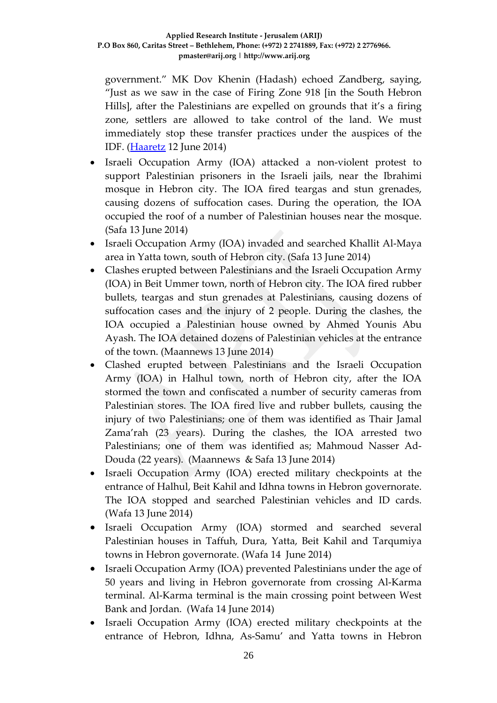government." MK Dov Khenin (Hadash) echoed Zandberg, saying, "Just as we saw in the case of Firing Zone 918 [in the South Hebron Hills], after the Palestinians are expelled on grounds that it's a firing zone, settlers are allowed to take control of the land. We must immediately stop these transfer practices under the auspices of the IDF. [\(Haaretz](http://www.haaretz.com/news/diplomacy-defense/.premium-1.598265) 12 June 2014)

- Israeli Occupation Army (IOA) attacked a non-violent protest to support Palestinian prisoners in the Israeli jails, near the Ibrahimi mosque in Hebron city. The IOA fired teargas and stun grenades, causing dozens of suffocation cases. During the operation, the IOA occupied the roof of a number of Palestinian houses near the mosque. (Safa 13 June 2014)
- Israeli Occupation Army (IOA) invaded and searched Khallit Al-Maya area in Yatta town, south of Hebron city. (Safa 13 June 2014)
- Clashes erupted between Palestinians and the Israeli Occupation Army (IOA) in Beit Ummer town, north of Hebron city. The IOA fired rubber bullets, teargas and stun grenades at Palestinians, causing dozens of suffocation cases and the injury of 2 people. During the clashes, the IOA occupied a Palestinian house owned by Ahmed Younis Abu Ayash. The IOA detained dozens of Palestinian vehicles at the entrance of the town. (Maannews 13 June 2014)
- Clashed erupted between Palestinians and the Israeli Occupation Army (IOA) in Halhul town, north of Hebron city, after the IOA stormed the town and confiscated a number of security cameras from Palestinian stores. The IOA fired live and rubber bullets, causing the injury of two Palestinians; one of them was identified as Thair Jamal Zama'rah (23 years). During the clashes, the IOA arrested two Palestinians; one of them was identified as; Mahmoud Nasser Ad-Douda (22 years). (Maannews & Safa 13 June 2014)
- Israeli Occupation Army (IOA) erected military checkpoints at the entrance of Halhul, Beit Kahil and Idhna towns in Hebron governorate. The IOA stopped and searched Palestinian vehicles and ID cards. (Wafa 13 June 2014)
- Israeli Occupation Army (IOA) stormed and searched several Palestinian houses in Taffuh, Dura, Yatta, Beit Kahil and Tarqumiya towns in Hebron governorate. (Wafa 14 June 2014)
- Israeli Occupation Army (IOA) prevented Palestinians under the age of 50 years and living in Hebron governorate from crossing Al-Karma terminal. Al-Karma terminal is the main crossing point between West Bank and Jordan. (Wafa 14 June 2014)
- Israeli Occupation Army (IOA) erected military checkpoints at the entrance of Hebron, Idhna, As-Samu' and Yatta towns in Hebron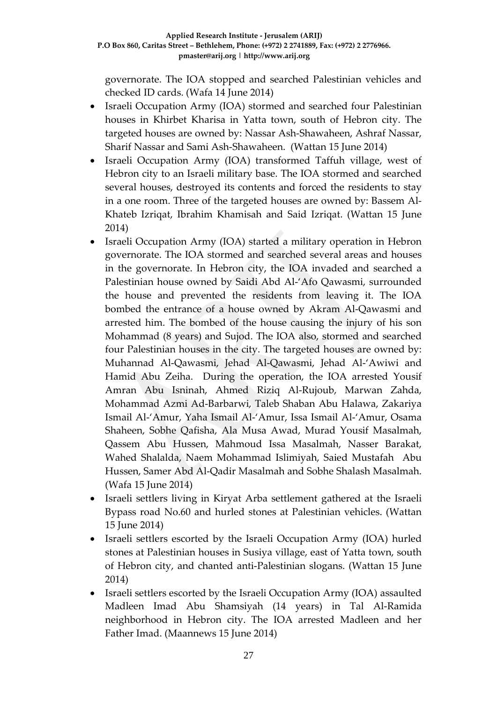governorate. The IOA stopped and searched Palestinian vehicles and checked ID cards. (Wafa 14 June 2014)

- Israeli Occupation Army (IOA) stormed and searched four Palestinian houses in Khirbet Kharisa in Yatta town, south of Hebron city. The targeted houses are owned by: Nassar Ash-Shawaheen, Ashraf Nassar, Sharif Nassar and Sami Ash-Shawaheen. (Wattan 15 June 2014)
- Israeli Occupation Army (IOA) transformed Taffuh village, west of Hebron city to an Israeli military base. The IOA stormed and searched several houses, destroyed its contents and forced the residents to stay in a one room. Three of the targeted houses are owned by: Bassem Al-Khateb Izriqat, Ibrahim Khamisah and Said Izriqat. (Wattan 15 June 2014)
- Israeli Occupation Army (IOA) started a military operation in Hebron governorate. The IOA stormed and searched several areas and houses in the governorate. In Hebron city, the IOA invaded and searched a Palestinian house owned by Saidi Abd Al-'Afo Qawasmi, surrounded the house and prevented the residents from leaving it. The IOA bombed the entrance of a house owned by Akram Al-Qawasmi and arrested him. The bombed of the house causing the injury of his son Mohammad (8 years) and Sujod. The IOA also, stormed and searched four Palestinian houses in the city. The targeted houses are owned by: Muhannad Al-Qawasmi, Jehad Al-Qawasmi, Jehad Al-'Awiwi and Hamid Abu Zeiha. During the operation, the IOA arrested Yousif Amran Abu Isninah, Ahmed Riziq Al-Rujoub, Marwan Zahda, Mohammad Azmi Ad-Barbarwi, Taleb Shaban Abu Halawa, Zakariya Ismail Al-'Amur, Yaha Ismail Al-'Amur, Issa Ismail Al-'Amur, Osama Shaheen, Sobhe Qafisha, Ala Musa Awad, Murad Yousif Masalmah, Qassem Abu Hussen, Mahmoud Issa Masalmah, Nasser Barakat, Wahed Shalalda, Naem Mohammad Islimiyah, Saied Mustafah Abu Hussen, Samer Abd Al-Qadir Masalmah and Sobhe Shalash Masalmah. (Wafa 15 June 2014)
- Israeli settlers living in Kiryat Arba settlement gathered at the Israeli Bypass road No.60 and hurled stones at Palestinian vehicles. (Wattan 15 June 2014)
- Israeli settlers escorted by the Israeli Occupation Army (IOA) hurled stones at Palestinian houses in Susiya village, east of Yatta town, south of Hebron city, and chanted anti-Palestinian slogans. (Wattan 15 June 2014)
- Israeli settlers escorted by the Israeli Occupation Army (IOA) assaulted Madleen Imad Abu Shamsiyah (14 years) in Tal Al-Ramida neighborhood in Hebron city. The IOA arrested Madleen and her Father Imad. (Maannews 15 June 2014)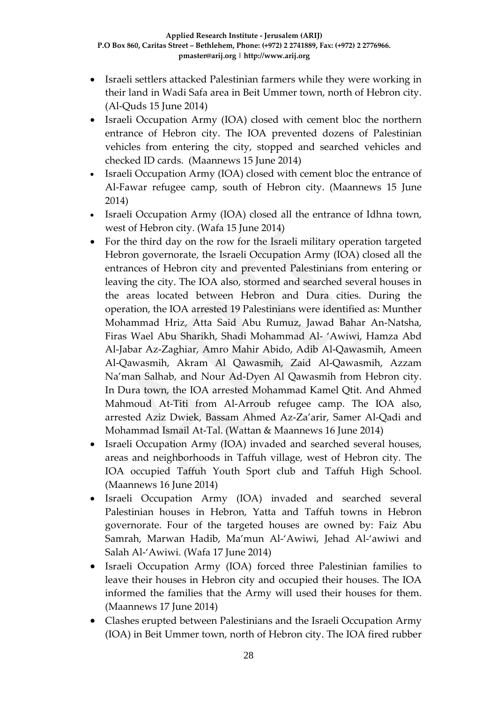- Israeli settlers attacked Palestinian farmers while they were working in their land in Wadi Safa area in Beit Ummer town, north of Hebron city. (Al-Quds 15 June 2014)
- Israeli Occupation Army (IOA) closed with cement bloc the northern entrance of Hebron city. The IOA prevented dozens of Palestinian vehicles from entering the city, stopped and searched vehicles and checked ID cards. (Maannews 15 June 2014)
- Israeli Occupation Army (IOA) closed with cement bloc the entrance of Al-Fawar refugee camp, south of Hebron city. (Maannews 15 June 2014)
- Israeli Occupation Army (IOA) closed all the entrance of Idhna town, west of Hebron city. (Wafa 15 June 2014)
- For the third day on the row for the Israeli military operation targeted Hebron governorate, the Israeli Occupation Army (IOA) closed all the entrances of Hebron city and prevented Palestinians from entering or leaving the city. The IOA also, stormed and searched several houses in the areas located between Hebron and Dura cities. During the operation, the IOA arrested 19 Palestinians were identified as: Munther Mohammad Hriz, Atta Said Abu Rumuz, Jawad Bahar An-Natsha, Firas Wael Abu Sharikh, Shadi Mohammad Al- 'Awiwi, Hamza Abd Al-Jabar Az-Zaghiar, Amro Mahir Abido, Adib Al-Qawasmih, Ameen Al-Qawasmih, Akram Al Qawasmih, Zaid Al-Qawasmih, Azzam Na'man Salhab, and Nour Ad-Dyen Al Qawasmih from Hebron city. In Dura town, the IOA arrested Mohammad Kamel Qtit. And Ahmed Mahmoud At-Titi from Al-Arroub refugee camp. The IOA also, arrested Aziz Dwiek, Bassam Ahmed Az-Za'arir, Samer Al-Qadi and Mohammad Ismail At-Tal. (Wattan & Maannews 16 June 2014)
- Israeli Occupation Army (IOA) invaded and searched several houses, areas and neighborhoods in Taffuh village, west of Hebron city. The IOA occupied Taffuh Youth Sport club and Taffuh High School. (Maannews 16 June 2014)
- Israeli Occupation Army (IOA) invaded and searched several Palestinian houses in Hebron, Yatta and Taffuh towns in Hebron governorate. Four of the targeted houses are owned by: Faiz Abu Samrah, Marwan Hadib, Ma'mun Al-'Awiwi, Jehad Al-'awiwi and Salah Al-'Awiwi. (Wafa 17 June 2014)
- Israeli Occupation Army (IOA) forced three Palestinian families to leave their houses in Hebron city and occupied their houses. The IOA informed the families that the Army will used their houses for them. (Maannews 17 June 2014)
- Clashes erupted between Palestinians and the Israeli Occupation Army (IOA) in Beit Ummer town, north of Hebron city. The IOA fired rubber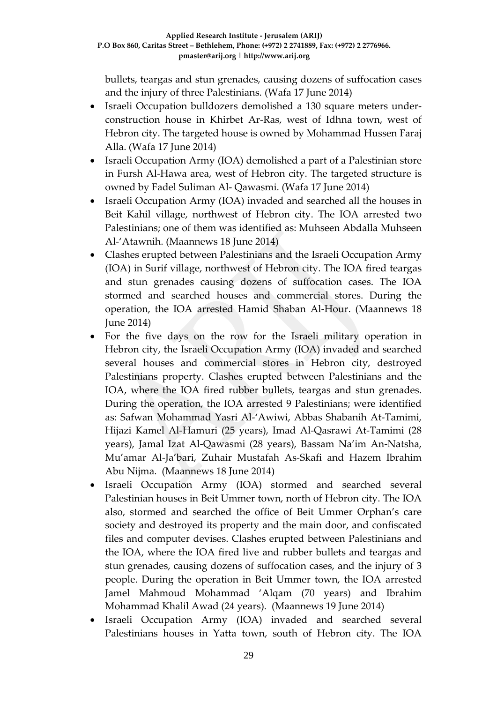bullets, teargas and stun grenades, causing dozens of suffocation cases and the injury of three Palestinians. (Wafa 17 June 2014)

- Israeli Occupation bulldozers demolished a 130 square meters underconstruction house in Khirbet Ar-Ras, west of Idhna town, west of Hebron city. The targeted house is owned by Mohammad Hussen Faraj Alla. (Wafa 17 June 2014)
- Israeli Occupation Army (IOA) demolished a part of a Palestinian store in Fursh Al-Hawa area, west of Hebron city. The targeted structure is owned by Fadel Suliman Al- Qawasmi. (Wafa 17 June 2014)
- Israeli Occupation Army (IOA) invaded and searched all the houses in Beit Kahil village, northwest of Hebron city. The IOA arrested two Palestinians; one of them was identified as: Muhseen Abdalla Muhseen Al-'Atawnih. (Maannews 18 June 2014)
- Clashes erupted between Palestinians and the Israeli Occupation Army (IOA) in Surif village, northwest of Hebron city. The IOA fired teargas and stun grenades causing dozens of suffocation cases. The IOA stormed and searched houses and commercial stores. During the operation, the IOA arrested Hamid Shaban Al-Hour. (Maannews 18 June 2014)
- For the five days on the row for the Israeli military operation in Hebron city, the Israeli Occupation Army (IOA) invaded and searched several houses and commercial stores in Hebron city, destroyed Palestinians property. Clashes erupted between Palestinians and the IOA, where the IOA fired rubber bullets, teargas and stun grenades. During the operation, the IOA arrested 9 Palestinians; were identified as: Safwan Mohammad Yasri Al-'Awiwi, Abbas Shabanih At-Tamimi, Hijazi Kamel Al-Hamuri (25 years), Imad Al-Qasrawi At-Tamimi (28 years), Jamal Izat Al-Qawasmi (28 years), Bassam Na'im An-Natsha, Mu'amar Al-Ja'bari, Zuhair Mustafah As-Skafi and Hazem Ibrahim Abu Nijma. (Maannews 18 June 2014)
- Israeli Occupation Army (IOA) stormed and searched several Palestinian houses in Beit Ummer town, north of Hebron city. The IOA also, stormed and searched the office of Beit Ummer Orphan's care society and destroyed its property and the main door, and confiscated files and computer devises. Clashes erupted between Palestinians and the IOA, where the IOA fired live and rubber bullets and teargas and stun grenades, causing dozens of suffocation cases, and the injury of 3 people. During the operation in Beit Ummer town, the IOA arrested Jamel Mahmoud Mohammad 'Alqam (70 years) and Ibrahim Mohammad Khalil Awad (24 years). (Maannews 19 June 2014)
- Israeli Occupation Army (IOA) invaded and searched several Palestinians houses in Yatta town, south of Hebron city. The IOA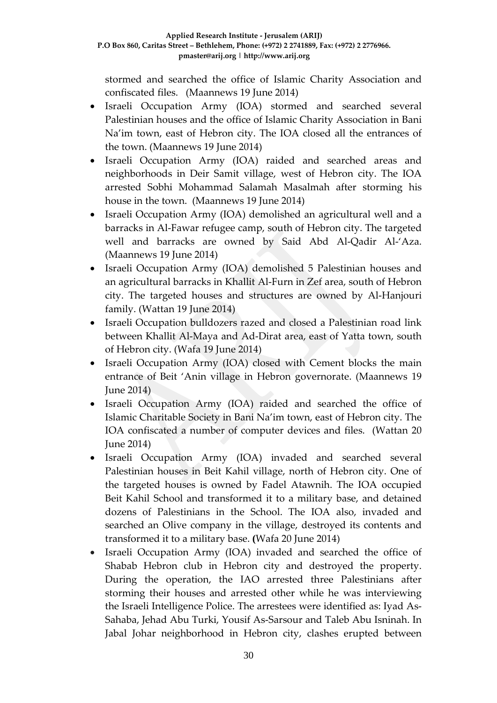stormed and searched the office of Islamic Charity Association and confiscated files. (Maannews 19 June 2014)

- Israeli Occupation Army (IOA) stormed and searched several Palestinian houses and the office of Islamic Charity Association in Bani Na'im town, east of Hebron city. The IOA closed all the entrances of the town. (Maannews 19 June 2014)
- Israeli Occupation Army (IOA) raided and searched areas and neighborhoods in Deir Samit village, west of Hebron city. The IOA arrested Sobhi Mohammad Salamah Masalmah after storming his house in the town. (Maannews 19 June 2014)
- Israeli Occupation Army (IOA) demolished an agricultural well and a barracks in Al-Fawar refugee camp, south of Hebron city. The targeted well and barracks are owned by Said Abd Al-Qadir Al-'Aza. (Maannews 19 June 2014)
- Israeli Occupation Army (IOA) demolished 5 Palestinian houses and an agricultural barracks in Khallit Al-Furn in Zef area, south of Hebron city. The targeted houses and structures are owned by Al-Hanjouri family. (Wattan 19 June 2014)
- Israeli Occupation bulldozers razed and closed a Palestinian road link between Khallit Al-Maya and Ad-Dirat area, east of Yatta town, south of Hebron city. (Wafa 19 June 2014)
- Israeli Occupation Army (IOA) closed with Cement blocks the main entrance of Beit 'Anin village in Hebron governorate. (Maannews 19 June 2014)
- Israeli Occupation Army (IOA) raided and searched the office of Islamic Charitable Society in Bani Na'im town, east of Hebron city. The IOA confiscated a number of computer devices and files. (Wattan 20 June 2014)
- Israeli Occupation Army (IOA) invaded and searched several Palestinian houses in Beit Kahil village, north of Hebron city. One of the targeted houses is owned by Fadel Atawnih. The IOA occupied Beit Kahil School and transformed it to a military base, and detained dozens of Palestinians in the School. The IOA also, invaded and searched an Olive company in the village, destroyed its contents and transformed it to a military base. **(**Wafa 20 June 2014)
- Israeli Occupation Army (IOA) invaded and searched the office of Shabab Hebron club in Hebron city and destroyed the property. During the operation, the IAO arrested three Palestinians after storming their houses and arrested other while he was interviewing the Israeli Intelligence Police. The arrestees were identified as: Iyad As-Sahaba, Jehad Abu Turki, Yousif As-Sarsour and Taleb Abu Isninah. In Jabal Johar neighborhood in Hebron city, clashes erupted between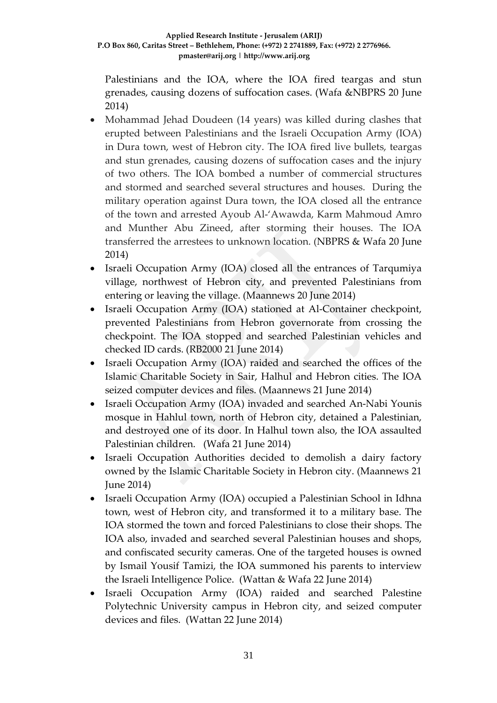Palestinians and the IOA, where the IOA fired teargas and stun grenades, causing dozens of suffocation cases. (Wafa &NBPRS 20 June 2014)

- Mohammad Jehad Doudeen (14 years) was killed during clashes that erupted between Palestinians and the Israeli Occupation Army (IOA) in Dura town, west of Hebron city. The IOA fired live bullets, teargas and stun grenades, causing dozens of suffocation cases and the injury of two others. The IOA bombed a number of commercial structures and stormed and searched several structures and houses. During the military operation against Dura town, the IOA closed all the entrance of the town and arrested Ayoub Al-'Awawda, Karm Mahmoud Amro and Munther Abu Zineed, after storming their houses. The IOA transferred the arrestees to unknown location. (NBPRS & Wafa 20 June 2014)
- Israeli Occupation Army (IOA) closed all the entrances of Tarqumiya village, northwest of Hebron city, and prevented Palestinians from entering or leaving the village. (Maannews 20 June 2014)
- Israeli Occupation Army (IOA) stationed at Al-Container checkpoint, prevented Palestinians from Hebron governorate from crossing the checkpoint. The IOA stopped and searched Palestinian vehicles and checked ID cards. (RB2000 21 June 2014)
- Israeli Occupation Army (IOA) raided and searched the offices of the Islamic Charitable Society in Sair, Halhul and Hebron cities. The IOA seized computer devices and files. (Maannews 21 June 2014)
- Israeli Occupation Army (IOA) invaded and searched An-Nabi Younis mosque in Hahlul town, north of Hebron city, detained a Palestinian, and destroyed one of its door. In Halhul town also, the IOA assaulted Palestinian children. (Wafa 21 June 2014)
- Israeli Occupation Authorities decided to demolish a dairy factory owned by the Islamic Charitable Society in Hebron city. (Maannews 21 June 2014)
- Israeli Occupation Army (IOA) occupied a Palestinian School in Idhna town, west of Hebron city, and transformed it to a military base. The IOA stormed the town and forced Palestinians to close their shops. The IOA also, invaded and searched several Palestinian houses and shops, and confiscated security cameras. One of the targeted houses is owned by Ismail Yousif Tamizi, the IOA summoned his parents to interview the Israeli Intelligence Police. (Wattan & Wafa 22 June 2014)
- Israeli Occupation Army (IOA) raided and searched Palestine Polytechnic University campus in Hebron city, and seized computer devices and files. (Wattan 22 June 2014)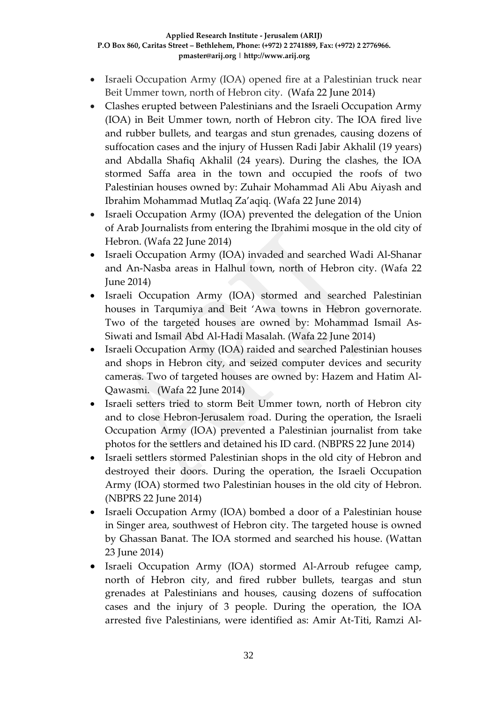- Israeli Occupation Army (IOA) opened fire at a Palestinian truck near Beit Ummer town, north of Hebron city. (Wafa 22 June 2014)
- Clashes erupted between Palestinians and the Israeli Occupation Army (IOA) in Beit Ummer town, north of Hebron city. The IOA fired live and rubber bullets, and teargas and stun grenades, causing dozens of suffocation cases and the injury of Hussen Radi Jabir Akhalil (19 years) and Abdalla Shafiq Akhalil (24 years). During the clashes, the IOA stormed Saffa area in the town and occupied the roofs of two Palestinian houses owned by: Zuhair Mohammad Ali Abu Aiyash and Ibrahim Mohammad Mutlaq Za'aqiq. (Wafa 22 June 2014)
- Israeli Occupation Army (IOA) prevented the delegation of the Union of Arab Journalists from entering the Ibrahimi mosque in the old city of Hebron. (Wafa 22 June 2014)
- Israeli Occupation Army (IOA) invaded and searched Wadi Al-Shanar and An-Nasba areas in Halhul town, north of Hebron city. (Wafa 22 June 2014)
- Israeli Occupation Army (IOA) stormed and searched Palestinian houses in Tarqumiya and Beit 'Awa towns in Hebron governorate. Two of the targeted houses are owned by: Mohammad Ismail As-Siwati and Ismail Abd Al-Hadi Masalah. (Wafa 22 June 2014)
- Israeli Occupation Army (IOA) raided and searched Palestinian houses and shops in Hebron city, and seized computer devices and security cameras. Two of targeted houses are owned by: Hazem and Hatim Al-Qawasmi. (Wafa 22 June 2014)
- Israeli setters tried to storm Beit Ummer town, north of Hebron city and to close Hebron-Jerusalem road. During the operation, the Israeli Occupation Army (IOA) prevented a Palestinian journalist from take photos for the settlers and detained his ID card. (NBPRS 22 June 2014)
- Israeli settlers stormed Palestinian shops in the old city of Hebron and destroyed their doors. During the operation, the Israeli Occupation Army (IOA) stormed two Palestinian houses in the old city of Hebron. (NBPRS 22 June 2014)
- Israeli Occupation Army (IOA) bombed a door of a Palestinian house in Singer area, southwest of Hebron city. The targeted house is owned by Ghassan Banat. The IOA stormed and searched his house. (Wattan 23 June 2014)
- Israeli Occupation Army (IOA) stormed Al-Arroub refugee camp, north of Hebron city, and fired rubber bullets, teargas and stun grenades at Palestinians and houses, causing dozens of suffocation cases and the injury of 3 people. During the operation, the IOA arrested five Palestinians, were identified as: Amir At-Titi, Ramzi Al-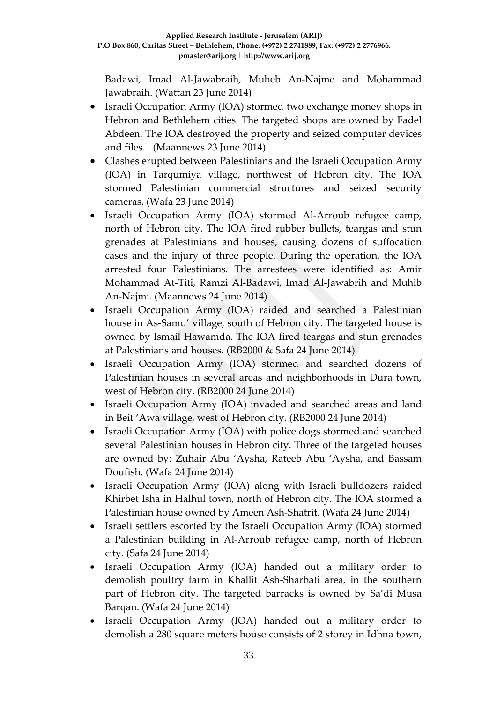Badawi, Imad Al-Jawabraih, Muheb An-Najme and Mohammad Jawabraih. (Wattan 23 June 2014)

- Israeli Occupation Army (IOA) stormed two exchange money shops in Hebron and Bethlehem cities. The targeted shops are owned by Fadel Abdeen. The IOA destroyed the property and seized computer devices and files. (Maannews 23 June 2014)
- Clashes erupted between Palestinians and the Israeli Occupation Army (IOA) in Tarqumiya village, northwest of Hebron city. The IOA stormed Palestinian commercial structures and seized security cameras. (Wafa 23 June 2014)
- Israeli Occupation Army (IOA) stormed Al-Arroub refugee camp, north of Hebron city. The IOA fired rubber bullets, teargas and stun grenades at Palestinians and houses, causing dozens of suffocation cases and the injury of three people. During the operation, the IOA arrested four Palestinians. The arrestees were identified as: Amir Mohammad At-Titi, Ramzi Al-Badawi, Imad Al-Jawabrih and Muhib An-Najmi. (Maannews 24 June 2014)
- Israeli Occupation Army (IOA) raided and searched a Palestinian house in As-Samu' village, south of Hebron city. The targeted house is owned by Ismail Hawamda. The IOA fired teargas and stun grenades at Palestinians and houses. (RB2000 & Safa 24 June 2014)
- Israeli Occupation Army (IOA) stormed and searched dozens of Palestinian houses in several areas and neighborhoods in Dura town, west of Hebron city. (RB2000 24 June 2014)
- Israeli Occupation Army (IOA) invaded and searched areas and land in Beit 'Awa village, west of Hebron city. (RB2000 24 June 2014)
- Israeli Occupation Army (IOA) with police dogs stormed and searched several Palestinian houses in Hebron city. Three of the targeted houses are owned by: Zuhair Abu 'Aysha, Rateeb Abu 'Aysha, and Bassam Doufish. (Wafa 24 June 2014)
- Israeli Occupation Army (IOA) along with Israeli bulldozers raided Khirbet Isha in Halhul town, north of Hebron city. The IOA stormed a Palestinian house owned by Ameen Ash-Shatrit. (Wafa 24 June 2014)
- Israeli settlers escorted by the Israeli Occupation Army (IOA) stormed a Palestinian building in Al-Arroub refugee camp, north of Hebron city. (Safa 24 June 2014)
- Israeli Occupation Army (IOA) handed out a military order to demolish poultry farm in Khallit Ash-Sharbati area, in the southern part of Hebron city. The targeted barracks is owned by Sa'di Musa Barqan. (Wafa 24 June 2014)
- Israeli Occupation Army (IOA) handed out a military order to demolish a 280 square meters house consists of 2 storey in Idhna town,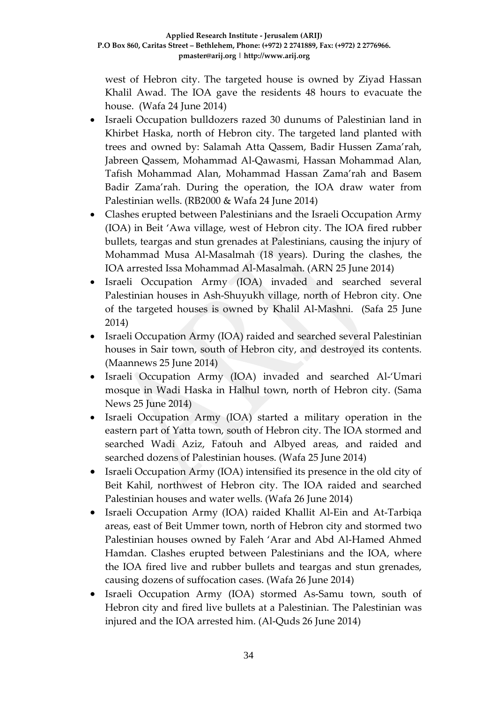west of Hebron city. The targeted house is owned by Ziyad Hassan Khalil Awad. The IOA gave the residents 48 hours to evacuate the house. (Wafa 24 June 2014)

- Israeli Occupation bulldozers razed 30 dunums of Palestinian land in Khirbet Haska, north of Hebron city. The targeted land planted with trees and owned by: Salamah Atta Qassem, Badir Hussen Zama'rah, Jabreen Qassem, Mohammad Al-Qawasmi, Hassan Mohammad Alan, Tafish Mohammad Alan, Mohammad Hassan Zama'rah and Basem Badir Zama'rah. During the operation, the IOA draw water from Palestinian wells. (RB2000 & Wafa 24 June 2014)
- Clashes erupted between Palestinians and the Israeli Occupation Army (IOA) in Beit 'Awa village, west of Hebron city. The IOA fired rubber bullets, teargas and stun grenades at Palestinians, causing the injury of Mohammad Musa Al-Masalmah (18 years). During the clashes, the IOA arrested Issa Mohammad Al-Masalmah. (ARN 25 June 2014)
- Israeli Occupation Army (IOA) invaded and searched several Palestinian houses in Ash-Shuyukh village, north of Hebron city. One of the targeted houses is owned by Khalil Al-Mashni. (Safa 25 June 2014)
- Israeli Occupation Army (IOA) raided and searched several Palestinian houses in Sair town, south of Hebron city, and destroyed its contents. (Maannews 25 June 2014)
- Israeli Occupation Army (IOA) invaded and searched Al-'Umari mosque in Wadi Haska in Halhul town, north of Hebron city. (Sama News 25 June 2014)
- Israeli Occupation Army (IOA) started a military operation in the eastern part of Yatta town, south of Hebron city. The IOA stormed and searched Wadi Aziz, Fatouh and Albyed areas, and raided and searched dozens of Palestinian houses. (Wafa 25 June 2014)
- Israeli Occupation Army (IOA) intensified its presence in the old city of Beit Kahil, northwest of Hebron city. The IOA raided and searched Palestinian houses and water wells. (Wafa 26 June 2014)
- Israeli Occupation Army (IOA) raided Khallit Al-Ein and At-Tarbiqa areas, east of Beit Ummer town, north of Hebron city and stormed two Palestinian houses owned by Faleh 'Arar and Abd Al-Hamed Ahmed Hamdan. Clashes erupted between Palestinians and the IOA, where the IOA fired live and rubber bullets and teargas and stun grenades, causing dozens of suffocation cases. (Wafa 26 June 2014)
- Israeli Occupation Army (IOA) stormed As-Samu town, south of Hebron city and fired live bullets at a Palestinian. The Palestinian was injured and the IOA arrested him. (Al-Quds 26 June 2014)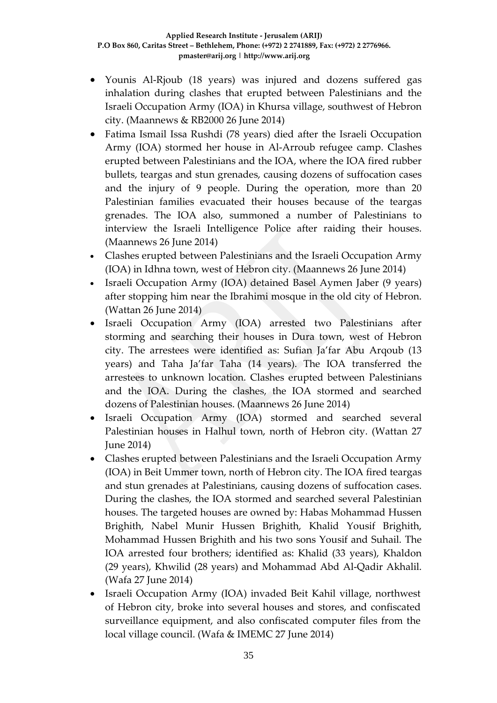- Younis Al-Rjoub (18 years) was injured and dozens suffered gas inhalation during clashes that erupted between Palestinians and the Israeli Occupation Army (IOA) in Khursa village, southwest of Hebron city. (Maannews & RB2000 26 June 2014)
- Fatima Ismail Issa Rushdi (78 years) died after the Israeli Occupation Army (IOA) stormed her house in Al-Arroub refugee camp. Clashes erupted between Palestinians and the IOA, where the IOA fired rubber bullets, teargas and stun grenades, causing dozens of suffocation cases and the injury of 9 people. During the operation, more than 20 Palestinian families evacuated their houses because of the teargas grenades. The IOA also, summoned a number of Palestinians to interview the Israeli Intelligence Police after raiding their houses. (Maannews 26 June 2014)
- Clashes erupted between Palestinians and the Israeli Occupation Army (IOA) in Idhna town, west of Hebron city. (Maannews 26 June 2014)
- Israeli Occupation Army (IOA) detained Basel Aymen Jaber (9 years) after stopping him near the Ibrahimi mosque in the old city of Hebron. (Wattan 26 June 2014)
- Israeli Occupation Army (IOA) arrested two Palestinians after storming and searching their houses in Dura town, west of Hebron city. The arrestees were identified as: Sufian Ja'far Abu Arqoub (13 years) and Taha Ja'far Taha (14 years). The IOA transferred the arrestees to unknown location. Clashes erupted between Palestinians and the IOA. During the clashes, the IOA stormed and searched dozens of Palestinian houses. (Maannews 26 June 2014)
- Israeli Occupation Army (IOA) stormed and searched several Palestinian houses in Halhul town, north of Hebron city. (Wattan 27 June 2014)
- Clashes erupted between Palestinians and the Israeli Occupation Army (IOA) in Beit Ummer town, north of Hebron city. The IOA fired teargas and stun grenades at Palestinians, causing dozens of suffocation cases. During the clashes, the IOA stormed and searched several Palestinian houses. The targeted houses are owned by: Habas Mohammad Hussen Brighith, Nabel Munir Hussen Brighith, Khalid Yousif Brighith, Mohammad Hussen Brighith and his two sons Yousif and Suhail. The IOA arrested four brothers; identified as: Khalid (33 years), Khaldon (29 years), Khwilid (28 years) and Mohammad Abd Al-Qadir Akhalil. (Wafa 27 June 2014)
- Israeli Occupation Army (IOA) invaded Beit Kahil village, northwest of Hebron city, broke into several houses and stores, and confiscated surveillance equipment, and also confiscated computer files from the local village council. (Wafa & IMEMC 27 June 2014)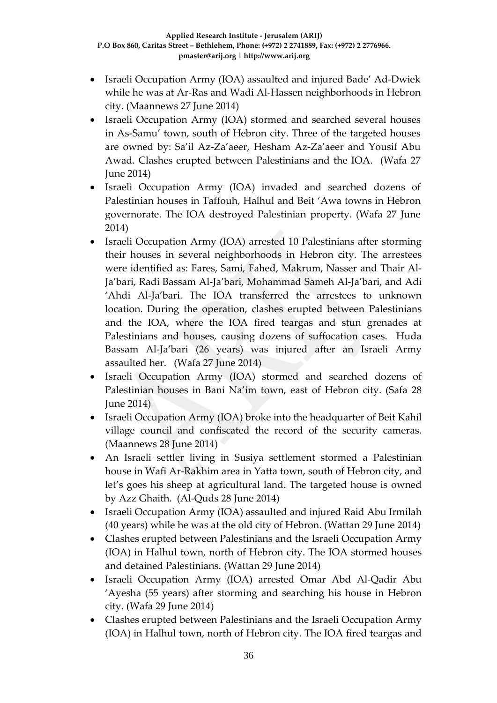- Israeli Occupation Army (IOA) assaulted and injured Bade' Ad-Dwiek while he was at Ar-Ras and Wadi Al-Hassen neighborhoods in Hebron city. (Maannews 27 June 2014)
- Israeli Occupation Army (IOA) stormed and searched several houses in As-Samu' town, south of Hebron city. Three of the targeted houses are owned by: Sa'il Az-Za'aeer, Hesham Az-Za'aeer and Yousif Abu Awad. Clashes erupted between Palestinians and the IOA. (Wafa 27 June 2014)
- Israeli Occupation Army (IOA) invaded and searched dozens of Palestinian houses in Taffouh, Halhul and Beit 'Awa towns in Hebron governorate. The IOA destroyed Palestinian property. (Wafa 27 June 2014)
- Israeli Occupation Army (IOA) arrested 10 Palestinians after storming their houses in several neighborhoods in Hebron city. The arrestees were identified as: Fares, Sami, Fahed, Makrum, Nasser and Thair Al-Ja'bari, Radi Bassam Al-Ja'bari, Mohammad Sameh Al-Ja'bari, and Adi 'Ahdi Al-Ja'bari. The IOA transferred the arrestees to unknown location. During the operation, clashes erupted between Palestinians and the IOA, where the IOA fired teargas and stun grenades at Palestinians and houses, causing dozens of suffocation cases. Huda Bassam Al-Ja'bari (26 years) was injured after an Israeli Army assaulted her. (Wafa 27 June 2014)
- Israeli Occupation Army (IOA) stormed and searched dozens of Palestinian houses in Bani Na'im town, east of Hebron city. (Safa 28 June 2014)
- Israeli Occupation Army (IOA) broke into the headquarter of Beit Kahil village council and confiscated the record of the security cameras. (Maannews 28 June 2014)
- An Israeli settler living in Susiya settlement stormed a Palestinian house in Wafi Ar-Rakhim area in Yatta town, south of Hebron city, and let's goes his sheep at agricultural land. The targeted house is owned by Azz Ghaith. (Al-Quds 28 June 2014)
- Israeli Occupation Army (IOA) assaulted and injured Raid Abu Irmilah (40 years) while he was at the old city of Hebron. (Wattan 29 June 2014)
- Clashes erupted between Palestinians and the Israeli Occupation Army (IOA) in Halhul town, north of Hebron city. The IOA stormed houses and detained Palestinians. (Wattan 29 June 2014)
- Israeli Occupation Army (IOA) arrested Omar Abd Al-Qadir Abu 'Ayesha (55 years) after storming and searching his house in Hebron city. (Wafa 29 June 2014)
- Clashes erupted between Palestinians and the Israeli Occupation Army (IOA) in Halhul town, north of Hebron city. The IOA fired teargas and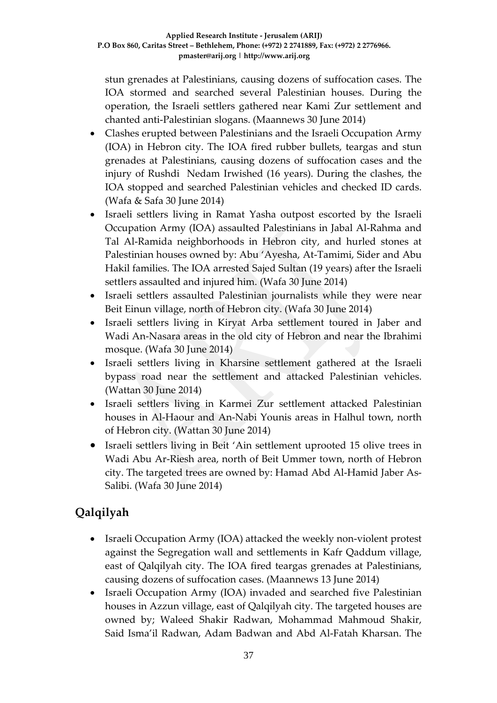stun grenades at Palestinians, causing dozens of suffocation cases. The IOA stormed and searched several Palestinian houses. During the operation, the Israeli settlers gathered near Kami Zur settlement and chanted anti-Palestinian slogans. (Maannews 30 June 2014)

- Clashes erupted between Palestinians and the Israeli Occupation Army (IOA) in Hebron city. The IOA fired rubber bullets, teargas and stun grenades at Palestinians, causing dozens of suffocation cases and the injury of Rushdi Nedam Irwished (16 years). During the clashes, the IOA stopped and searched Palestinian vehicles and checked ID cards. (Wafa & Safa 30 June 2014)
- Israeli settlers living in Ramat Yasha outpost escorted by the Israeli Occupation Army (IOA) assaulted Palestinians in Jabal Al-Rahma and Tal Al-Ramida neighborhoods in Hebron city, and hurled stones at Palestinian houses owned by: Abu 'Ayesha, At-Tamimi, Sider and Abu Hakil families. The IOA arrested Sajed Sultan (19 years) after the Israeli settlers assaulted and injured him. (Wafa 30 June 2014)
- Israeli settlers assaulted Palestinian journalists while they were near Beit Einun village, north of Hebron city. (Wafa 30 June 2014)
- Israeli settlers living in Kiryat Arba settlement toured in Jaber and Wadi An-Nasara areas in the old city of Hebron and near the Ibrahimi mosque. (Wafa 30 June 2014)
- Israeli settlers living in Kharsine settlement gathered at the Israeli bypass road near the settlement and attacked Palestinian vehicles. (Wattan 30 June 2014)
- Israeli settlers living in Karmei Zur settlement attacked Palestinian houses in Al-Haour and An-Nabi Younis areas in Halhul town, north of Hebron city. (Wattan 30 June 2014)
- Israeli settlers living in Beit 'Ain settlement uprooted 15 olive trees in Wadi Abu Ar-Riesh area, north of Beit Ummer town, north of Hebron city. The targeted trees are owned by: Hamad Abd Al-Hamid Jaber As-Salibi. (Wafa 30 June 2014)

# **Qalqilyah**

- Israeli Occupation Army (IOA) attacked the weekly non-violent protest against the Segregation wall and settlements in Kafr Qaddum village, east of Qalqilyah city. The IOA fired teargas grenades at Palestinians, causing dozens of suffocation cases. (Maannews 13 June 2014)
- Israeli Occupation Army (IOA) invaded and searched five Palestinian houses in Azzun village, east of Qalqilyah city. The targeted houses are owned by; Waleed Shakir Radwan, Mohammad Mahmoud Shakir, Said Isma'il Radwan, Adam Badwan and Abd Al-Fatah Kharsan. The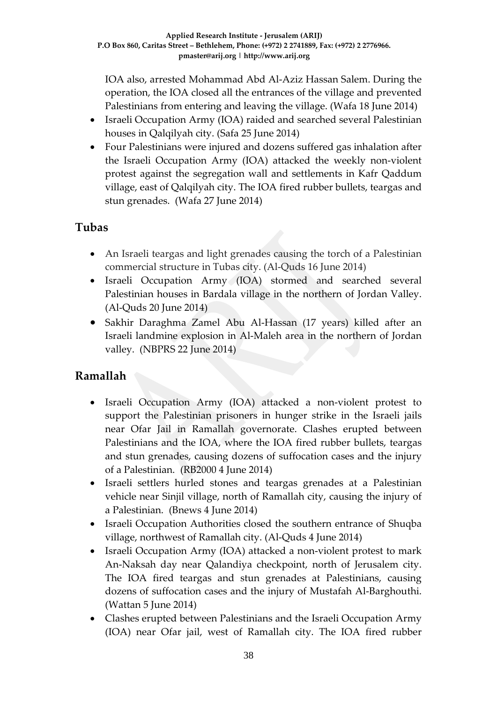IOA also, arrested Mohammad Abd Al-Aziz Hassan Salem. During the operation, the IOA closed all the entrances of the village and prevented Palestinians from entering and leaving the village. (Wafa 18 June 2014)

- Israeli Occupation Army (IOA) raided and searched several Palestinian houses in Qalqilyah city. (Safa 25 June 2014)
- Four Palestinians were injured and dozens suffered gas inhalation after the Israeli Occupation Army (IOA) attacked the weekly non-violent protest against the segregation wall and settlements in Kafr Qaddum village, east of Qalqilyah city. The IOA fired rubber bullets, teargas and stun grenades. (Wafa 27 June 2014)

### **Tubas**

- An Israeli teargas and light grenades causing the torch of a Palestinian commercial structure in Tubas city. (Al-Quds 16 June 2014)
- Israeli Occupation Army (IOA) stormed and searched several Palestinian houses in Bardala village in the northern of Jordan Valley. (Al-Quds 20 June 2014)
- Sakhir Daraghma Zamel Abu Al-Hassan (17 years) killed after an Israeli landmine explosion in Al-Maleh area in the northern of Jordan valley. (NBPRS 22 June 2014)

### **Ramallah**

- Israeli Occupation Army (IOA) attacked a non-violent protest to support the Palestinian prisoners in hunger strike in the Israeli jails near Ofar Jail in Ramallah governorate. Clashes erupted between Palestinians and the IOA, where the IOA fired rubber bullets, teargas and stun grenades, causing dozens of suffocation cases and the injury of a Palestinian. (RB2000 4 June 2014)
- Israeli settlers hurled stones and teargas grenades at a Palestinian vehicle near Sinjil village, north of Ramallah city, causing the injury of a Palestinian. (Bnews 4 June 2014)
- Israeli Occupation Authorities closed the southern entrance of Shuqba village, northwest of Ramallah city. (Al-Quds 4 June 2014)
- Israeli Occupation Army (IOA) attacked a non-violent protest to mark An-Naksah day near Qalandiya checkpoint, north of Jerusalem city. The IOA fired teargas and stun grenades at Palestinians, causing dozens of suffocation cases and the injury of Mustafah Al-Barghouthi. (Wattan 5 June 2014)
- Clashes erupted between Palestinians and the Israeli Occupation Army (IOA) near Ofar jail, west of Ramallah city. The IOA fired rubber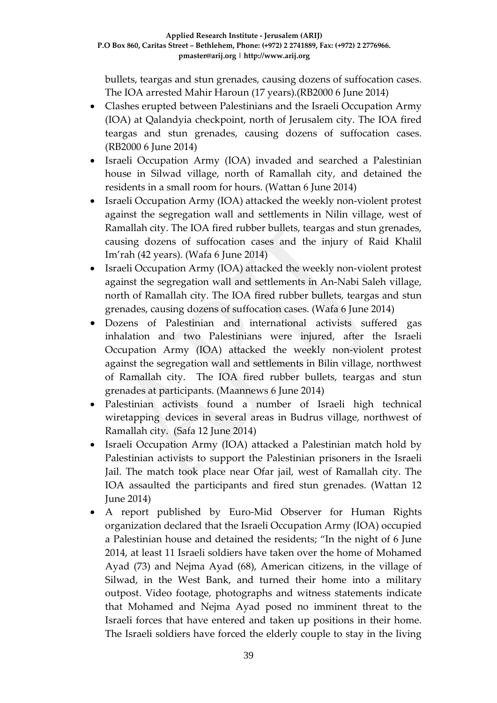bullets, teargas and stun grenades, causing dozens of suffocation cases. The IOA arrested Mahir Haroun (17 years).(RB2000 6 June 2014)

- Clashes erupted between Palestinians and the Israeli Occupation Army (IOA) at Qalandyia checkpoint, north of Jerusalem city. The IOA fired teargas and stun grenades, causing dozens of suffocation cases. (RB2000 6 June 2014)
- Israeli Occupation Army (IOA) invaded and searched a Palestinian house in Silwad village, north of Ramallah city, and detained the residents in a small room for hours. (Wattan 6 June 2014)
- Israeli Occupation Army (IOA) attacked the weekly non-violent protest against the segregation wall and settlements in Nilin village, west of Ramallah city. The IOA fired rubber bullets, teargas and stun grenades, causing dozens of suffocation cases and the injury of Raid Khalil Im'rah (42 years). (Wafa 6 June 2014)
- Israeli Occupation Army (IOA) attacked the weekly non-violent protest against the segregation wall and settlements in An-Nabi Saleh village, north of Ramallah city. The IOA fired rubber bullets, teargas and stun grenades, causing dozens of suffocation cases. (Wafa 6 June 2014)
- Dozens of Palestinian and international activists suffered gas inhalation and two Palestinians were injured, after the Israeli Occupation Army (IOA) attacked the weekly non-violent protest against the segregation wall and settlements in Bilin village, northwest of Ramallah city. The IOA fired rubber bullets, teargas and stun grenades at participants. (Maannews 6 June 2014)
- Palestinian activists found a number of Israeli high technical wiretapping devices in several areas in Budrus village, northwest of Ramallah city. (Safa 12 June 2014)
- Israeli Occupation Army (IOA) attacked a Palestinian match hold by Palestinian activists to support the Palestinian prisoners in the Israeli Jail. The match took place near Ofar jail, west of Ramallah city. The IOA assaulted the participants and fired stun grenades. (Wattan 12 June 2014)
- A report published by Euro-Mid Observer for Human Rights organization declared that the Israeli Occupation Army (IOA) occupied a Palestinian house and detained the residents; "In the night of 6 June 2014, at least 11 Israeli soldiers have taken over the home of Mohamed Ayad (73) and Nejma Ayad (68), American citizens, in the village of Silwad, in the West Bank, and turned their home into a military outpost. Video footage, photographs and witness statements indicate that Mohamed and Nejma Ayad posed no imminent threat to the Israeli forces that have entered and taken up positions in their home. The Israeli soldiers have forced the elderly couple to stay in the living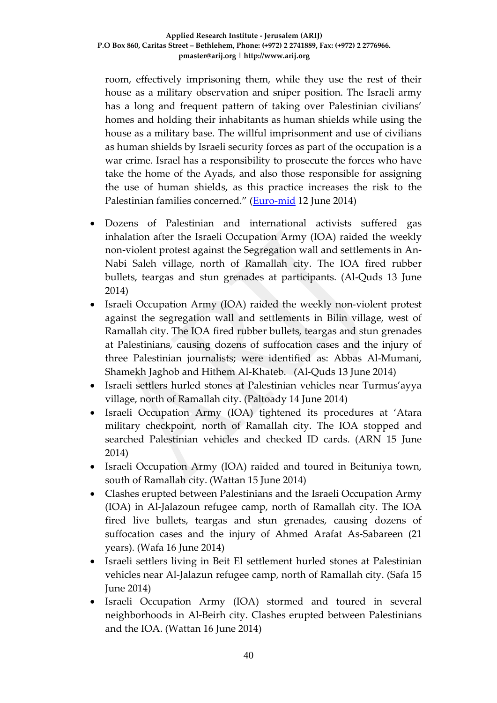room, effectively imprisoning them, while they use the rest of their house as a military observation and sniper position. The Israeli army has a long and frequent pattern of taking over Palestinian civilians' homes and holding their inhabitants as human shields while using the house as a military base. The willful imprisonment and use of civilians as human shields by Israeli security forces as part of the occupation is a war crime. Israel has a responsibility to prosecute the forces who have take the home of the Ayads, and also those responsible for assigning the use of human shields, as this practice increases the risk to the Palestinian families concerned." [\(Euro-mid](http://www.euromid.org/en/article/523/Israel:Use-of-Elderly-as-Human-Shield-Apparent-War-Crime) 12 June 2014)

- Dozens of Palestinian and international activists suffered gas inhalation after the Israeli Occupation Army (IOA) raided the weekly non-violent protest against the Segregation wall and settlements in An-Nabi Saleh village, north of Ramallah city. The IOA fired rubber bullets, teargas and stun grenades at participants. (Al-Quds 13 June 2014)
- Israeli Occupation Army (IOA) raided the weekly non-violent protest against the segregation wall and settlements in Bilin village, west of Ramallah city. The IOA fired rubber bullets, teargas and stun grenades at Palestinians, causing dozens of suffocation cases and the injury of three Palestinian journalists; were identified as: Abbas Al-Mumani, Shamekh Jaghob and Hithem Al-Khateb. (Al-Quds 13 June 2014)
- Israeli settlers hurled stones at Palestinian vehicles near Turmus'ayya village, north of Ramallah city. (Paltoady 14 June 2014)
- Israeli Occupation Army (IOA) tightened its procedures at 'Atara military checkpoint, north of Ramallah city. The IOA stopped and searched Palestinian vehicles and checked ID cards. (ARN 15 June 2014)
- Israeli Occupation Army (IOA) raided and toured in Beituniya town, south of Ramallah city. (Wattan 15 June 2014)
- Clashes erupted between Palestinians and the Israeli Occupation Army (IOA) in Al-Jalazoun refugee camp, north of Ramallah city. The IOA fired live bullets, teargas and stun grenades, causing dozens of suffocation cases and the injury of Ahmed Arafat As-Sabareen (21 years). (Wafa 16 June 2014)
- Israeli settlers living in Beit El settlement hurled stones at Palestinian vehicles near Al-Jalazun refugee camp, north of Ramallah city. (Safa 15 June 2014)
- Israeli Occupation Army (IOA) stormed and toured in several neighborhoods in Al-Beirh city. Clashes erupted between Palestinians and the IOA. (Wattan 16 June 2014)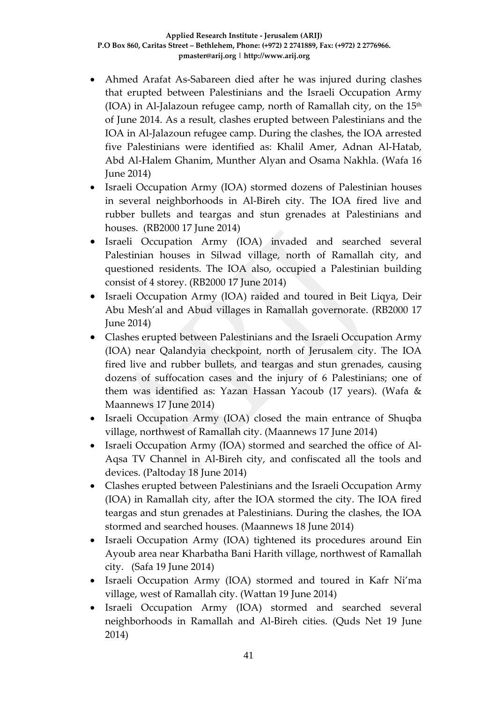- Ahmed Arafat As-Sabareen died after he was injured during clashes that erupted between Palestinians and the Israeli Occupation Army (IOA) in Al-Jalazoun refugee camp, north of Ramallah city, on the  $15<sup>th</sup>$ of June 2014. As a result, clashes erupted between Palestinians and the IOA in Al-Jalazoun refugee camp. During the clashes, the IOA arrested five Palestinians were identified as: Khalil Amer, Adnan Al-Hatab, Abd Al-Halem Ghanim, Munther Alyan and Osama Nakhla. (Wafa 16 June 2014)
- Israeli Occupation Army (IOA) stormed dozens of Palestinian houses in several neighborhoods in Al-Bireh city. The IOA fired live and rubber bullets and teargas and stun grenades at Palestinians and houses. (RB2000 17 June 2014)
- Israeli Occupation Army (IOA) invaded and searched several Palestinian houses in Silwad village, north of Ramallah city, and questioned residents. The IOA also, occupied a Palestinian building consist of 4 storey. (RB2000 17 June 2014)
- Israeli Occupation Army (IOA) raided and toured in Beit Liqya, Deir Abu Mesh'al and Abud villages in Ramallah governorate. (RB2000 17 June 2014)
- Clashes erupted between Palestinians and the Israeli Occupation Army (IOA) near Qalandyia checkpoint, north of Jerusalem city. The IOA fired live and rubber bullets, and teargas and stun grenades, causing dozens of suffocation cases and the injury of 6 Palestinians; one of them was identified as: Yazan Hassan Yacoub (17 years). (Wafa & Maannews 17 June 2014)
- Israeli Occupation Army (IOA) closed the main entrance of Shuqba village, northwest of Ramallah city. (Maannews 17 June 2014)
- Israeli Occupation Army (IOA) stormed and searched the office of Al-Aqsa TV Channel in Al-Bireh city, and confiscated all the tools and devices. (Paltoday 18 June 2014)
- Clashes erupted between Palestinians and the Israeli Occupation Army (IOA) in Ramallah city, after the IOA stormed the city. The IOA fired teargas and stun grenades at Palestinians. During the clashes, the IOA stormed and searched houses. (Maannews 18 June 2014)
- Israeli Occupation Army (IOA) tightened its procedures around Ein Ayoub area near Kharbatha Bani Harith village, northwest of Ramallah city. (Safa 19 June 2014)
- Israeli Occupation Army (IOA) stormed and toured in Kafr Ni'ma village, west of Ramallah city. (Wattan 19 June 2014)
- Israeli Occupation Army (IOA) stormed and searched several neighborhoods in Ramallah and Al-Bireh cities. (Quds Net 19 June 2014)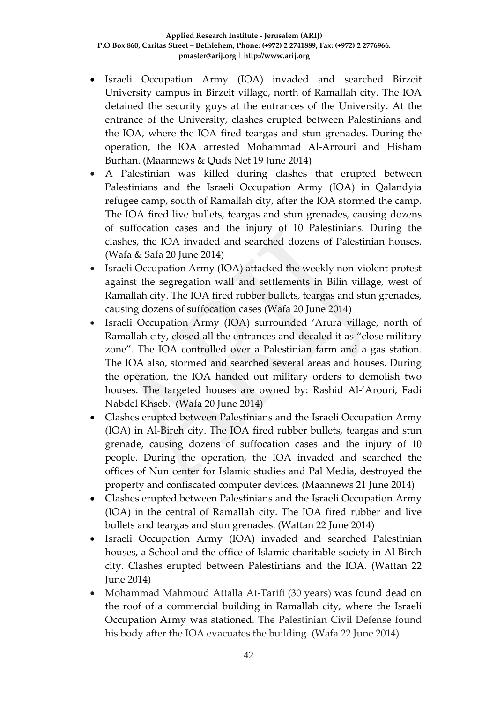- Israeli Occupation Army (IOA) invaded and searched Birzeit University campus in Birzeit village, north of Ramallah city. The IOA detained the security guys at the entrances of the University. At the entrance of the University, clashes erupted between Palestinians and the IOA, where the IOA fired teargas and stun grenades. During the operation, the IOA arrested Mohammad Al-Arrouri and Hisham Burhan. (Maannews & Quds Net 19 June 2014)
- A Palestinian was killed during clashes that erupted between Palestinians and the Israeli Occupation Army (IOA) in Qalandyia refugee camp, south of Ramallah city, after the IOA stormed the camp. The IOA fired live bullets, teargas and stun grenades, causing dozens of suffocation cases and the injury of 10 Palestinians. During the clashes, the IOA invaded and searched dozens of Palestinian houses. (Wafa & Safa 20 June 2014)
- Israeli Occupation Army (IOA) attacked the weekly non-violent protest against the segregation wall and settlements in Bilin village, west of Ramallah city. The IOA fired rubber bullets, teargas and stun grenades, causing dozens of suffocation cases (Wafa 20 June 2014)
- Israeli Occupation Army (IOA) surrounded 'Arura village, north of Ramallah city, closed all the entrances and decaled it as "close military zone". The IOA controlled over a Palestinian farm and a gas station. The IOA also, stormed and searched several areas and houses. During the operation, the IOA handed out military orders to demolish two houses. The targeted houses are owned by: Rashid Al-'Arouri, Fadi Nabdel Khseb. (Wafa 20 June 2014)
- Clashes erupted between Palestinians and the Israeli Occupation Army (IOA) in Al-Bireh city. The IOA fired rubber bullets, teargas and stun grenade, causing dozens of suffocation cases and the injury of 10 people. During the operation, the IOA invaded and searched the offices of Nun center for Islamic studies and Pal Media, destroyed the property and confiscated computer devices. (Maannews 21 June 2014)
- Clashes erupted between Palestinians and the Israeli Occupation Army (IOA) in the central of Ramallah city. The IOA fired rubber and live bullets and teargas and stun grenades. (Wattan 22 June 2014)
- Israeli Occupation Army (IOA) invaded and searched Palestinian houses, a School and the office of Islamic charitable society in Al-Bireh city. Clashes erupted between Palestinians and the IOA. (Wattan 22 June 2014)
- Mohammad Mahmoud Attalla At-Tarifi (30 years) was found dead on the roof of a commercial building in Ramallah city, where the Israeli Occupation Army was stationed. The Palestinian Civil Defense found his body after the IOA evacuates the building. (Wafa 22 June 2014)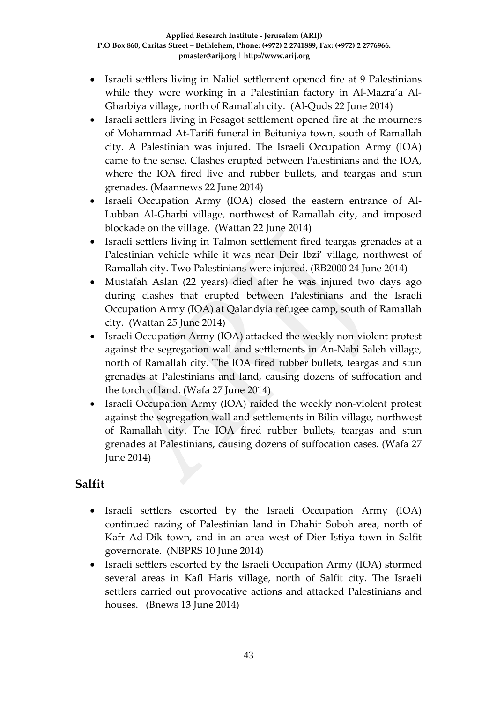- Israeli settlers living in Naliel settlement opened fire at 9 Palestinians while they were working in a Palestinian factory in Al-Mazra'a Al-Gharbiya village, north of Ramallah city. (Al-Quds 22 June 2014)
- Israeli settlers living in Pesagot settlement opened fire at the mourners of Mohammad At-Tarifi funeral in Beituniya town, south of Ramallah city. A Palestinian was injured. The Israeli Occupation Army (IOA) came to the sense. Clashes erupted between Palestinians and the IOA, where the IOA fired live and rubber bullets, and teargas and stun grenades. (Maannews 22 June 2014)
- Israeli Occupation Army (IOA) closed the eastern entrance of Al-Lubban Al-Gharbi village, northwest of Ramallah city, and imposed blockade on the village. (Wattan 22 June 2014)
- Israeli settlers living in Talmon settlement fired teargas grenades at a Palestinian vehicle while it was near Deir Ibzi' village, northwest of Ramallah city. Two Palestinians were injured. (RB2000 24 June 2014)
- Mustafah Aslan (22 years) died after he was injured two days ago during clashes that erupted between Palestinians and the Israeli Occupation Army (IOA) at Qalandyia refugee camp, south of Ramallah city. (Wattan 25 June 2014)
- Israeli Occupation Army (IOA) attacked the weekly non-violent protest against the segregation wall and settlements in An-Nabi Saleh village, north of Ramallah city. The IOA fired rubber bullets, teargas and stun grenades at Palestinians and land, causing dozens of suffocation and the torch of land. (Wafa 27 June 2014)
- Israeli Occupation Army (IOA) raided the weekly non-violent protest against the segregation wall and settlements in Bilin village, northwest of Ramallah city. The IOA fired rubber bullets, teargas and stun grenades at Palestinians, causing dozens of suffocation cases. (Wafa 27 June 2014)

### **Salfit**

- Israeli settlers escorted by the Israeli Occupation Army (IOA) continued razing of Palestinian land in Dhahir Soboh area, north of Kafr Ad-Dik town, and in an area west of Dier Istiya town in Salfit governorate. (NBPRS 10 June 2014)
- Israeli settlers escorted by the Israeli Occupation Army (IOA) stormed several areas in Kafl Haris village, north of Salfit city. The Israeli settlers carried out provocative actions and attacked Palestinians and houses. (Bnews 13 June 2014)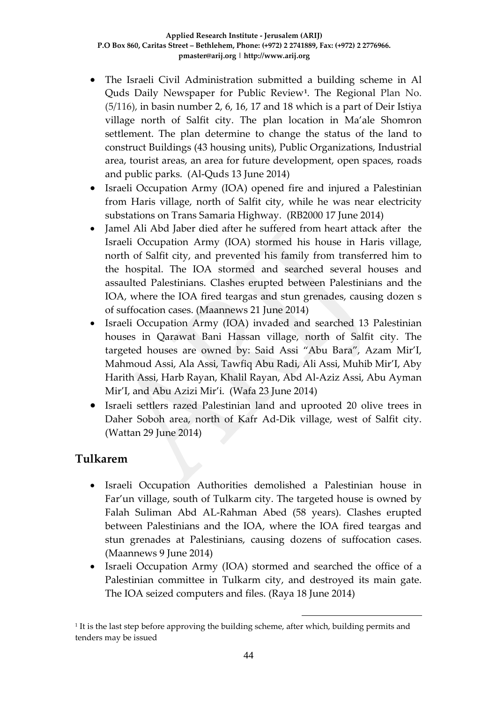- The Israeli Civil Administration submitted a building scheme in Al Quds Daily Newspaper for Public Review**[1](#page-43-0)** . The Regional Plan No. (5/116), in basin number 2, 6, 16, 17 and 18 which is a part of Deir Istiya village north of Salfit city. The plan location in Ma'ale Shomron settlement. The plan determine to change the status of the land to construct Buildings (43 housing units), Public Organizations, Industrial area, tourist areas, an area for future development, open spaces, roads and public parks. (Al-Quds 13 June 2014)
- Israeli Occupation Army (IOA) opened fire and injured a Palestinian from Haris village, north of Salfit city, while he was near electricity substations on Trans Samaria Highway. (RB2000 17 June 2014)
- Jamel Ali Abd Jaber died after he suffered from heart attack after the Israeli Occupation Army (IOA) stormed his house in Haris village, north of Salfit city, and prevented his family from transferred him to the hospital. The IOA stormed and searched several houses and assaulted Palestinians. Clashes erupted between Palestinians and the IOA, where the IOA fired teargas and stun grenades, causing dozen s of suffocation cases. (Maannews 21 June 2014)
- Israeli Occupation Army (IOA) invaded and searched 13 Palestinian houses in Qarawat Bani Hassan village, north of Salfit city. The targeted houses are owned by: Said Assi "Abu Bara", Azam Mir'I, Mahmoud Assi, Ala Assi, Tawfiq Abu Radi, Ali Assi, Muhib Mir'I, Aby Harith Assi, Harb Rayan, Khalil Rayan, Abd Al-Aziz Assi, Abu Ayman Mir'I, and Abu Azizi Mir'i. (Wafa 23 June 2014)
- Israeli settlers razed Palestinian land and uprooted 20 olive trees in Daher Soboh area, north of Kafr Ad-Dik village, west of Salfit city. (Wattan 29 June 2014)

#### **Tulkarem**

- Israeli Occupation Authorities demolished a Palestinian house in Far'un village, south of Tulkarm city. The targeted house is owned by Falah Suliman Abd AL-Rahman Abed (58 years). Clashes erupted between Palestinians and the IOA, where the IOA fired teargas and stun grenades at Palestinians, causing dozens of suffocation cases. (Maannews 9 June 2014)
- Israeli Occupation Army (IOA) stormed and searched the office of a Palestinian committee in Tulkarm city, and destroyed its main gate. The IOA seized computers and files. (Raya 18 June 2014)

-

<span id="page-43-0"></span> $<sup>1</sup>$  It is the last step before approving the building scheme, after which, building permits and</sup> tenders may be issued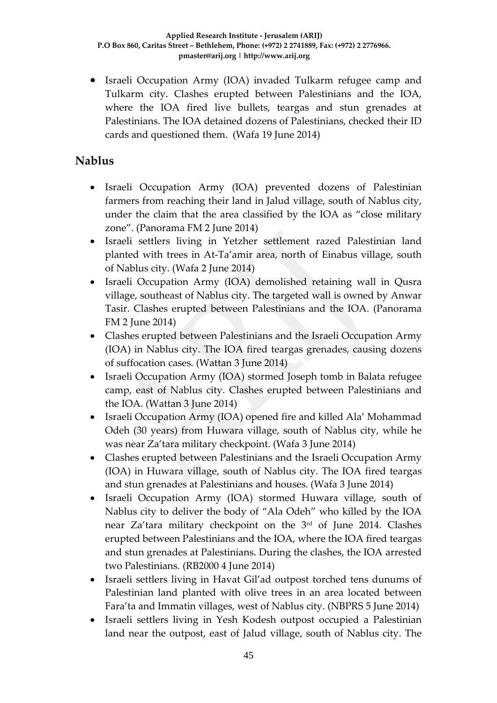• Israeli Occupation Army (IOA) invaded Tulkarm refugee camp and Tulkarm city. Clashes erupted between Palestinians and the IOA, where the IOA fired live bullets, teargas and stun grenades at Palestinians. The IOA detained dozens of Palestinians, checked their ID cards and questioned them. (Wafa 19 June 2014)

### **Nablus**

- Israeli Occupation Army (IOA) prevented dozens of Palestinian farmers from reaching their land in Jalud village, south of Nablus city, under the claim that the area classified by the IOA as "close military zone". (Panorama FM 2 June 2014)
- Israeli settlers living in Yetzher settlement razed Palestinian land planted with trees in At-Ta'amir area, north of Einabus village, south of Nablus city. (Wafa 2 June 2014)
- Israeli Occupation Army (IOA) demolished retaining wall in Qusra village, southeast of Nablus city. The targeted wall is owned by Anwar Tasir. Clashes erupted between Palestinians and the IOA. (Panorama FM 2 June 2014)
- Clashes erupted between Palestinians and the Israeli Occupation Army (IOA) in Nablus city. The IOA fired teargas grenades, causing dozens of suffocation cases. (Wattan 3 June 2014)
- Israeli Occupation Army (IOA) stormed Joseph tomb in Balata refugee camp, east of Nablus city. Clashes erupted between Palestinians and the IOA. (Wattan 3 June 2014)
- Israeli Occupation Army (IOA) opened fire and killed Ala' Mohammad Odeh (30 years) from Huwara village, south of Nablus city, while he was near Za'tara military checkpoint. (Wafa 3 June 2014)
- Clashes erupted between Palestinians and the Israeli Occupation Army (IOA) in Huwara village, south of Nablus city. The IOA fired teargas and stun grenades at Palestinians and houses. (Wafa 3 June 2014)
- Israeli Occupation Army (IOA) stormed Huwara village, south of Nablus city to deliver the body of "Ala Odeh" who killed by the IOA near Za'tara military checkpoint on the 3rd of June 2014. Clashes erupted between Palestinians and the IOA, where the IOA fired teargas and stun grenades at Palestinians. During the clashes, the IOA arrested two Palestinians. (RB2000 4 June 2014)
- Israeli settlers living in Havat Gil'ad outpost torched tens dunums of Palestinian land planted with olive trees in an area located between Fara'ta and Immatin villages, west of Nablus city. (NBPRS 5 June 2014)
- Israeli settlers living in Yesh Kodesh outpost occupied a Palestinian land near the outpost, east of Jalud village, south of Nablus city. The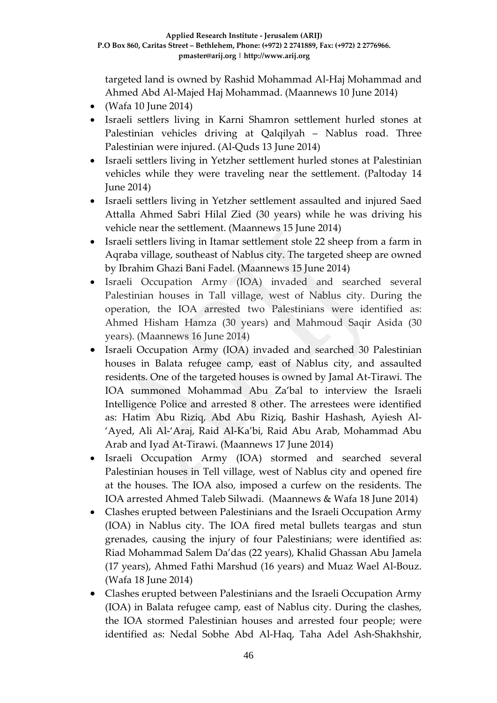targeted land is owned by Rashid Mohammad Al-Haj Mohammad and Ahmed Abd Al-Majed Haj Mohammad. (Maannews 10 June 2014)

- $\bullet$  (Wafa 10 June 2014)
- Israeli settlers living in Karni Shamron settlement hurled stones at Palestinian vehicles driving at Qalqilyah – Nablus road. Three Palestinian were injured. (Al-Quds 13 June 2014)
- Israeli settlers living in Yetzher settlement hurled stones at Palestinian vehicles while they were traveling near the settlement. (Paltoday 14 June 2014)
- Israeli settlers living in Yetzher settlement assaulted and injured Saed Attalla Ahmed Sabri Hilal Zied (30 years) while he was driving his vehicle near the settlement. (Maannews 15 June 2014)
- Israeli settlers living in Itamar settlement stole 22 sheep from a farm in Aqraba village, southeast of Nablus city. The targeted sheep are owned by Ibrahim Ghazi Bani Fadel. (Maannews 15 June 2014)
- Israeli Occupation Army (IOA) invaded and searched several Palestinian houses in Tall village, west of Nablus city. During the operation, the IOA arrested two Palestinians were identified as: Ahmed Hisham Hamza (30 years) and Mahmoud Saqir Asida (30 years). (Maannews 16 June 2014)
- Israeli Occupation Army (IOA) invaded and searched 30 Palestinian houses in Balata refugee camp, east of Nablus city, and assaulted residents. One of the targeted houses is owned by Jamal At-Tirawi. The IOA summoned Mohammad Abu Za'bal to interview the Israeli Intelligence Police and arrested 8 other. The arrestees were identified as: Hatim Abu Riziq, Abd Abu Riziq, Bashir Hashash, Ayiesh Al- 'Ayed, Ali Al-'Araj, Raid Al-Ka'bi, Raid Abu Arab, Mohammad Abu Arab and Iyad At-Tirawi. (Maannews 17 June 2014)
- Israeli Occupation Army (IOA) stormed and searched several Palestinian houses in Tell village, west of Nablus city and opened fire at the houses. The IOA also, imposed a curfew on the residents. The IOA arrested Ahmed Taleb Silwadi. (Maannews & Wafa 18 June 2014)
- Clashes erupted between Palestinians and the Israeli Occupation Army (IOA) in Nablus city. The IOA fired metal bullets teargas and stun grenades, causing the injury of four Palestinians; were identified as: Riad Mohammad Salem Da'das (22 years), Khalid Ghassan Abu Jamela (17 years), Ahmed Fathi Marshud (16 years) and Muaz Wael Al-Bouz. (Wafa 18 June 2014)
- Clashes erupted between Palestinians and the Israeli Occupation Army (IOA) in Balata refugee camp, east of Nablus city. During the clashes, the IOA stormed Palestinian houses and arrested four people; were identified as: Nedal Sobhe Abd Al-Haq, Taha Adel Ash-Shakhshir,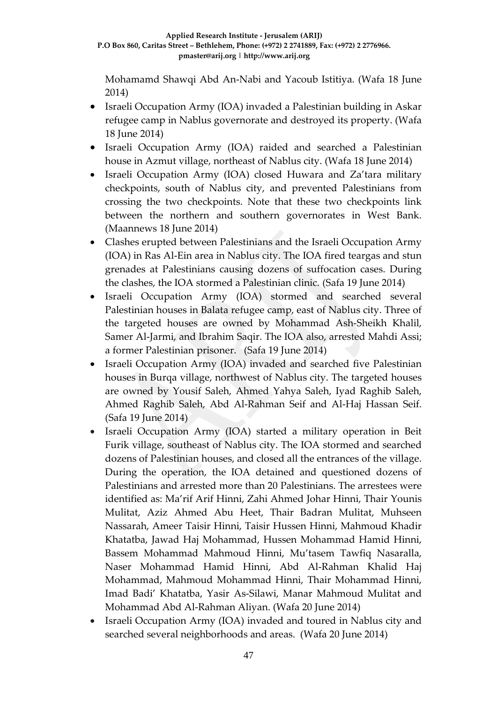Mohamamd Shawqi Abd An-Nabi and Yacoub Istitiya. (Wafa 18 June 2014)

- Israeli Occupation Army (IOA) invaded a Palestinian building in Askar refugee camp in Nablus governorate and destroyed its property. (Wafa 18 June 2014)
- Israeli Occupation Army (IOA) raided and searched a Palestinian house in Azmut village, northeast of Nablus city. (Wafa 18 June 2014)
- Israeli Occupation Army (IOA) closed Huwara and Za'tara military checkpoints, south of Nablus city, and prevented Palestinians from crossing the two checkpoints. Note that these two checkpoints link between the northern and southern governorates in West Bank. (Maannews 18 June 2014)
- Clashes erupted between Palestinians and the Israeli Occupation Army (IOA) in Ras Al-Ein area in Nablus city. The IOA fired teargas and stun grenades at Palestinians causing dozens of suffocation cases. During the clashes, the IOA stormed a Palestinian clinic. (Safa 19 June 2014)
- Israeli Occupation Army (IOA) stormed and searched several Palestinian houses in Balata refugee camp, east of Nablus city. Three of the targeted houses are owned by Mohammad Ash-Sheikh Khalil, Samer Al-Jarmi, and Ibrahim Saqir. The IOA also, arrested Mahdi Assi; a former Palestinian prisoner. (Safa 19 June 2014)
- Israeli Occupation Army (IOA) invaded and searched five Palestinian houses in Burqa village, northwest of Nablus city. The targeted houses are owned by Yousif Saleh, Ahmed Yahya Saleh, Iyad Raghib Saleh, Ahmed Raghib Saleh, Abd Al-Rahman Seif and Al-Haj Hassan Seif. (Safa 19 June 2014)
- Israeli Occupation Army (IOA) started a military operation in Beit Furik village, southeast of Nablus city. The IOA stormed and searched dozens of Palestinian houses, and closed all the entrances of the village. During the operation, the IOA detained and questioned dozens of Palestinians and arrested more than 20 Palestinians. The arrestees were identified as: Ma'rif Arif Hinni, Zahi Ahmed Johar Hinni, Thair Younis Mulitat, Aziz Ahmed Abu Heet, Thair Badran Mulitat, Muhseen Nassarah, Ameer Taisir Hinni, Taisir Hussen Hinni, Mahmoud Khadir Khatatba, Jawad Haj Mohammad, Hussen Mohammad Hamid Hinni, Bassem Mohammad Mahmoud Hinni, Mu'tasem Tawfiq Nasaralla, Naser Mohammad Hamid Hinni, Abd Al-Rahman Khalid Haj Mohammad, Mahmoud Mohammad Hinni, Thair Mohammad Hinni, Imad Badi' Khatatba, Yasir As-Silawi, Manar Mahmoud Mulitat and Mohammad Abd Al-Rahman Aliyan. (Wafa 20 June 2014)
- Israeli Occupation Army (IOA) invaded and toured in Nablus city and searched several neighborhoods and areas. (Wafa 20 June 2014)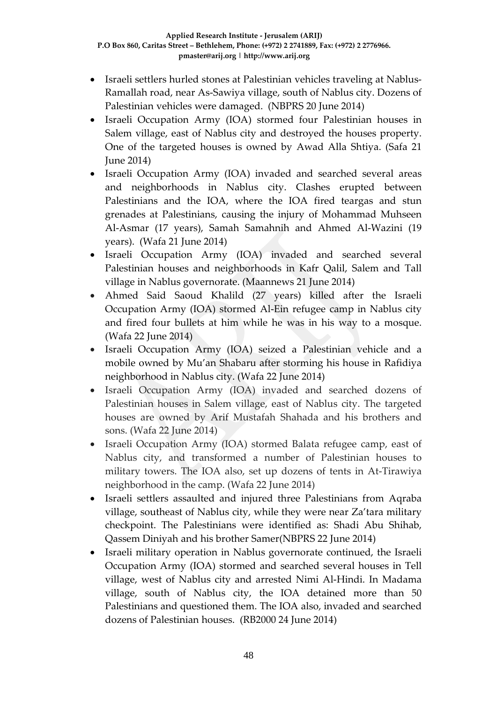- Israeli settlers hurled stones at Palestinian vehicles traveling at Nablus-Ramallah road, near As-Sawiya village, south of Nablus city. Dozens of Palestinian vehicles were damaged. (NBPRS 20 June 2014)
- Israeli Occupation Army (IOA) stormed four Palestinian houses in Salem village, east of Nablus city and destroyed the houses property. One of the targeted houses is owned by Awad Alla Shtiya. (Safa 21 June 2014)
- Israeli Occupation Army (IOA) invaded and searched several areas and neighborhoods in Nablus city. Clashes erupted between Palestinians and the IOA, where the IOA fired teargas and stun grenades at Palestinians, causing the injury of Mohammad Muhseen Al-Asmar (17 years), Samah Samahnih and Ahmed Al-Wazini (19 years). (Wafa 21 June 2014)
- Israeli Occupation Army (IOA) invaded and searched several Palestinian houses and neighborhoods in Kafr Qalil, Salem and Tall village in Nablus governorate. (Maannews 21 June 2014)
- Ahmed Said Saoud Khalild (27 years) killed after the Israeli Occupation Army (IOA) stormed Al-Ein refugee camp in Nablus city and fired four bullets at him while he was in his way to a mosque. (Wafa 22 June 2014)
- Israeli Occupation Army (IOA) seized a Palestinian vehicle and a mobile owned by Mu'an Shabaru after storming his house in Rafidiya neighborhood in Nablus city. (Wafa 22 June 2014)
- Israeli Occupation Army (IOA) invaded and searched dozens of Palestinian houses in Salem village, east of Nablus city. The targeted houses are owned by Arif Mustafah Shahada and his brothers and sons. (Wafa 22 June 2014)
- Israeli Occupation Army (IOA) stormed Balata refugee camp, east of Nablus city, and transformed a number of Palestinian houses to military towers. The IOA also, set up dozens of tents in At-Tirawiya neighborhood in the camp. (Wafa 22 June 2014)
- Israeli settlers assaulted and injured three Palestinians from Aqraba village, southeast of Nablus city, while they were near Za'tara military checkpoint. The Palestinians were identified as: Shadi Abu Shihab, Qassem Diniyah and his brother Samer(NBPRS 22 June 2014)
- Israeli military operation in Nablus governorate continued, the Israeli Occupation Army (IOA) stormed and searched several houses in Tell village, west of Nablus city and arrested Nimi Al-Hindi. In Madama village, south of Nablus city, the IOA detained more than 50 Palestinians and questioned them. The IOA also, invaded and searched dozens of Palestinian houses. (RB2000 24 June 2014)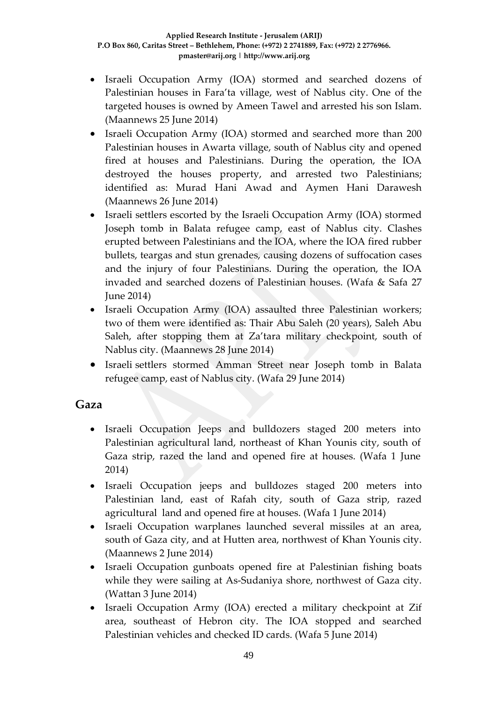- Israeli Occupation Army (IOA) stormed and searched dozens of Palestinian houses in Fara'ta village, west of Nablus city. One of the targeted houses is owned by Ameen Tawel and arrested his son Islam. (Maannews 25 June 2014)
- Israeli Occupation Army (IOA) stormed and searched more than 200 Palestinian houses in Awarta village, south of Nablus city and opened fired at houses and Palestinians. During the operation, the IOA destroyed the houses property, and arrested two Palestinians; identified as: Murad Hani Awad and Aymen Hani Darawesh (Maannews 26 June 2014)
- Israeli settlers escorted by the Israeli Occupation Army (IOA) stormed Joseph tomb in Balata refugee camp, east of Nablus city. Clashes erupted between Palestinians and the IOA, where the IOA fired rubber bullets, teargas and stun grenades, causing dozens of suffocation cases and the injury of four Palestinians. During the operation, the IOA invaded and searched dozens of Palestinian houses. (Wafa & Safa 27 June 2014)
- Israeli Occupation Army (IOA) assaulted three Palestinian workers; two of them were identified as: Thair Abu Saleh (20 years), Saleh Abu Saleh, after stopping them at Za'tara military checkpoint, south of Nablus city. (Maannews 28 June 2014)
- Israeli settlers stormed Amman Street near Joseph tomb in Balata refugee camp, east of Nablus city. (Wafa 29 June 2014)

#### **Gaza**

- Israeli Occupation Jeeps and bulldozers staged 200 meters into Palestinian agricultural land, northeast of Khan Younis city, south of Gaza strip, razed the land and opened fire at houses. (Wafa 1 June 2014)
- Israeli Occupation jeeps and bulldozes staged 200 meters into Palestinian land, east of Rafah city, south of Gaza strip, razed agricultural land and opened fire at houses. (Wafa 1 June 2014)
- Israeli Occupation warplanes launched several missiles at an area, south of Gaza city, and at Hutten area, northwest of Khan Younis city. (Maannews 2 June 2014)
- Israeli Occupation gunboats opened fire at Palestinian fishing boats while they were sailing at As-Sudaniya shore, northwest of Gaza city. (Wattan 3 June 2014)
- Israeli Occupation Army (IOA) erected a military checkpoint at Zif area, southeast of Hebron city. The IOA stopped and searched Palestinian vehicles and checked ID cards. (Wafa 5 June 2014)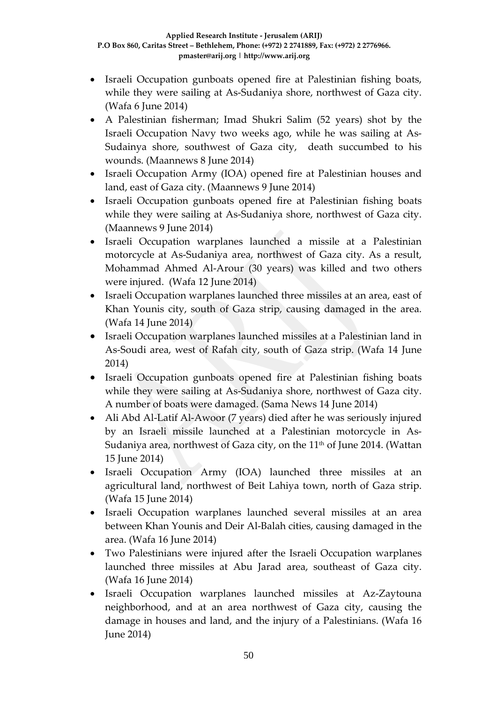- Israeli Occupation gunboats opened fire at Palestinian fishing boats, while they were sailing at As-Sudaniya shore, northwest of Gaza city. (Wafa 6 June 2014)
- A Palestinian fisherman; Imad Shukri Salim (52 years) shot by the Israeli Occupation Navy two weeks ago, while he was sailing at As-Sudainya shore, southwest of Gaza city, death succumbed to his wounds. (Maannews 8 June 2014)
- Israeli Occupation Army (IOA) opened fire at Palestinian houses and land, east of Gaza city. (Maannews 9 June 2014)
- Israeli Occupation gunboats opened fire at Palestinian fishing boats while they were sailing at As-Sudaniya shore, northwest of Gaza city. (Maannews 9 June 2014)
- Israeli Occupation warplanes launched a missile at a Palestinian motorcycle at As-Sudaniya area, northwest of Gaza city. As a result, Mohammad Ahmed Al-Arour (30 years) was killed and two others were injured. (Wafa 12 June 2014)
- Israeli Occupation warplanes launched three missiles at an area, east of Khan Younis city, south of Gaza strip, causing damaged in the area. (Wafa 14 June 2014)
- Israeli Occupation warplanes launched missiles at a Palestinian land in As-Soudi area, west of Rafah city, south of Gaza strip. (Wafa 14 June 2014)
- Israeli Occupation gunboats opened fire at Palestinian fishing boats while they were sailing at As-Sudaniya shore, northwest of Gaza city. A number of boats were damaged. (Sama News 14 June 2014)
- Ali Abd Al-Latif Al-Awoor (7 years) died after he was seriously injured by an Israeli missile launched at a Palestinian motorcycle in As-Sudaniya area, northwest of Gaza city, on the 11<sup>th</sup> of June 2014. (Wattan 15 June 2014)
- Israeli Occupation Army (IOA) launched three missiles at an agricultural land, northwest of Beit Lahiya town, north of Gaza strip. (Wafa 15 June 2014)
- Israeli Occupation warplanes launched several missiles at an area between Khan Younis and Deir Al-Balah cities, causing damaged in the area. (Wafa 16 June 2014)
- Two Palestinians were injured after the Israeli Occupation warplanes launched three missiles at Abu Jarad area, southeast of Gaza city. (Wafa 16 June 2014)
- Israeli Occupation warplanes launched missiles at Az-Zaytouna neighborhood, and at an area northwest of Gaza city, causing the damage in houses and land, and the injury of a Palestinians. (Wafa 16 June 2014)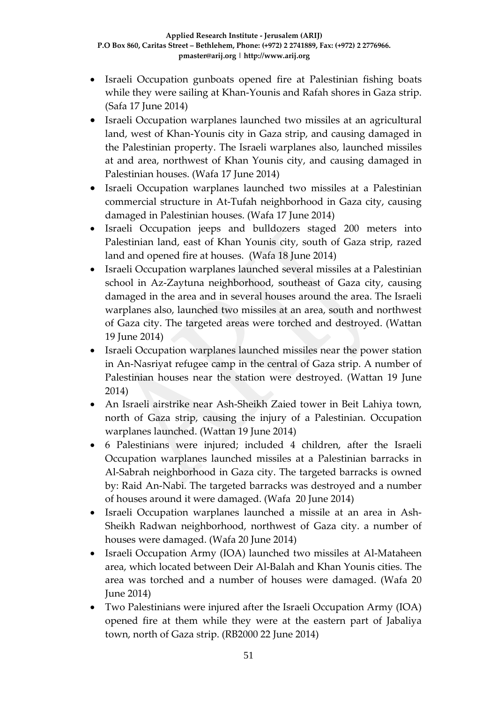- Israeli Occupation gunboats opened fire at Palestinian fishing boats while they were sailing at Khan-Younis and Rafah shores in Gaza strip. (Safa 17 June 2014)
- Israeli Occupation warplanes launched two missiles at an agricultural land, west of Khan-Younis city in Gaza strip, and causing damaged in the Palestinian property. The Israeli warplanes also, launched missiles at and area, northwest of Khan Younis city, and causing damaged in Palestinian houses. (Wafa 17 June 2014)
- Israeli Occupation warplanes launched two missiles at a Palestinian commercial structure in At-Tufah neighborhood in Gaza city, causing damaged in Palestinian houses. (Wafa 17 June 2014)
- Israeli Occupation jeeps and bulldozers staged 200 meters into Palestinian land, east of Khan Younis city, south of Gaza strip, razed land and opened fire at houses. (Wafa 18 June 2014)
- Israeli Occupation warplanes launched several missiles at a Palestinian school in Az-Zaytuna neighborhood, southeast of Gaza city, causing damaged in the area and in several houses around the area. The Israeli warplanes also, launched two missiles at an area, south and northwest of Gaza city. The targeted areas were torched and destroyed. (Wattan 19 June 2014)
- Israeli Occupation warplanes launched missiles near the power station in An-Nasriyat refugee camp in the central of Gaza strip. A number of Palestinian houses near the station were destroyed. (Wattan 19 June 2014)
- An Israeli airstrike near Ash-Sheikh Zaied tower in Beit Lahiya town, north of Gaza strip, causing the injury of a Palestinian. Occupation warplanes launched. (Wattan 19 June 2014)
- 6 Palestinians were injured; included 4 children, after the Israeli Occupation warplanes launched missiles at a Palestinian barracks in Al-Sabrah neighborhood in Gaza city. The targeted barracks is owned by: Raid An-Nabi. The targeted barracks was destroyed and a number of houses around it were damaged. (Wafa 20 June 2014)
- Israeli Occupation warplanes launched a missile at an area in Ash-Sheikh Radwan neighborhood, northwest of Gaza city. a number of houses were damaged. (Wafa 20 June 2014)
- Israeli Occupation Army (IOA) launched two missiles at Al-Mataheen area, which located between Deir Al-Balah and Khan Younis cities. The area was torched and a number of houses were damaged. (Wafa 20 June 2014)
- Two Palestinians were injured after the Israeli Occupation Army (IOA) opened fire at them while they were at the eastern part of Jabaliya town, north of Gaza strip. (RB2000 22 June 2014)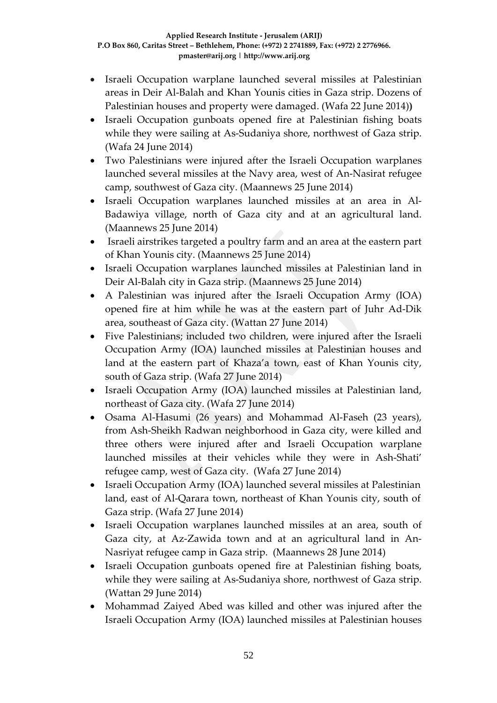- Israeli Occupation warplane launched several missiles at Palestinian areas in Deir Al-Balah and Khan Younis cities in Gaza strip. Dozens of Palestinian houses and property were damaged. (Wafa 22 June 2014)**)**
- Israeli Occupation gunboats opened fire at Palestinian fishing boats while they were sailing at As-Sudaniya shore, northwest of Gaza strip. (Wafa 24 June 2014)
- Two Palestinians were injured after the Israeli Occupation warplanes launched several missiles at the Navy area, west of An-Nasirat refugee camp, southwest of Gaza city. (Maannews 25 June 2014)
- Israeli Occupation warplanes launched missiles at an area in Al-Badawiya village, north of Gaza city and at an agricultural land. (Maannews 25 June 2014)
- Israeli airstrikes targeted a poultry farm and an area at the eastern part of Khan Younis city. (Maannews 25 June 2014)
- Israeli Occupation warplanes launched missiles at Palestinian land in Deir Al-Balah city in Gaza strip. (Maannews 25 June 2014)
- A Palestinian was injured after the Israeli Occupation Army (IOA) opened fire at him while he was at the eastern part of Juhr Ad-Dik area, southeast of Gaza city. (Wattan 27 June 2014)
- Five Palestinians; included two children, were injured after the Israeli Occupation Army (IOA) launched missiles at Palestinian houses and land at the eastern part of Khaza'a town, east of Khan Younis city, south of Gaza strip. (Wafa 27 June 2014)
- Israeli Occupation Army (IOA) launched missiles at Palestinian land, northeast of Gaza city. (Wafa 27 June 2014)
- Osama Al-Hasumi (26 years) and Mohammad Al-Faseh (23 years), from Ash-Sheikh Radwan neighborhood in Gaza city, were killed and three others were injured after and Israeli Occupation warplane launched missiles at their vehicles while they were in Ash-Shati' refugee camp, west of Gaza city. (Wafa 27 June 2014)
- Israeli Occupation Army (IOA) launched several missiles at Palestinian land, east of Al-Qarara town, northeast of Khan Younis city, south of Gaza strip. (Wafa 27 June 2014)
- Israeli Occupation warplanes launched missiles at an area, south of Gaza city, at Az-Zawida town and at an agricultural land in An-Nasriyat refugee camp in Gaza strip. (Maannews 28 June 2014)
- Israeli Occupation gunboats opened fire at Palestinian fishing boats, while they were sailing at As-Sudaniya shore, northwest of Gaza strip. (Wattan 29 June 2014)
- Mohammad Zaiyed Abed was killed and other was injured after the Israeli Occupation Army (IOA) launched missiles at Palestinian houses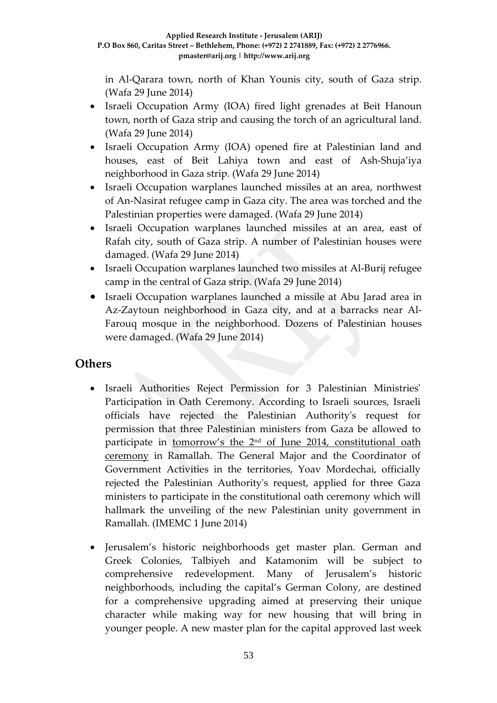in Al-Qarara town, north of Khan Younis city, south of Gaza strip. (Wafa 29 June 2014)

- Israeli Occupation Army (IOA) fired light grenades at Beit Hanoun town, north of Gaza strip and causing the torch of an agricultural land. (Wafa 29 June 2014)
- Israeli Occupation Army (IOA) opened fire at Palestinian land and houses, east of Beit Lahiya town and east of Ash-Shuja'iya neighborhood in Gaza strip. (Wafa 29 June 2014)
- Israeli Occupation warplanes launched missiles at an area, northwest of An-Nasirat refugee camp in Gaza city. The area was torched and the Palestinian properties were damaged. (Wafa 29 June 2014)
- Israeli Occupation warplanes launched missiles at an area, east of Rafah city, south of Gaza strip. A number of Palestinian houses were damaged. (Wafa 29 June 2014)
- Israeli Occupation warplanes launched two missiles at Al-Burij refugee camp in the central of Gaza strip. (Wafa 29 June 2014)
- Israeli Occupation warplanes launched a missile at Abu Jarad area in Az-Zaytoun neighborhood in Gaza city, and at a barracks near Al-Farouq mosque in the neighborhood. Dozens of Palestinian houses were damaged. (Wafa 29 June 2014)

#### **Others**

- Israeli Authorities Reject Permission for 3 Palestinian Ministries' Participation in Oath Ceremony. According to Israeli sources, Israeli officials have rejected the Palestinian Authority's request for permission that three Palestinian ministers from Gaza be allowed to participate in tomorrow's the 2nd [of June 2014, constitutional oath](http://www.imemc.org/article/67981)  [ceremony](http://www.imemc.org/article/67981) in Ramallah. The General Major and the Coordinator of Government Activities in the territories, Yoav Mordechai, officially rejected the Palestinian Authority's request, applied for three Gaza ministers to participate in the constitutional oath ceremony which will hallmark the unveiling of the new Palestinian unity government in Ramallah. (IMEMC 1 June 2014)
- Jerusalem's historic neighborhoods get master plan. German and Greek Colonies, Talbiyeh and Katamonim will be subject to comprehensive redevelopment. Many of Jerusalem's historic neighborhoods, including the capital's German Colony, are destined for a comprehensive upgrading aimed at preserving their unique character while making way for new housing that will bring in younger people. A new master plan for the capital approved last week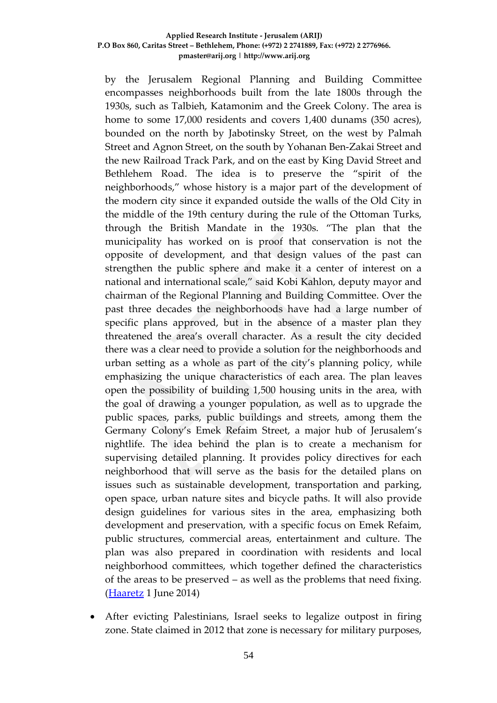by the Jerusalem Regional Planning and Building Committee encompasses neighborhoods built from the late 1800s through the 1930s, such as Talbieh, Katamonim and the Greek Colony. The area is home to some 17,000 residents and covers 1,400 dunams (350 acres), bounded on the north by Jabotinsky Street, on the west by Palmah Street and Agnon Street, on the south by Yohanan Ben-Zakai Street and the new Railroad Track Park, and on the east by King David Street and Bethlehem Road. The idea is to preserve the "spirit of the neighborhoods," whose history is a major part of the development of the modern city since it expanded outside the walls of the Old City in the middle of the 19th century during the rule of the Ottoman Turks, through the British Mandate in the 1930s. "The plan that the municipality has worked on is proof that conservation is not the opposite of development, and that design values of the past can strengthen the public sphere and make it a center of interest on a national and international scale," said Kobi Kahlon, deputy mayor and chairman of the Regional Planning and Building Committee. Over the past three decades the neighborhoods have had a large number of specific plans approved, but in the absence of a master plan they threatened the area's overall character. As a result the city decided there was a clear need to provide a solution for the neighborhoods and urban setting as a whole as part of the city's planning policy, while emphasizing the unique characteristics of each area. The plan leaves open the possibility of building 1,500 housing units in the area, with the goal of drawing a younger population, as well as to upgrade the public spaces, parks, public buildings and streets, among them the Germany Colony's Emek Refaim Street, a major hub of Jerusalem's nightlife. The idea behind the plan is to create a mechanism for supervising detailed planning. It provides policy directives for each neighborhood that will serve as the basis for the detailed plans on issues such as sustainable development, transportation and parking, open space, urban nature sites and bicycle paths. It will also provide design guidelines for various sites in the area, emphasizing both development and preservation, with a specific focus on Emek Refaim, public structures, commercial areas, entertainment and culture. The plan was also prepared in coordination with residents and local neighborhood committees, which together defined the characteristics of the areas to be preserved – as well as the problems that need fixing. [\(Haaretz](http://www.haaretz.com/news/national/.premium-1.596550) 1 June 2014)

• After evicting Palestinians, Israel seeks to legalize outpost in firing zone. State claimed in 2012 that zone is necessary for military purposes,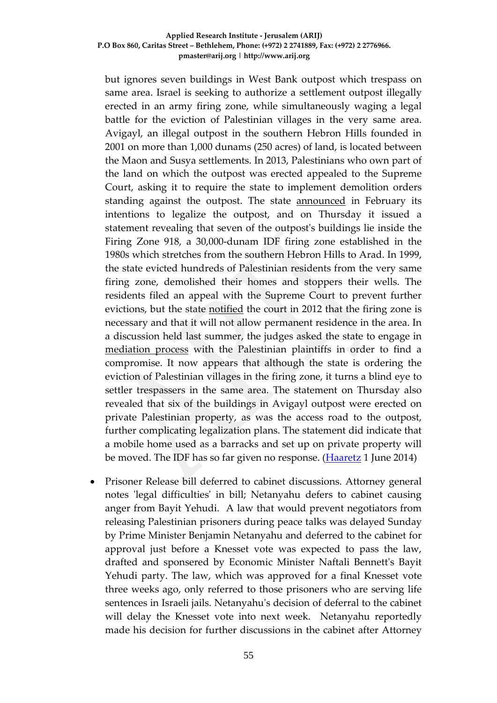but ignores seven buildings in West Bank outpost which trespass on same area. Israel is seeking to authorize a settlement outpost illegally erected in an army firing zone, while simultaneously waging a legal battle for the eviction of Palestinian villages in the very same area. Avigayl, an illegal outpost in the southern Hebron Hills founded in 2001 on more than 1,000 dunams (250 acres) of land, is located between the Maon and Susya settlements. In 2013, Palestinians who own part of the land on which the outpost was erected appealed to the Supreme Court, asking it to require the state to implement demolition orders standing against the outpost. The state [announced](http://www.haaretz.com/news/diplomacy-defense/.premium-1.575791) in February its intentions to legalize the outpost, and on Thursday it issued a statement revealing that seven of the outpost's buildings lie inside the Firing Zone 918, a 30,000-dunam IDF firing zone established in the 1980s which stretches from the southern Hebron Hills to Arad. In 1999, the state evicted hundreds of Palestinian residents from the very same firing zone, demolished their homes and stoppers their wells. The residents filed an appeal with the Supreme Court to prevent further evictions, but the state [notified](http://www.haaretz.com/news/diplomacy-defense/israel-orders-demolition-of-8-palestinian-villages-claims-need-for-idf-training-land-1.453015) the court in 2012 that the firing zone is necessary and that it will not allow permanent residence in the area. In a discussion held last summer, the judges asked the state to engage in [mediation process](http://www.haaretz.com/news/diplomacy-defense/.premium-1.545005) with the Palestinian plaintiffs in order to find a compromise. It now appears that although the state is ordering the eviction of Palestinian villages in the firing zone, it turns a blind eye to settler trespassers in the same area. The statement on Thursday also revealed that six of the buildings in Avigayl outpost were erected on private Palestinian property, as was the access road to the outpost, further complicating legalization plans. The statement did indicate that a mobile home used as a barracks and set up on private property will be moved. The IDF has so far given no response. [\(Haaretz](http://www.haaretz.com/news/national/.premium-1.596500) 1 June 2014)

• Prisoner Release bill deferred to cabinet discussions. Attorney general notes 'legal difficulties' in bill; Netanyahu defers to cabinet causing anger from Bayit Yehudi. A law that would prevent negotiators from releasing Palestinian prisoners during peace talks was delayed Sunday by Prime Minister Benjamin Netanyahu and deferred to the cabinet for approval just before a Knesset vote was expected to pass the law, drafted and sponsered by Economic Minister Naftali Bennett's Bayit Yehudi party. The law, which was approved for a final Knesset vote three weeks ago, only referred to those prisoners who are serving life sentences in Israeli jails. Netanyahu's decision of deferral to the cabinet will delay the Knesset vote into next week. Netanyahu reportedly made his decision for further discussions in the cabinet after Attorney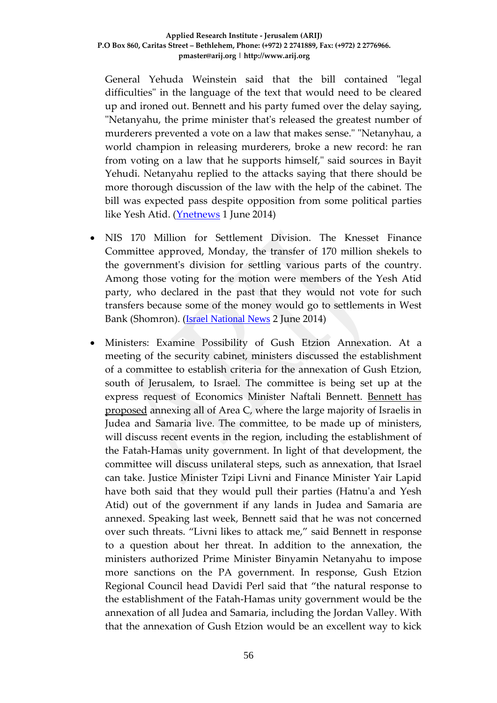General Yehuda Weinstein said that the bill contained "legal difficulties" in the language of the text that would need to be cleared up and ironed out. Bennett and his party fumed over the delay saying, "Netanyahu, the prime minister that's released the greatest number of murderers prevented a vote on a law that makes sense." "Netanyhau, a world champion in releasing murderers, broke a new record: he ran from voting on a law that he supports himself," said sources in Bayit Yehudi. Netanyahu replied to the attacks saying that there should be more thorough discussion of the law with the help of the cabinet. The bill was expected pass despite opposition from some political parties like Yesh Atid. [\(Ynetnews](http://www.rris.idc.ac.il/openhouse-2014/?ref=200005&toolId=xxx&website=channel7_button) 1 June 2014)

- NIS 170 Million for Settlement Division. The Knesset Finance Committee approved, Monday, the transfer of 170 million shekels to the government's division for settling various parts of the country. Among those voting for the motion were members of the Yesh Atid party, who declared in the past that they would not vote for such transfers because some of the money would go to settlements in West Bank (Shomron). ([Israel National News](http://www.israelnationalnews.com/News/Flash.aspx/294727) 2 June 2014)
- Ministers: Examine Possibility of Gush Etzion Annexation. At a meeting of the security cabinet, ministers discussed the establishment of a committee to establish criteria for the annexation of Gush Etzion, south of Jerusalem, to Israel. The committee is being set up at the express request of Economics Minister Naftali Bennett. [Bennett has](http://www.israelnationalnews.com/News/News.aspx/163386)  [proposed](http://www.israelnationalnews.com/News/News.aspx/163386) annexing all of Area C, where the large majority of Israelis in Judea and Samaria live. The committee, to be made up of ministers, will discuss recent events in the region, including the establishment of the Fatah-Hamas unity government. In light of that development, the committee will discuss unilateral steps, such as annexation, that Israel can take. Justice Minister Tzipi Livni and Finance Minister Yair Lapid have both said that they would pull their parties (Hatnu'a and Yesh Atid) out of the government if any lands in Judea and Samaria are annexed. Speaking last week, Bennett said that he was not concerned over such threats. "Livni likes to attack me," said Bennett in response to a question about her threat. In addition to the annexation, the ministers authorized Prime Minister Binyamin Netanyahu to impose more sanctions on the PA government. In response, Gush Etzion Regional Council head Davidi Perl said that "the natural response to the establishment of the Fatah-Hamas unity government would be the annexation of all Judea and Samaria, including the Jordan Valley. With that the annexation of Gush Etzion would be an excellent way to kick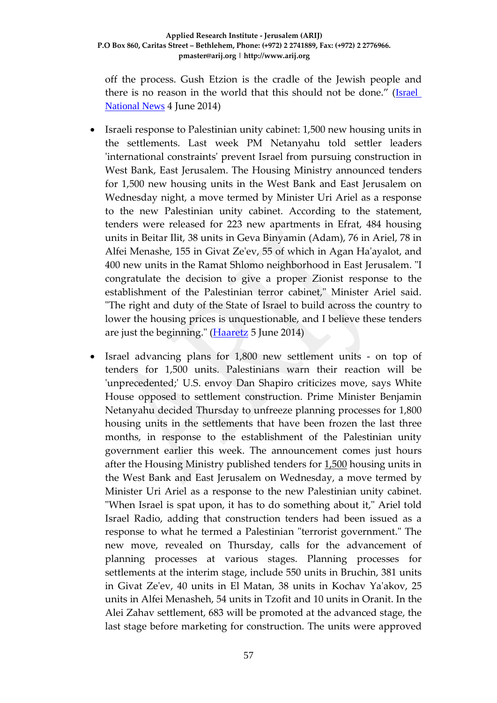off the process. Gush Etzion is the cradle of the Jewish people and there is no reason in the world that this should not be done." ([Israel](http://www.israelnationalnews.com/News/News.aspx/181327)  [National News](http://www.israelnationalnews.com/News/News.aspx/181327) 4 June 2014)

- Israeli response to Palestinian unity cabinet: 1,500 new housing units in the settlements. Last week PM Netanyahu told settler leaders 'international constraints' prevent Israel from pursuing construction in West Bank, East Jerusalem. The Housing Ministry announced tenders for 1,500 new housing units in the West Bank and East Jerusalem on Wednesday night, a move termed by Minister Uri Ariel as a response to the new Palestinian unity cabinet. According to the statement, tenders were released for 223 new apartments in Efrat, 484 housing units in Beitar Ilit, 38 units in Geva Binyamin (Adam), 76 in Ariel, 78 in Alfei Menashe, 155 in Givat Ze'ev, 55 of which in Agan Ha'ayalot, and 400 new units in the Ramat Shlomo neighborhood in East Jerusalem. "I congratulate the decision to give a proper Zionist response to the establishment of the Palestinian terror cabinet," Minister Ariel said. "The right and duty of the State of Israel to build across the country to lower the housing prices is unquestionable, and I believe these tenders are just the beginning." [\(Haaretz](http://www.haaretz.com/news/diplomacy-defense/.premium-1.597084) 5 June 2014)
- Israel advancing plans for 1,800 new settlement units on top of tenders for 1,500 units. Palestinians warn their reaction will be 'unprecedented;' U.S. envoy Dan Shapiro criticizes move, says White House opposed to settlement construction. Prime Minister Benjamin Netanyahu decided Thursday to unfreeze planning processes for 1,800 housing units in the settlements that have been frozen the last three months, in response to the establishment of the Palestinian unity government earlier this week. The announcement comes just hours after the Housing Ministry published tenders for [1,500](http://www.haaretz.com/news/diplomacy-defense/.premium-1.597084) housing units in the West Bank and East Jerusalem on Wednesday, a move termed by Minister Uri Ariel as a response to the new Palestinian unity cabinet. "When Israel is spat upon, it has to do something about it," Ariel told Israel Radio, adding that construction tenders had been issued as a response to what he termed a Palestinian "terrorist government." The new move, revealed on Thursday, calls for the advancement of planning processes at various stages. Planning processes for settlements at the interim stage, include 550 units in Bruchin, 381 units in Givat Ze'ev, 40 units in El Matan, 38 units in Kochav Ya'akov, 25 units in Alfei Menasheh, 54 units in Tzofit and 10 units in Oranit. In the Alei Zahav settlement, 683 will be promoted at the advanced stage, the last stage before marketing for construction. The units were approved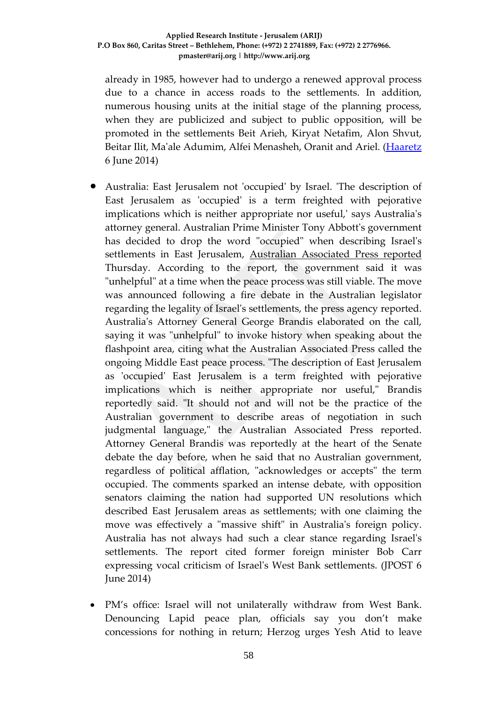already in 1985, however had to undergo a renewed approval process due to a chance in access roads to the settlements. In addition, numerous housing units at the initial stage of the planning process, when they are publicized and subject to public opposition, will be promoted in the settlements Beit Arieh, Kiryat Netafim, Alon Shvut, Beitar Ilit, Ma'ale Adumim, Alfei Menasheh, Oranit and Ariel. [\(Haaretz](http://www.great-offers.co.il/W/Bcure/index.html?cgid=%7BBFC600BE-26B2-4BA4-375C-B640E70ED4FD%7D) 6 June 2014)

- Australia: East Jerusalem not 'occupied' by Israel. 'The description of East Jerusalem as 'occupied' is a term freighted with pejorative implications which is neither appropriate nor useful,' says Australia's attorney general. Australian Prime Minister Tony Abbott's government has decided to drop the word "occupied" when describing Israel's settlements in East Jerusalem, [Australian Associated Press reported](http://linicom.co.il/external/?u=60&a=http%3A%2F%2Fwww.theguardian.com%2Fworld%2F2014%2Fjun%2F05%2Faustralia-drops-occupied-israeli-settlements) Thursday. According to the report, the government said it was "unhelpful" at a time when the peace process was still viable. The move was announced following a fire debate in the Australian legislator regarding the legality of Israel's settlements, the press agency reported. Australia's Attorney General George Brandis elaborated on the call, saying it was "unhelpful" to invoke history when speaking about the flashpoint area, citing what the Australian Associated Press called the ongoing Middle East peace process. "The description of East Jerusalem as 'occupied' East Jerusalem is a term freighted with pejorative implications which is neither appropriate nor useful," Brandis reportedly said. "It should not and will not be the practice of the Australian government to describe areas of negotiation in such judgmental language," the Australian Associated Press reported. Attorney General Brandis was reportedly at the heart of the Senate debate the day before, when he said that no Australian government, regardless of political afflation, "acknowledges or accepts" the term occupied. The comments sparked an intense debate, with opposition senators claiming the nation had supported UN resolutions which described East Jerusalem areas as settlements; with one claiming the move was effectively a "massive shift" in Australia's foreign policy. Australia has not always had such a clear stance regarding Israel's settlements. The report cited former foreign minister Bob Carr expressing vocal criticism of Israel's West Bank settlements. (JPOST 6 June 2014)
- PM's office: Israel will not unilaterally withdraw from West Bank. Denouncing Lapid peace plan, officials say you don't make concessions for nothing in return; Herzog urges Yesh Atid to leave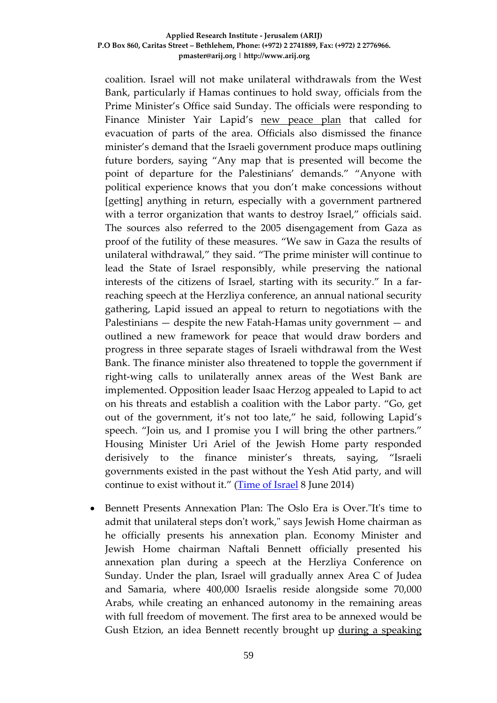coalition. Israel will not make unilateral withdrawals from the West Bank, particularly if Hamas continues to hold sway, officials from the Prime Minister's Office said Sunday. The officials were responding to Finance Minister Yair Lapid's [new peace plan](http://www.timesofisrael.com/lapid-if-israel-annexes-settlements-we-will-topple-govt/) that called for evacuation of parts of the area. Officials also dismissed the finance minister's demand that the Israeli government produce maps outlining future borders, saying "Any map that is presented will become the point of departure for the Palestinians' demands." "Anyone with political experience knows that you don't make concessions without [getting] anything in return, especially with a government partnered with a terror organization that wants to destroy Israel," officials said. The sources also referred to the 2005 disengagement from Gaza as proof of the futility of these measures. "We saw in Gaza the results of unilateral withdrawal," they said. "The prime minister will continue to lead the State of Israel responsibly, while preserving the national interests of the citizens of Israel, starting with its security." In a farreaching speech at the Herzliya conference, an annual national security gathering, Lapid issued an appeal to return to negotiations with the Palestinians — despite the new Fatah-Hamas unity government — and outlined a new framework for peace that would draw borders and progress in three separate stages of Israeli withdrawal from the West Bank. The finance minister also threatened to topple the government if right-wing calls to unilaterally annex areas of the West Bank are implemented. Opposition leader Isaac Herzog appealed to Lapid to act on his threats and establish a coalition with the Labor party. "Go, get out of the government, it's not too late," he said, following Lapid's speech. "Join us, and I promise you I will bring the other partners." Housing Minister Uri Ariel of the Jewish Home party responded derisively to the finance minister's threats, saying, "Israeli governments existed in the past without the Yesh Atid party, and will continue to exist without it." [\(Time of Israel](http://www.timesofisrael.com/pmo-israel-will-not-unilaterally-withdraw-from-west-bank/) 8 June 2014)

• Bennett Presents Annexation Plan: The Oslo Era is Over."It's time to admit that unilateral steps don't work," says Jewish Home chairman as he officially presents his annexation plan. Economy Minister and Jewish Home chairman Naftali Bennett officially presented his annexation plan during a speech at the Herzliya Conference on Sunday. Under the plan, Israel will gradually annex Area C of Judea and Samaria, where 400,000 Israelis reside alongside some 70,000 Arabs, while creating an enhanced autonomy in the remaining areas with full freedom of movement. The first area to be annexed would be Gush Etzion, an idea Bennett recently brought up [during a speaking](http://www.israelnationalnews.com/News/News.aspx/181200)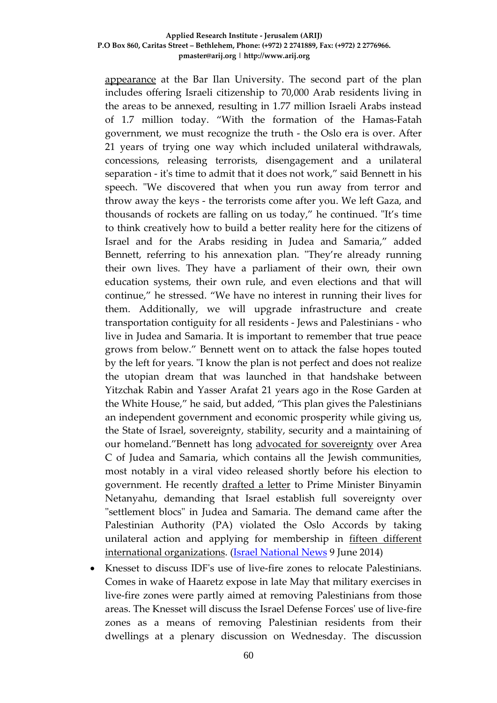[appearance](http://www.israelnationalnews.com/News/News.aspx/181200) at the Bar Ilan University. The second part of the plan includes offering Israeli citizenship to 70,000 Arab residents living in the areas to be annexed, resulting in 1.77 million Israeli Arabs instead of 1.7 million today. "With the formation of the Hamas-Fatah government, we must recognize the truth - the Oslo era is over. After 21 years of trying one way which included unilateral withdrawals, concessions, releasing terrorists, disengagement and a unilateral separation - it's time to admit that it does not work," said Bennett in his speech. "We discovered that when you run away from terror and throw away the keys - the terrorists come after you. We left Gaza, and thousands of rockets are falling on us today," he continued. "It's time to think creatively how to build a better reality here for the citizens of Israel and for the Arabs residing in Judea and Samaria," added Bennett, referring to his annexation plan. "They're already running their own lives. They have a parliament of their own, their own education systems, their own rule, and even elections and that will continue," he stressed. "We have no interest in running their lives for them. Additionally, we will upgrade infrastructure and create transportation contiguity for all residents - Jews and Palestinians - who live in Judea and Samaria. It is important to remember that true peace grows from below." Bennett went on to attack the false hopes touted by the left for years. "I know the plan is not perfect and does not realize the utopian dream that was launched in that handshake between Yitzchak Rabin and Yasser Arafat 21 years ago in the Rose Garden at the White House," he said, but added, "This plan gives the Palestinians an independent government and economic prosperity while giving us, the State of Israel, sovereignty, stability, security and a maintaining of our homeland."Bennett has long [advocated for sovereignty](http://www.israelnationalnews.com/News/News.aspx/174909) over Area C of Judea and Samaria, which contains all the Jewish communities, most notably in a viral video released shortly before his election to government. He recently [drafted a letter](http://www.israelnationalnews.com/News/News.aspx/179462) to Prime Minister Binyamin Netanyahu, demanding that Israel establish full sovereignty over "settlement blocs" in Judea and Samaria. The demand came after the Palestinian Authority (PA) violated the Oslo Accords by taking unilateral action and applying for membership in [fifteen different](http://www.israelnationalnews.com/News/News.aspx/179155)  [international organizations.](http://www.israelnationalnews.com/News/News.aspx/179155) [\(Israel National News](http://www.israelnationalnews.com/News/News.aspx/181501) 9 June 2014)

• Knesset to discuss IDF's use of live-fire zones to relocate Palestinians. Comes in wake of Haaretz expose in late May that military exercises in live-fire zones were partly aimed at removing Palestinians from those areas. The Knesset will discuss the Israel Defense Forces' use of live-fire zones as a means of removing Palestinian residents from their dwellings at a plenary discussion on Wednesday. The discussion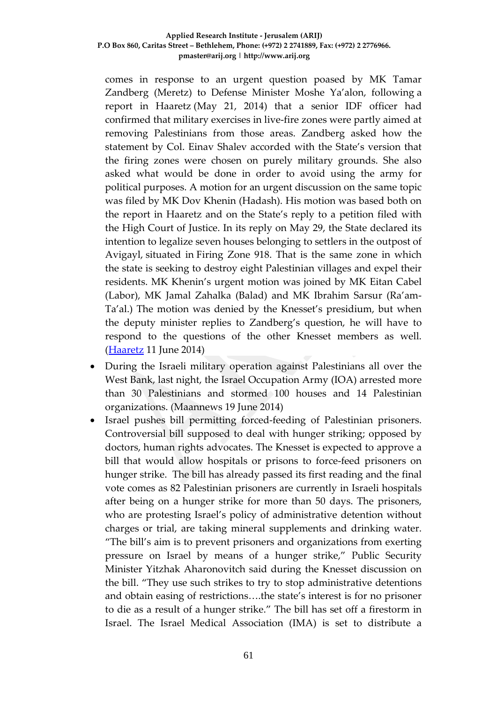comes in response to an urgent question poased by MK Tamar Zandberg (Meretz) to Defense Minister Moshe Ya'alon, following [a](http://www.haaretz.com/news/diplomacy-defense/.premium-1.591881)  [report in Haaretz](http://www.haaretz.com/news/diplomacy-defense/.premium-1.591881) (May 21, 2014) that a senior IDF officer had confirmed that military exercises in live-fire zones were partly aimed at removing Palestinians from those areas. Zandberg asked how the statement by Col. Einav Shalev accorded with the State's version that the firing zones were chosen on purely military grounds. She also asked what would be done in order to avoid using the army for political purposes. A motion for an urgent discussion on the same topic was filed by MK Dov Khenin (Hadash). His motion was based both on the report in Haaretz and on the State's reply to a petition filed with the High Court of Justice. In its reply on May 29, the State declared its intention to legalize seven houses belonging to settlers in the [outpost of](http://www.haaretz.com/news/national/.premium-1.596500)  [Avigayl,](http://www.haaretz.com/news/national/.premium-1.596500) situated in [Firing Zone 918.](http://www.haaretz.com/weekend/magazine/.premium-1.550321) That is the same zone in which the state is seeking to destroy eight Palestinian villages and expel their residents. MK Khenin's urgent motion was joined by MK Eitan Cabel (Labor), MK Jamal Zahalka (Balad) and MK Ibrahim Sarsur (Ra'am-Ta'al.) The motion was denied by the Knesset's presidium, but when the deputy minister replies to Zandberg's question, he will have to respond to the questions of the other Knesset members as well. [\(Haaretz](http://www.haaretz.com/news/diplomacy-defense/.premium-1.598046) 11 June 2014)

- During the Israeli military operation against Palestinians all over the West Bank, last night, the Israel Occupation Army (IOA) arrested more than 30 Palestinians and stormed 100 houses and 14 Palestinian organizations. (Maannews 19 June 2014)
- Israel pushes bill permitting forced-feeding of Palestinian prisoners. Controversial bill supposed to deal with hunger striking; opposed by doctors, human rights advocates. The Knesset is expected to approve a bill that would allow hospitals or prisons to force-feed prisoners on hunger strike. The bill has already passed its first reading and the final vote comes as 82 Palestinian prisoners are currently in Israeli hospitals after being on a hunger strike for more than 50 days. The prisoners, who are protesting Israel's policy of administrative detention without charges or trial, are taking mineral supplements and drinking water. "The bill's aim is to prevent prisoners and organizations from exerting pressure on Israel by means of a hunger strike," Public Security Minister Yitzhak Aharonovitch said during the Knesset discussion on the bill. "They use such strikes to try to stop administrative detentions and obtain easing of restrictions….the state's interest is for no prisoner to die as a result of a hunger strike." The bill has set off a firestorm in Israel. The Israel Medical Association (IMA) is set to distribute a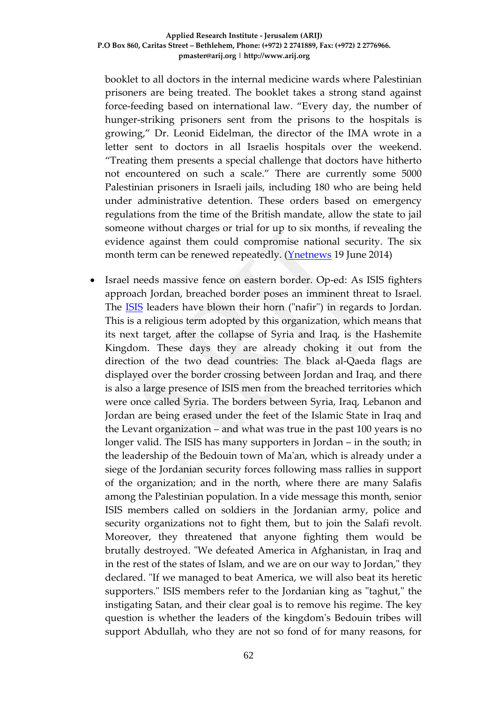booklet to all doctors in the internal medicine wards where Palestinian prisoners are being treated. The booklet takes a strong stand against force-feeding based on international law. "Every day, the number of hunger-striking prisoners sent from the prisons to the hospitals is growing," Dr. Leonid Eidelman, the director of the IMA wrote in a letter sent to doctors in all Israelis hospitals over the weekend. "Treating them presents a special challenge that doctors have hitherto not encountered on such a scale." There are currently some 5000 Palestinian prisoners in Israeli jails, including 180 who are being held under administrative detention. These orders based on emergency regulations from the time of the British mandate, allow the state to jail someone without charges or trial for up to six months, if revealing the evidence against them could compromise national security. The six month term can be renewed repeatedly. (*Ynetnews* 19 June 2014)

• Israel needs massive fence on eastern border. Op-ed: As ISIS fighters approach Jordan, breached border poses an imminent threat to Israel. The [ISIS](http://www.ynetnews.com/articles/0,7340,L-4534512,00.html) leaders have blown their horn ("nafir") in regards to Jordan. This is a religious term adopted by this organization, which means that its next target, after the collapse of Syria and Iraq, is the Hashemite Kingdom. These days they are already choking it out from the direction of the two dead countries: The black al-Qaeda flags are displayed over the border crossing between Jordan and Iraq, and there is also a large presence of ISIS men from the breached territories which were once called Syria. The borders between Syria, Iraq, Lebanon and Jordan are being erased under the feet of the Islamic State in Iraq and the Levant organization – and what was true in the past 100 years is no longer valid. The ISIS has many supporters in Jordan – in the south; in the leadership of the Bedouin town of Ma'an, which is already under a siege of the Jordanian security forces following mass rallies in support of the organization; and in the north, where there are many Salafis among the Palestinian population. In a vide message this month, senior ISIS members called on soldiers in the Jordanian army, police and security organizations not to fight them, but to join the Salafi revolt. Moreover, they threatened that anyone fighting them would be brutally destroyed. "We defeated America in Afghanistan, in Iraq and in the rest of the states of Islam, and we are on our way to Jordan," they declared. "If we managed to beat America, we will also beat its heretic supporters." ISIS members refer to the Jordanian king as "taghut," the instigating Satan, and their clear goal is to remove his regime. The key question is whether the leaders of the kingdom's Bedouin tribes will support Abdullah, who they are not so fond of for many reasons, for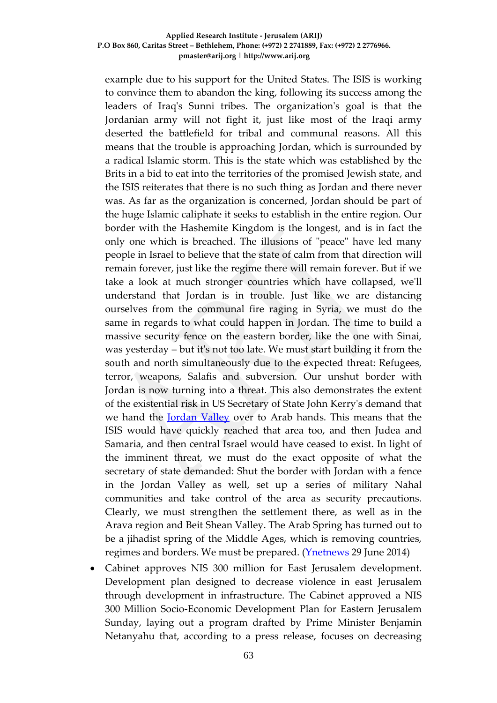example due to his support for the United States. The ISIS is working to convince them to abandon the king, following its success among the leaders of Iraq's Sunni tribes. The organization's goal is that the Jordanian army will not fight it, just like most of the Iraqi army deserted the battlefield for tribal and communal reasons. All this means that the trouble is approaching Jordan, which is surrounded by a radical Islamic storm. This is the state which was established by the Brits in a bid to eat into the territories of the promised Jewish state, and the ISIS reiterates that there is no such thing as Jordan and there never was. As far as the organization is concerned, Jordan should be part of the huge Islamic caliphate it seeks to establish in the entire region. Our border with the Hashemite Kingdom is the longest, and is in fact the only one which is breached. The illusions of "peace" have led many people in Israel to believe that the state of calm from that direction will remain forever, just like the regime there will remain forever. But if we take a look at much stronger countries which have collapsed, we'll understand that Jordan is in trouble. Just like we are distancing ourselves from the communal fire raging in Syria, we must do the same in regards to what could happen in Jordan. The time to build a massive security fence on the eastern border, like the one with Sinai, was yesterday – but it's not too late. We must start building it from the south and north simultaneously due to the expected threat: Refugees, terror, weapons, Salafis and subversion. Our unshut border with Jordan is now turning into a threat. This also demonstrates the extent of the existential risk in US Secretary of State John Kerry's demand that we hand the [Jordan Valley](http://www.ynetnews.com/articles/0,7340,L-4482912,00.html) over to Arab hands. This means that the ISIS would have quickly reached that area too, and then Judea and Samaria, and then central Israel would have ceased to exist. In light of the imminent threat, we must do the exact opposite of what the secretary of state demanded: Shut the border with Jordan with a fence in the Jordan Valley as well, set up a series of military Nahal communities and take control of the area as security precautions. Clearly, we must strengthen the settlement there, as well as in the Arava region and Beit Shean Valley. The Arab Spring has turned out to be a jihadist spring of the Middle Ages, which is removing countries, regimes and borders. We must be prepared. [\(Ynetnews](http://www.ynetnews.com/articles/0,7340,L-4535034,00.html) 29 June 2014)

• Cabinet approves NIS 300 million for East Jerusalem development. Development plan designed to decrease violence in east Jerusalem through development in infrastructure. The Cabinet approved a NIS 300 Million Socio-Economic Development Plan for Eastern Jerusalem Sunday, laying out a program drafted by Prime Minister Benjamin Netanyahu that, according to a press release, focuses on decreasing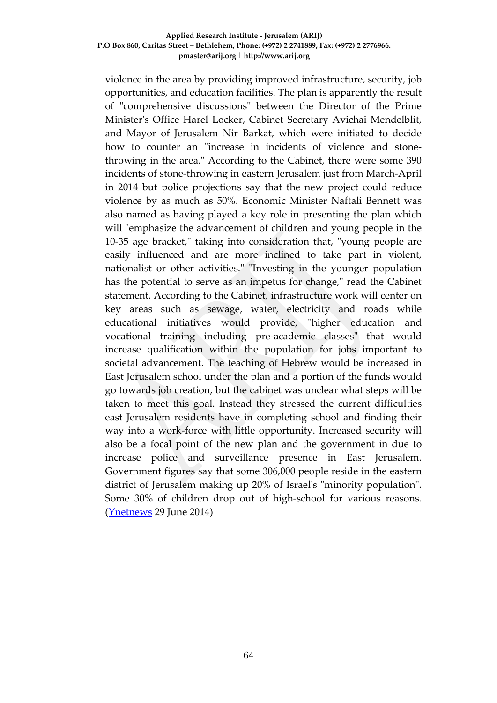violence in the area by providing improved infrastructure, security, job opportunities, and education facilities. The plan is apparently the result of "comprehensive discussions" between the Director of the Prime Minister's Office Harel Locker, Cabinet Secretary Avichai Mendelblit, and Mayor of Jerusalem Nir Barkat, which were initiated to decide how to counter an "increase in incidents of violence and stonethrowing in the area." According to the Cabinet, there were some 390 incidents of stone-throwing in eastern Jerusalem just from March-April in 2014 but police projections say that the new project could reduce violence by as much as 50%. Economic Minister Naftali Bennett was also named as having played a key role in presenting the plan which will "emphasize the advancement of children and young people in the 10-35 age bracket," taking into consideration that, "young people are easily influenced and are more inclined to take part in violent, nationalist or other activities." "Investing in the younger population has the potential to serve as an impetus for change," read the Cabinet statement. According to the Cabinet, infrastructure work will center on key areas such as sewage, water, electricity and roads while educational initiatives would provide, "higher education and vocational training including pre-academic classes" that would increase qualification within the population for jobs important to societal advancement. The teaching of Hebrew would be increased in East Jerusalem school under the plan and a portion of the funds would go towards job creation, but the cabinet was unclear what steps will be taken to meet this goal. Instead they stressed the current difficulties east Jerusalem residents have in completing school and finding their way into a work-force with little opportunity. Increased security will also be a focal point of the new plan and the government in due to increase police and surveillance presence in East Jerusalem. Government figures say that some 306,000 people reside in the eastern district of Jerusalem making up 20% of Israel's "minority population". Some 30% of children drop out of high-school for various reasons. [\(Ynetnews](http://www.ynetnews.com/articles/0,7340,L-4535912,00.html) 29 June 2014)